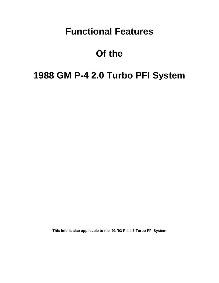# **Functional Features**

# **Of the**

# **1988 GM P-4 2.0 Turbo PFI System**

**This info is also applicable to the '91-'93 P-4 4.3 Turbo PFI System**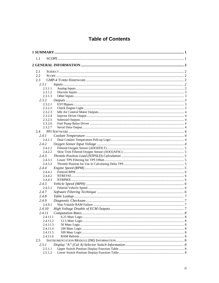# **Table of Contents**

| 1.1                        |  |
|----------------------------|--|
|                            |  |
|                            |  |
| 2.1                        |  |
| 2.2                        |  |
| 2.3                        |  |
| 2.3.1<br>$InputStream$ . 2 |  |
| 2.3.1.1                    |  |
| 2.3.1.2                    |  |
| 2.3.1.3                    |  |
| 2.3.2                      |  |
| 2.3.2.1                    |  |
| 2.3.2.2                    |  |
| 2.3.2.3                    |  |
| 2.3.2.4                    |  |
| 2.3.2.5                    |  |
| 2.3.2.6                    |  |
| 2.3.2.7                    |  |
| 2.4                        |  |
| 2.4.1                      |  |
| 2.4.1.1                    |  |
| 2.4.2                      |  |
| 2.4.2.1                    |  |
| 2.4.2.2                    |  |
| 2.4.3                      |  |
| 2.4.3.1                    |  |
| 2.4.3.2                    |  |
| 2.4.4                      |  |
| 2.4.4.1                    |  |
| 2.4.4.2                    |  |
| 2.4.4.3                    |  |
| 2.4.5                      |  |
| 2.4.5.1                    |  |
| 2.4.7                      |  |
| 2.4.8                      |  |
| 2.4.9                      |  |
| 2.4.9.1                    |  |
| 2.4.10                     |  |
| 2.4.11                     |  |
| 2.4.11.1                   |  |
| 2.4.11.2                   |  |
| 2.4.11.3                   |  |
| 2.4.11.4                   |  |
| 2.4.11.5                   |  |
| 2.4.11.6                   |  |
| $2.5^{\circ}$              |  |
| 2.5.1                      |  |
| 2.5.1.1                    |  |
| 2.5.1.2                    |  |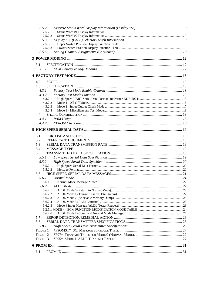| 2.5.2    |           |  |
|----------|-----------|--|
| 2.5.2.1  |           |  |
| 2.5.2.2  |           |  |
| 2.5.3    |           |  |
| 2.5.3.1  |           |  |
| 2.5.3.2  |           |  |
| 2.5.6    |           |  |
|          |           |  |
|          |           |  |
| 3.1      |           |  |
| 3. L L   |           |  |
|          |           |  |
| 4.2      |           |  |
| 4.3      |           |  |
| 4.3.1    |           |  |
| 4.3.2    |           |  |
| 4.3.2.1  |           |  |
| 4.3.2.2  |           |  |
| 4.3.2.3  |           |  |
| 4.3.2.4  |           |  |
| 4.4      |           |  |
| 4.4.1    |           |  |
| 4.4.2    |           |  |
|          |           |  |
|          |           |  |
| 5.1      |           |  |
| 5.2      |           |  |
| 5.3      |           |  |
| 5.4      |           |  |
| 5.5      |           |  |
| 5.5.1    |           |  |
| 5.5.2    |           |  |
| 5.5.2.1  |           |  |
| 5.5.2.2  |           |  |
| 5.6      |           |  |
| 5.6.1    |           |  |
| 5.6.1.1  |           |  |
| 5.6.2    | ALDL Mode |  |
| 5.6.2.1  |           |  |
| 5.6.2.2  |           |  |
| 5.6.2.3  |           |  |
| 5.6.2.4  |           |  |
| 5.6.2.5  |           |  |
|          |           |  |
| 5.6.2.6  |           |  |
| 5.7      |           |  |
| 5.8      |           |  |
| 5.8.1    |           |  |
| FIGURE 1 |           |  |
| FIGURE 2 |           |  |
| FIGURE 3 |           |  |
|          |           |  |
|          |           |  |
| 6.1      |           |  |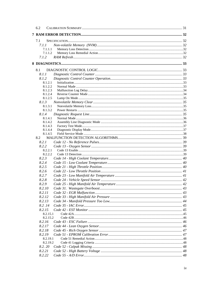| 6.2 |                  |                           |  |
|-----|------------------|---------------------------|--|
|     |                  |                           |  |
| 7.1 |                  |                           |  |
|     | 7.1.1            |                           |  |
|     | 7.1.1.1          |                           |  |
|     | 7.1.1.2          |                           |  |
|     | 7.1.2            |                           |  |
|     |                  |                           |  |
|     |                  |                           |  |
| 8.1 |                  |                           |  |
|     | 8.1.1            |                           |  |
|     | 8.1.2<br>8.1.2.1 | $Initialization \dots 33$ |  |
|     | 8.1.2.2          |                           |  |
|     | 8.1.2.3          |                           |  |
|     | 8.1.2.4          |                           |  |
|     | 8.1.2.5          |                           |  |
|     | 8.1.3            |                           |  |
|     | 8.1.3.1          |                           |  |
|     | 8.1.3.2          |                           |  |
|     | 8.1.4<br>8.1.4.1 |                           |  |
|     | 8.1.4.2          |                           |  |
|     | 8.1.4.3          |                           |  |
|     | 8.1.4.4          |                           |  |
|     | 8.1.4.5          |                           |  |
| 8.2 |                  |                           |  |
|     | 8.2.1            |                           |  |
|     | 8.2.2            |                           |  |
|     | 8.2.2.1          |                           |  |
|     | 8.2.2.2          |                           |  |
|     | 8.2.3            |                           |  |
|     | 8.2.4            |                           |  |
|     | 8.2.5            |                           |  |
|     | 8.2.6<br>8.2.7   |                           |  |
|     | 8.2.8            |                           |  |
|     | 8.2.9            |                           |  |
|     | 8.2.10           |                           |  |
|     | 8.2.11           |                           |  |
|     | 8.2.12           |                           |  |
|     | 8.2.13           |                           |  |
|     | 8.2.14           |                           |  |
|     | 8.2.15           |                           |  |
|     | 8.2.15.1         |                           |  |
|     | 8.2.15.2         |                           |  |
|     | 8.2.16           |                           |  |
|     | 8.2.17           |                           |  |
|     | 8.2.18           |                           |  |
|     | 8.2.19           |                           |  |
|     | 8.2.19.1         |                           |  |
|     | 8.2.19.2         |                           |  |
|     | 8.2.20           |                           |  |
|     | 8.2.21           |                           |  |
|     | 8.2.22           |                           |  |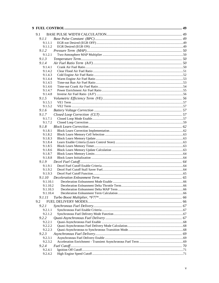| 9.1                  |  |
|----------------------|--|
| 9.1.1                |  |
| 9.1.1.1              |  |
| 9.1.1.2              |  |
| 9.1.2                |  |
| 9.1.2.1              |  |
| 9.1.3                |  |
| 9.1.4                |  |
| 9.1.4.1              |  |
| 9.1.4.2              |  |
| 9.1.4.3<br>9.1.4.4   |  |
| 9.1.4.5              |  |
| 9.1.4.6              |  |
| 9.1.4.7              |  |
| 9.1.4.8              |  |
| 9.1.5                |  |
| 9.1.5.1              |  |
| 9.1.5.2              |  |
| 9.1.6                |  |
| 9.1.7                |  |
| 9.1.7.1              |  |
| 9.1.7.2              |  |
| 9.1.8                |  |
| 9.1.8.1              |  |
| 9.1.8.2<br>9.1.8.3   |  |
| 9.1.8.4              |  |
| 9.1.8.5              |  |
| 9.1.8.6              |  |
| 9.1.8.7              |  |
| 9.1.8.8              |  |
| 9.1.9                |  |
| 9.1.9.1              |  |
| 9.1.9.2              |  |
| 9.1.9.3              |  |
| 9.1.10               |  |
| 9.1.10.1<br>9.1.10.2 |  |
| 9.1.10.3             |  |
| 9.1.10.4             |  |
| 9.1.11               |  |
| 9.2                  |  |
| 9.2.1                |  |
| 9.2.1.1              |  |
| 9.2.1.2              |  |
| 9.2.2                |  |
| 9.2.2.1              |  |
| 9.2.2.2              |  |
| 9.2.2.3              |  |
| 9.2.3                |  |
| 9.2.3.1<br>9.2.3.2   |  |
| 9.2.4                |  |
| 9.2.4.1              |  |
| 9.2.4.2              |  |
|                      |  |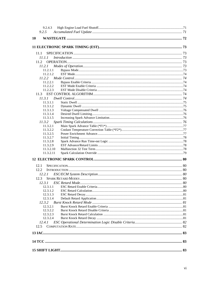| 9.2.4.3              |  |
|----------------------|--|
| 9.2.5                |  |
| 10                   |  |
|                      |  |
|                      |  |
| 11.1                 |  |
| 11.1.1               |  |
| 11.2                 |  |
| 11.2.1               |  |
| 11.2.1.1             |  |
| 11.2.1.2             |  |
| 11.2.2               |  |
| 11.2.2.1             |  |
| 11.2.2.2             |  |
| 11.2.2.3             |  |
|                      |  |
| 11.3.1               |  |
| 11.3.1.1             |  |
| 11.3.1.2             |  |
| 11.3.1.3             |  |
| 11.3.1.4             |  |
| 11.3.1.5             |  |
| 11.3.2               |  |
| 11.3.2.1             |  |
| 11.3.2.2             |  |
| 11.3.2.5             |  |
| 11.3.2.7             |  |
| 11.3.2.8<br>11.3.2.9 |  |
| 11.3.2.10            |  |
| 11.3.2.11            |  |
|                      |  |
|                      |  |
| 12.1                 |  |
| 12.2                 |  |
| 12.2.1               |  |
| 12.3                 |  |
| 12.3.1               |  |
| 12.3.1.1             |  |
| 12.3.1.2             |  |
| 12.3.1.3             |  |
| 12.3.1.4             |  |
| 12.3.2               |  |
| 12.3.2.1             |  |
| 12.3.2.2             |  |
| 12.3.2.3<br>12.3.2.4 |  |
| 12.4.1               |  |
|                      |  |
| 12.5                 |  |
|                      |  |
|                      |  |
|                      |  |
|                      |  |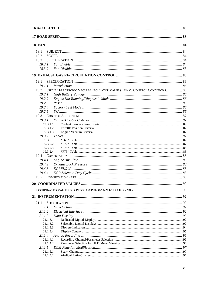| 18.1                                                                           |  |
|--------------------------------------------------------------------------------|--|
| 18.2                                                                           |  |
| 18.3                                                                           |  |
| 18.3.1                                                                         |  |
| 18.3.2                                                                         |  |
|                                                                                |  |
| 19.1                                                                           |  |
| 19.1.1                                                                         |  |
| SPECIAL ELECTRONIC VACUUM REGULATOR VALUE (EVRV) CONTROL CONDITIONS 86<br>19.2 |  |
| 19.2.1                                                                         |  |
| 19.2.2                                                                         |  |
| 19.2.3                                                                         |  |
| 19.2.4                                                                         |  |
| 19.2.5                                                                         |  |
| 19.3                                                                           |  |
| 19.3.1                                                                         |  |
| 19.3.1.1                                                                       |  |
| 19.3.1.2                                                                       |  |
| 19.3.1.3.                                                                      |  |
| 19.3.2                                                                         |  |
| 19.3.2.1                                                                       |  |
| 19.3.2.2                                                                       |  |
| 19.3.2.3                                                                       |  |
| 19.3.2.4                                                                       |  |
|                                                                                |  |
| 19.4.1                                                                         |  |
| 19.4.2                                                                         |  |
| 19.4.3                                                                         |  |
| 19.4.4                                                                         |  |
| 19.5                                                                           |  |
|                                                                                |  |
|                                                                                |  |
|                                                                                |  |
| 21.1                                                                           |  |
| 21.1.1                                                                         |  |
| 21.1.2                                                                         |  |
| 21.1.3                                                                         |  |
| 21.1.3.1                                                                       |  |
| 21.1.3.2                                                                       |  |
| 21.1.3.3                                                                       |  |
| 21.1.3.4                                                                       |  |
| 21.1.4                                                                         |  |
| 21.1.4.1                                                                       |  |
| 21.1.4.2                                                                       |  |
| 21.1.5                                                                         |  |
| 21.1.5.1<br>21.1.5.2                                                           |  |
|                                                                                |  |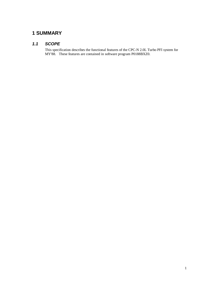# **1 SUMMARY**

# *1.1 SCOPE*

This specification describes the functional features of the CPC-N 2.0L Turbo PFI system for MY'88. These features are contained in software program P0188BXZ0.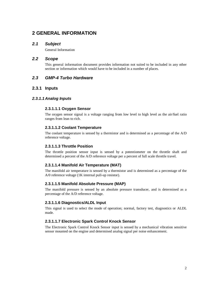# **2 GENERAL INFORMATION**

# *2.1 Subject*

General Information

# *2.2 Scope*

This general information document provides information not suited to be included in any other section or information which would have to be included in a number of places.

# *2.3 GMP-4 Turbo Hardware*

# **2.3.1 Inputs**

# *2.3.1.1 Analog Inputs*

# **2.3.1.1.1 Oxygen Sensor**

The oxygen sensor signal is a voltage ranging from low level to high level as the air/fuel ratio ranges from lean to rich.

# **2.3.1.1.2 Coolant Temperature**

The coolant temperature is sensed by a thermistor and is determined as a percentage of the A/D reference voltage.

# **2.3.1.1.3 Throttle Position**

The throttle position sensor input is sensed by a potentiometer on the throttle shaft and determined a percent of the A/D reference voltage per a percent of full scale throttle travel.

# **2.3.1.1.4 Manifold Air Temperature (MAT)**

The manifold air temperature is sensed by a thermistor and is determined as a percentage of the A/0 reference voltage (1K internal pull-up resistor).

# **2.3.1.1.5 Manifold Absolute Pressure (MAP)**

The manifold pressure is sensed by an absolute pressure transducer, and is determined as a percentage of the A/D reference voltage.

# **2.3.1.1.6 Diagnostics/ALDL Input**

This signal is used to select the mode of operation; normal, factory test, diagnostics or ALDL made.

# **2.3.1.1.7 Electronic Spark Control Knock Sensor**

The Electronic Spark Control Knock Sensor input is sensed by a mechanical vibration sensitive sensor mounted on the engine and determined analog signal per noise enhancement.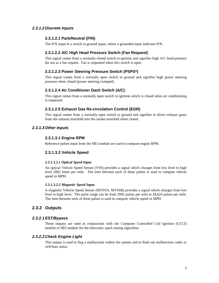# *2.3.1.2 Discrete Inputs*

# **2.3.1.2.1 Park/Neutral (P/N)**

The P/N input Is a switch to ground input, where a grounded input indicates P/N.

# **2.3.1.2.2 A/C High Head Pressure Switch (Fan Request)**

This signal comes from a normally closed switch to ignition and signifies high A/C head pressure for use as a fan request. Fan is requested when this switch is open.

# **2.3.1.2.3 Power Steering Pressure Switch (PSPS\*)**

This signal comes from a normally open switch to ground and signifies high power steering pressure when closed (power steering cramped).

# **2.3.1.2.4 Air Conditioner Dash Switch (A/C)**

This signal comes from a normally open switch to ignition which is closed when air conditioning is requested.

# **2.3.1.2.5 Exhaust Gas Re-circulation Control (EGR)**

This signal comes from a normally open switch to ground and signifies to direct exhaust gases from the exhaust manifold into the intake manifold when closed.

# *2.3.1.3 Other Inputs*

### **2.3.1.3.1 Engine RPM**

Reference pulses input from the HEI module are used to compute engine RPM.

# **2.3.1.3.2 Vehicle Speed**

#### *2.3.1.3.2.1 Optical Speed Input*

An optical Vehicle Speed Sensor (VSS) provides a signal which changes from low level to high level 2002 times per mile. The time between each of these pulses is used to compute vehicle speed in MPH.

#### *2.3.1.3.2.2 Magnetic Speed Input*

A magnetic Vehicle Speed Sensor (MVSSA, MVSSB) provides a signal which changes from low level to high level. The pulse range can be from 2002 pulses per mile to 28,624 pulses per mile. The time between each of these pulses is used to compute vehicle speed in MPH.

# **2.3.2 Outputs**

# *2.3.2.1EST/Bypass*

These outputs are used in conjunction with the Computer Controlled Coil Ignition (CCCI) module or HEI module for the electronic spark timing algorithm.

# *2.3.2.2 Check Engine Light*

This output is used to flag a malfunction within the system and to flash out malfunction codes or rich/lean status.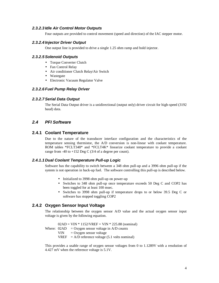# *2.3.2.3 Idle Air Control Motor Outputs*

Four outputs are provided to control movement (speed and direction) of the IAC stepper motor.

### *2.3.2.4 Injector Driver Output*

One output line is provided to drive a single 1.25 ohm ramp and hold injector.

### *2.3.2.5Solenoid Outputs*

- Torque Converter Clutch
- Fan Control Relay
- Air conditioner Clutch Relay/Air Switch
- Wastegate
- Electronic Vacuum Regulator Valve

# *2.3.2.6 Fuel Pump Relay Driver*

#### *2.3.2.7Serial Data Output*

The Serial Data Output driver is a unidirectional (output only) driver circuit for high-speed (3192 baud) data.

# *2.4 PFI Software*

# **2.4.1 Coolant Temperature**

Due to the nature of the transducer interface configuration and the characteristics of the temperature sensing thermistor, the A/D conversion is non-linear with coolant temperature. ROM tables \*FCLT348\* and \*FCLT4K\* linearize coolant temperature to provide a coolant range from -40 to +152 Deg C  $(3/4)$  of a degree per count).

#### *2.4.1.1 Dual Coolant Temperature Pull-up Logic*

Software has the capability to switch between a 348 ohm pull-up and a 3996 ohm pull-up if the system is not operation in back-up fuel. The software controlling this pull-up is described below.

- Initialized to 3998 ohm pull-up on power-up
- Switches to 348 ohm pull-up once temperature exceeds 50 Deg C and COP2 has been toggled for at least 100 msec.
- Switches to 3998 ohm pull-up if temperature drops to or below 39.5 Deg C or software has stopped toggling COP2

# **2.4.2 Oxygen Sensor Input Voltage**

The relationship between the oxygen sensor A/D value and the actual oxygen sensor input voltage is given by the following equation.

 $02AD = VIN * 1152/VREF = VIN * 225.88$  (nominal)

- Where:  $02AD = Oxygen sensor voltage in A/D counts$ 
	- $VIN = Oxygen sensor voltage$
	- $VREF = A/D$  reference voltage (5.1 volts nominal)

This provides a usable range of oxygen sensor voltages from 0 to 1.1289V with a resolution of 4.427 mV when the reference voltage is 5.1V.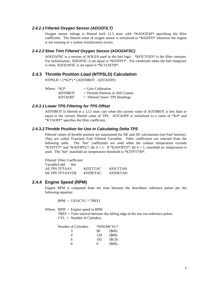### *2.4.2.1 Filtered Oxygen Sensor (ADOZFILT)*

Oxygen sensor voltage is filtered each 12.5 msec with \*KAOOZAF\* specifying the filter coefficient. The filtered value of oxygen sensor is initialized to \*K02FFO\* whenever the engine is not running or a system initialization occurs.

### *2.4.2.2Slow Trim Filtered Oxygen Sensor (AOO2AFSC)*

AOO2AFSC is a version of AOO2A used in the fuel logic. \*KFILTOZS\* is the filter constant. For initialization, ADO2FSC is set equal to \*KO2FFO\*. For conditions when the fuel integrator is reset, AOOZAFSC is set equal to \*KCLOXTH\*.

# **2.4.3 Throttle Position Load (NTPSLD) Calculation**

NTPSLD = (\*K3\*) \* (ADTHROT - ADTAOFF)

| Where: $*K3*$ |                | $=$ Gain Calibration                |
|---------------|----------------|-------------------------------------|
|               | <b>ADTHROT</b> | $=$ Throttle Position in AID Counts |
|               | <b>ADTAOFF</b> | $=$ Filtered 'lower' TPS Readings   |

### *2.4.3.1 Lower TPS Filtering for TPS Offset*

ADTHROT Is filtered at a 12.5 msec rate when the current value of AOTHROT is less than or equal to the current filtered value of TPS. AOTAOFF is initialized to a value of \*K4\* and \*KTAOFF\* specifies the filter coefficient.

#### *2.4.3.2 Throttle Position for Use in Calculating Delta TPS*

Filtered values of throttle position are maintained for DE and AE calculations (see Fuel Section). They are called Transient Fuel Filtered Variables. Filter coefficients are selected from the following table. The "hot" coefficients are used when the coolant temperature exceeds \*KTFFTT\* and \*KAFOPTL\*, bit  $4 = 1$ . If \*KAFOPTZ\*, bit  $4 = 1$ , manifold air temperature is used. The "hot" manifold air temperature threshold is \*KTFFTTM\*.

Filtered Filter Coefficient VariableCold Hot AE TPS TFTAAV KFILTTAC KFILTTAH DE TPS TFTAAVDE KFIDETAC KFIDETAH

### **2.4.4 Engine Speed (RPM)**

Engine RPM is computed from the time between the distributor reference pulses per the following equation:

 $RPM = 120/(CYL * TREF)$ 

Where:  $RPM =$  Engine speed in RPM

TREF = Time interval between the falling edge of the last two reference pulses CYL = Number of Cylinders

| Number of Cylinders |                   | *KNUMCYL* |
|---------------------|-------------------|-----------|
| 3                   | 96                | $($ \$60) |
|                     | 128               | $(\$80)$  |
| 6                   | 192               | (SCO)     |
| Ջ                   | $\mathbf{\Omega}$ | (500)     |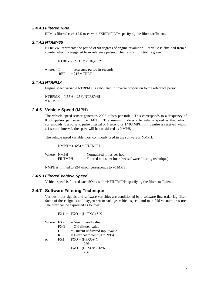#### *2.4.4.1 Filtered RPM*

RPM is filtered each 12.5 msec with \*KRPMFILT\* specifying the filter coefficient.

#### *2.4.4.2 NTREY65*

NTREV65 represents the period of 90 degrees of engine revolution. Its value is obtained from a counter which is triggered from reference pulses. The transfer function is given.

 $NTREV65 = (15 * 2^16)/RPM$ 

where:  $T =$  reference period in seconds  $REF = 216 * TREF$ 

# *2.4.4.3 NTRPMX*

Engine speed variable NTRPMX is calculated in inverse proportion to the reference period.

 $NTRPMX = (155.6 * 256)/NTREV65$  $=$  RPM/25

# **2.4.5 Vehicle Speed (MPH)**

The vehicle speed sensor generates 2002 pulses per mile. This corresponds to a frequency of 0.556 pulses per second per MPH. The minimum detectable vehicle speed is that which corresponds to a pulse to pulse interval of 1 second or 1.798 MPH. If no pulse is received within a 1 second interval, the speed will be considered as 0 MPH.

The vehicle speed variable most commonly used in the software is NMPH.

 $NMPH = (16/5) * FILTMPH$ 

| Where: NMPH |                | $=$ Normalized miles per hour                                  |
|-------------|----------------|----------------------------------------------------------------|
|             | <b>FILTMPH</b> | $=$ Filtered miles per hour (see software filtering technique) |

NMPH is limited to 224 which corresponds to 70 MPH.

### *2.4.5.1 Filtered Vehicle Speed*

Vehicle speed is filtered each 5Oms with \*KFILTMPH\* specifying the filter coefficient.

### **2.4.7 Software Filtering Technique**

Various input signals and software variables are conditioned by a software first order lag filter. Some of these signals and oxygen sensor voltage, vehicle speed, and manifold vacuum pressure. The filter can be expressed as follows:

 $FX1 = FXO + (I - FXO) * K$ 

Where:  $FX2 = New filtered value$  $FXO = Old filtered value$  $I =$  Current unfiltered input value  $K =$  Filter coefficient (0 to .996) or  $FX1 = FXO + (I-FXO)*N$ 256  $FXO + (I-FXO) * 256 * K$ 256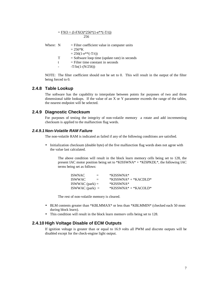$=$  FXO + (I-FXO)\*256\*(1-e\*\*(-T/t)) 256

| Where: N |   | $=$ Filter coefficient value in computer units<br>$= 256*K$<br>$= 256(1-e^{**}(-T/t))$ |
|----------|---|----------------------------------------------------------------------------------------|
|          | т | $=$ Software loop time (update rate) in seconds                                        |
|          | t | $=$ Filter time constant in seconds                                                    |
|          |   | $-T/In(1-(N/256))$                                                                     |

NOTE: The filter coefficient should not be set to 0. This will result in the output of the filter being forced to 0.

### **2.4.8 Table Lookup**

The software has the capability to interpolate between points for purposes of two and three dimensional table lookups. If the value of an X or Y parameter exceeds the range of the tables, the nearest endpoint will be selected.

# **2.4.9 Diagnostic Checksum**

For purposes of testing the integrity of non-volatile memory a rotate and add incrementing checksum is applied to the malfunction flag words.

### *2.4.9.1 Non-Volatile RAM Failure*

The non-volatile RAM is indicated as failed if any of the following conditions are satisfied.

• Initialization checksum (double byte) of the five malfunction flag words does not agree with the value last calculated.

The above condition will result in the block learn memory cells being set to 128, the present IAC motor position being set to \*KISSWNA\* + \*KISPKDL\*, the following IAC terms being set as follows:

| ISWNAC            | $=$ | *KISSWNA*              |
|-------------------|-----|------------------------|
| ISWWAC            | $=$ | $*KISSWNA* + *KACDLD*$ |
| $ISWWAC$ (park) = |     | *KISSWNA*              |
| ISWWAC (park) $=$ |     | $*KISSWNA* + *KACOLD*$ |

The rest of non-volatile memory is cleared.

- BLM contents greater than \*KBLMMAX\* or less than \*KBLMMIN\* (checked each 50 msec during block learn).
- This condition will result in the block learn memorv cells being set to 128.

# **2.4.10 High Voltage Disable of ECM Outputs**

If ignition voltage is greater than or equal to 16.9 volts all PWM and discrete outputs will be disabled except for the check-engine light output.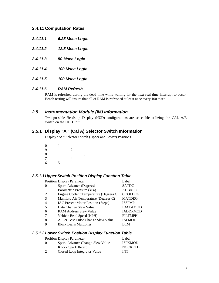# **2.4.11 Computation Rates**

- *2.4.11.1 6.25 Msec Logic*
- *2.4.11.2 12.5 Msec Logic*
- *2.4.11.3 50 Msec Logic*
- *2.4.11.4 100 Msec Logic*
- *2.4.11.5 100 Msec Logic*

### *2.4.11.6 RAM Refresh*

RAM is refreshed during the dead time while waiting for the next real time interrupt to occur. Bench testing will insure that all of RAM is refreshed at least nnce every 100 msec.

# *2.5 Instrumentation Module (IM) Information*

Two possible Heads-up Display (HUD) configurations are selectable utilizing the CAL A/B switch on the HUD unit.

# **2.5.1 Display "A'" (Cal A) Selector Switch Information**

Display ""A"' Selector Switch (Upper and Lower) Positions

0 1 9 2 8 3 7 4 6 5

### *2.5.1.1 Upper Switch Position Display Function Table*

|                | <b>Position Display Parameter</b>      | Label           |
|----------------|----------------------------------------|-----------------|
| $\Omega$       | Spark Advance (Degrees)                | <b>SATDC</b>    |
|                | Barometric Pressure (kPa)              | <b>ADBARO</b>   |
| 2              | Engine Coolant Temperature (Degrees C) | <b>COOLDEG</b>  |
| 3              | Manifold Air Temperature (Degrees C)   | <b>MATDEG</b>   |
| $\overline{4}$ | IAC Present Motor Position (Steps)     | <b>ISSPMP</b>   |
| -5             | Data Change Slew Value                 | <b>IDATAMOD</b> |
| 6              | <b>RAM Address Slew Value</b>          | <b>IADDRMOD</b> |
|                | Vehicle Read Speed (KPH)               | <b>FILTMPH</b>  |
| 8              | A/F or Base Pulse Change Slew Value    | <b>IAFMOD</b>   |
| q              | <b>Block Learn Multiplier</b>          | BI M            |

### *2.5.1.2 Lower Switch Position Display Function Table*

| <b>Position Display Parameter</b> | Label          |
|-----------------------------------|----------------|
| Spark Advance Change-Slew Value   | <b>ISPKMOD</b> |
| Knock Spark Retard                | <b>NOCKRTD</b> |
| Closed Loop Integrator Value      | INT            |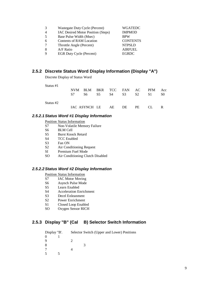|   | Wastegate Duty Cycle (Percent)     | <b>WGATEDC</b>  |
|---|------------------------------------|-----------------|
|   | IAC Desired Motor Position (Steps) | <b>IMPMOD</b>   |
|   | Base Pulse Width (Msec)            | <b>BPW</b>      |
| 6 | Contents of RAM Location           | <b>CONTENTS</b> |
|   | Throttle Angle (Percent)           | <b>NTPSLD</b>   |
| 8 | A/F Ratio                          | <b>AIRFUEL</b>  |
| Q | <b>EGR Duty Cycle (Percent)</b>    | <b>EGRDC</b>    |

# **2.5.2 Discrete Status Word Display Information (Display "A")**

Discrete Display of Status Word

| Status #1 |      |                                |     |                |                |                |     |    |
|-----------|------|--------------------------------|-----|----------------|----------------|----------------|-----|----|
|           |      | NVM BLM BKR TCC FAN AC PFM Acc |     |                |                |                |     |    |
|           | - S7 | S6 -                           | S5. | S <sub>4</sub> | S <sub>3</sub> | S <sub>2</sub> | S1. | S0 |
| Status #2 |      |                                |     |                |                |                |     |    |
|           |      | IAC ASYNCH LE AE DE PE         |     |                |                |                | CL. |    |

# *2.5.2.1Status Word #1 Display Information*

Position Status Information

- S7 Non-Volatile Memory Failure
- S6 BLM Cell
- S5 Burst Knock Retard
- S4 TCC Enabled
- S3 Fan ON
- S2 Air Conditioning Request
- SI Premium Fuel Mode
- SO Air Conditioning Clutch Disabled

# *2.5.2.2Status Word #2 Display Information*

Position Status Information

- S7 IAC Motor Moving
- S6 Asynch Pulse Mode
- S5 Learn Enabled
- S4 Acceleration Enrichment
- S3 Decel Enleanment
- S2 Power Enrichment
- S1 Closed Loop Enabled
- SO Oxygen Sensor RICH

# **2.5.3 Display "B" (Cal B) Selector Switch Information**

| Display "B". |  | Selector Switch (Upper and Lower) Positions |
|--------------|--|---------------------------------------------|
|              |  |                                             |
| Q            |  |                                             |
| 8            |  |                                             |
|              |  |                                             |
|              |  |                                             |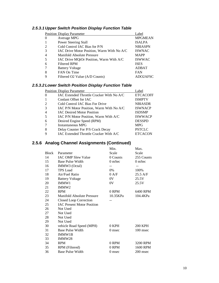# *2.5.3.1 Upper Switch Position Display Function Table*

|                | <b>Position Display Parameter</b>          | Label          |
|----------------|--------------------------------------------|----------------|
| $\mathbf{0}$   | Average MPG                                | <b>MPGMEAN</b> |
| 1              | Power Steering Stall                       | <b>ISALPA</b>  |
| 2              | Cold Control IAC Bias for P/N              | <b>NBIASPN</b> |
| 3              | IAC Drive Motor Position, Warm With No A/C | <b>ISWNAC</b>  |
| $\overline{4}$ | Manifold Absolute Pressure                 | <b>MAPP</b>    |
| 5              | IAC Drive MQtOr Position, Warm With A/C    | <b>ISWWAC</b>  |
| 6              | <b>Filtered RPM</b>                        | <b>ISES</b>    |
| 7              | <b>Battery Voltage</b>                     | <b>ADBAT</b>   |
| 8              | FAN On Time                                | <b>FAN</b>     |
| 9              | Filtered O2 Value (A/D Counts)             | ADO2AFSC       |

# *2.5.3.2 Lower Switch Position Display Function Table*

|                | <b>Position Display Parameter</b>         | Label           |
|----------------|-------------------------------------------|-----------------|
| $\theta$       | IAC Extended Throttle Cracker With No A/C | <b>ETCACOFF</b> |
| -1             | Coolant Offset for IAC                    | <b>ISMPTV</b>   |
| 2              | Cold Control IAC Bias For Drive           | <b>NBIASDR</b>  |
| 3              | IAC P/N Motor Position, Warm With No A/C  | <b>ISWNACP</b>  |
| $\overline{4}$ | <b>IAC Desired Motor Position</b>         | <b>ISDSMP</b>   |
| 5              | IAC P/N Motor Position, Warm With $A/C$   | <b>ISWWACP</b>  |
| 6              | Desired Engine Speed (RPM)                | <b>DESSPD</b>   |
| 7              | Instantaneous MPG                         | <b>MPG</b>      |
| 8              | Delay Counter For P/S Crack Decay         | <b>PSTCLC</b>   |
| 9              | IAC Extended Throttle Cracker With A/C    | <b>ETCACON</b>  |

# **2.5.6 Analog Channel Assignments (Continued)**

|              |                                   | Min.           | Max.           |
|--------------|-----------------------------------|----------------|----------------|
| <b>Block</b> | Parameter                         | Scale          | Scale          |
| 14           | <b>IAC OMP Slew Value</b>         | 0 Counts       | 255 Counts     |
| 15           | Base Pulse Width                  | $0m$ Sec       | $0m$ Sec       |
| 16           | IMMW3 (Octal)                     | --             |                |
| 17           | <b>TPS</b> Load                   | $0\%$          | 100%           |
| 18           | Air/Fuel Ratio                    | 0 A/F          | $25.5$ A/F     |
| 19           | <b>Battery Voltage</b>            | 0 <sup>V</sup> | 25.5V          |
| 20           | IMMW1                             | 0V             | 25.5V          |
| 21           | IMMW <sub>2</sub>                 |                |                |
| 22           | <b>RPM</b>                        | 0 RPM          | 6400 RPM       |
| 23           | Manifold Absolute Pressure        | 10.35KPa       | 104.4KPa       |
| 24           | Closed Loop Correction            |                |                |
| 25           | <b>IAC Present Motor Position</b> |                |                |
| 26           | Not Used                          |                |                |
| 27           | Not Used                          |                |                |
| 28           | Not Used                          |                |                |
| 29           | Not Used                          |                |                |
| 30           | vehicle Road Speed (MPH)          | 0 KPH          | <b>200 KPH</b> |
| 31           | <b>Base Pulse Width</b>           | 0 msec         | 100 msec       |
| 32           | IMMW1B                            |                |                |
| 33           | IMMW28                            |                |                |
| 34           | <b>RPM</b>                        | 0 RPM          | 3200 RPM       |
| 35           | RPM (Filtered)                    | 0 RPM          | 1600 RPM       |
| 36           | <b>Base Pulse Width</b>           | 0 msec         | 200 msec       |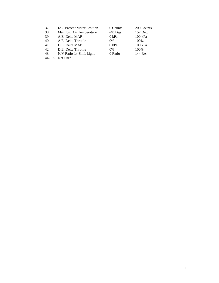| 37 | <b>IAC Present Motor Position</b> | 0 Counts  | 200 Counts |
|----|-----------------------------------|-----------|------------|
| 38 | Manifold Air Temperature          | $-40$ Deg | $152$ Deg  |
| 39 | A.E. Delta MAP                    | 0 kPa     | 100 kPa    |
| 40 | A.E. Delta Throttle               | $0\%$     | 100%       |
| 41 | D.E. Delta MAP                    | 0 kPa     | $100$ kPa  |
| 42 | D.E. Delta Throttle               | $0\%$     | 100%       |
| 43 | N/V Ratio for Shift Light         | 0 Ratio   | 144 RA     |

44-100 Not Used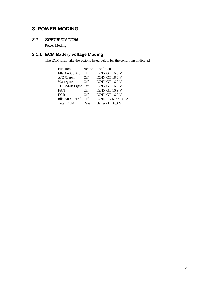# **3 POWER MODING**

# *3.1 SPECIFICATION*

Power Moding

# **3.1.1 ECM Battery voltage Moding**

The ECM shall take the actions listed below for the conditions indicated:

| Function            | Action | Condition               |
|---------------------|--------|-------------------------|
| Idle Air Control    | Off    | <b>IGNN GT 16.9 V</b>   |
| $A/C$ Clutch        | Off    | <b>IGNN GT 16.9 V</b>   |
| Wastegate           | Off    | <b>IGNN GT 16.9 V</b>   |
| TCC/Shift Light Off |        | <b>IGNN GT 16.9 V</b>   |
| <b>FAN</b>          | Off    | <b>IGNN GT 16.9 V</b>   |
| <b>EGR</b>          | Off    | <b>IGNN GT 16.9 V</b>   |
| Idle Air Control    | Off    | <b>IGNN LE KISSPVT2</b> |
| <b>Total ECM</b>    | Reset  | Battery LT 6.3 V        |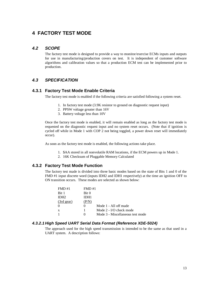# **4 FACTORY TEST MODE**

# *4.2 SCOPE*

The factory test mode is designed to provide a way to monitor/exercise ECMs inputs and outputs for use in manufacturing/production covers on test. It is independent of customer software algorithms and calibration values so that a production ECM test can be implemented prior to production.

# *4.3 SPECIFICATION*

# **4.3.1 Factory Test Mode Enable Criteria**

The factory test mode is enabled if the following criteria are satisfied following a system reset.

- 1. In factory test mode (3.9K resistor to ground on diagnostic request input)
- 2. PPSW voltage greater than 16V
- 3. Battery voltage less than 10V

Once the factory test mode is enabled, it will remain enabled as long as the factory test mode is requested on the diagnostic request input and no system reset occurs. (Note that if ignition is cycled off while in Mode 1 with COP 2 not being toggled, a power down reset will immediately occur).

As soon as the factory test mode is enabled, the following actions take place.

- 1. \$AA stored in all nonvolatile RAM locations, if the ECM powers up in Mode 1.
- 2. 16K Checksum of Pluggable Memory Calculated

# **4.3.2 Factory Test Mode Function**

The factory test made is divided into three basic modes based on the state of Bits 1 and 0 of the FMD #1 input discrete word (inputs IDH2 and IDH1 respectively) at the time an ignition OFF to ON transition occurs. These modes are selected as shown below:

| FMD #1        | FMD #1   |                                  |
|---------------|----------|----------------------------------|
| Bit 1         | Bit 0    |                                  |
| IDH2          | IDH1     |                                  |
| $(3rd)$ gear) | (P/N)    |                                  |
| 0             | $\theta$ | Mode 1 - All off made            |
| X             |          | Mode 2 - I/O check mode          |
| 1             | 0        | Mode 3 - Miscellaneous test mode |

# *4.3.2.1 High Speed UART Serial Data Format (Reference XDE-5024)*

The approach used for the high speed transmission is intended to be the same as that used in a UART system. A description follows: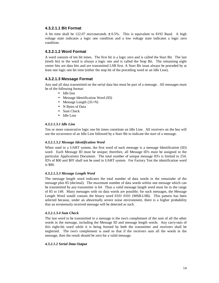### **4.3.2.1.1 Bit Format**

A bit time shall be 122.07 microseconds  $\pm$  0.5%. This is equivalent to 8192 Baud. A high voltage state indicates a logic one condition and a low voltage state indicates a logic zero condition.

# **4.3.2.1.2 Word Format**

A word consists of ten bit times. The first bit is a logic zero and is called the Start Bit. The last (tenth bit) in the word is always a logic one and is called the Stop Bit. The remaining eight center bits are data bits and are transmitted LSB first. A Start Bit inust always be preceded by at least one logic one bit time (either the stop bit of the preceding word or an Idle Line).

# **4.3.2.1.3 Message Format**

Any and all data transmitted on the serial data bus must be part of a message. All messages must be of the following format:

- Idle line
- Message Identification Word (ID)
- Message Length (35+N)
- N Bytes of Data
- Sum Check
- Idle Line

#### *4.3.2.1.3.1 Idle Line*

Ten or more consecutive logic one bit times constitute an Idle Line. All receivers on the bus will use the occurrence of an Idle Line followed by a Start Bit to indicate the start of a message.

#### *4.3.2.1.3.2 Message Identification Word*

When used in a UART system, the first word of each message is a message Identification (ID) word. Each Message ID must be unique; therefore, all Message ID's must be assigned in the particular Applications Document. The total number of unique message ID's is limited to 254. ID's of \$00 and \$FF shall not be used in UART system. For Factory Test the identification word is \$00.

#### *4.3.2.1.3.3 Message Length Word*

The message length word indicates the total number of data words in the remainder of the message plus 85 (decimal). The maximum number of data words within one message which can be transmitted by any transmitter is 64. Thus a valid message length word must lie in the range of 85 to 149. Many messages with no data words are possible; for such messages, the Message Length Word would contain the binary word 0101 0101 (MSB-LSB). This pattern has been selected because, under an abnormally severe noise environment, there is a higher probability that an erroneously received message will be detected as such.

#### *4.3.2.1.3.4 Sum Check*

The last word to be transmitted in a message is the two's complement of the sum of all the other words in the message, including the Message ID and message length words. Any carry-outs of this eight-bit word while it is being formed by both the transmitter and receivers shall be neglected. The two's complement is used so that if the receivers sum all the words in the message, then the result should be zero for a valid message.

#### *4.3.2.1.2 Serial Data Output*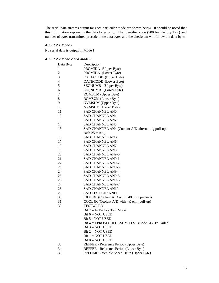The serial data streams output for each particular mode are shown below. It should be noted that this information represents the data bytes only. The identifier code (\$00 for Factory Test) and number of bytes transmitted precede these data bytes and the checksum will follow the data bytes.

### *4.3.2.1.2.1 Mode 1*

No serial data is output in Mode 1

# *4.3.2.1.2.2 Mode 2 and Mode 3*

| Data Byte                | Description                                       |
|--------------------------|---------------------------------------------------|
| $\mathbf{1}$             | PROMIDA (Upper Byte)                              |
| $\overline{c}$           | PROMIDA (Lower Byte)                              |
| 3                        | DATECODE (Upper Byte)                             |
| $\overline{\mathcal{L}}$ | DATECODE (Lower Byte)                             |
| 5                        | SEQNUMB (Upper Byte)                              |
| 6                        | SEQNUMB (Lower Byte)                              |
| 7                        | ROMSUM (Upper Byte)                               |
| 8                        | ROMSUM (Lower Byte)                               |
| 9                        | NVMSUM (Upper Byte)                               |
| 10                       | NVMSUM (Lower Byte)                               |
| 11                       | SAD CHANNEL AN0                                   |
| 12                       | SAD CHANNEL AN1                                   |
| 13                       | SAD CHANNEL ANZ                                   |
| 14                       | SAD CHANNEL AN3                                   |
| 15                       | SAD CHANNEL AN4 (Coolant A/D-alternating pull-ups |
|                          | each 25 msec.)                                    |
| 16                       | <b>SAD CHANNEL ANS</b>                            |
| 17                       | SAD CHANNEL AN6                                   |
| 18                       | <b>SAD CHANNEL AN7</b>                            |
| 19                       | <b>SAD CHANNEL AN8</b>                            |
| 20                       | SAD CHANNEL AN9-0                                 |
| 21                       | SAD CHANNEL AN9-1                                 |
| 22                       | <b>SAD CHANNEL AN9-2</b>                          |
| 23                       | SAD CHANNEL AN9-3                                 |
| 24                       | SAD CHANNEL AN9-4                                 |
| 25                       | SAD CHANNEL AN9-5                                 |
| 26                       | SAD CHANNEL AN9-6                                 |
| 27                       | SAD CHANNEL AN9-7                                 |
| 28                       | SAD CHANNEL AN10                                  |
| 29                       | SAD TEST CHANNEL                                  |
| 30                       | C00L348 (Coolant AID with 348 ohm pull-up)        |
| 31                       | COOL4K (Coolant A/D with 4K ohm pull-up)          |
| 32                       | <b>TESTWORD</b>                                   |
|                          | Bit $7 = \text{In Factory Test Mode}$             |
|                          | Bit $6 = NOT$ USED                                |
|                          | Bit 5 = NOT USED                                  |
|                          | Bit 4 = EPROM CHECKSUM TEST (Code 51), 1 = Failed |
|                          | Bit $3 = NOT$ USED                                |
|                          | Bit $2 = NOT$ USED                                |
|                          | Bit $1 = NOT$ USED                                |
|                          | Bit $0 = NOT$ USED                                |
| 33                       | REFPER - Reference Period (Upper Byte)            |
| 34                       | REFPER - Reference Period (Lower Byte)            |
| 35                       | PP1TIMD - Vehicle Speed Delta (Upper Byte)        |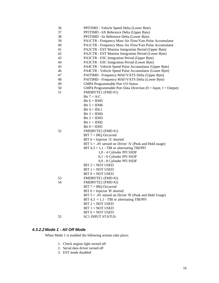| 36 | PPITIMD - Vehicle Speed Delta (Lower Byte)                           |
|----|----------------------------------------------------------------------|
| 37 | PP2TIMD - 6X Reference Delta (Upper Byte)                            |
| 38 | PP2TIMD - 6x Reference Delta (Lower Byte)                            |
| 39 | PA1CTR - Frequency Mass Air Flow/Vats Pulse Accumulator              |
| 40 | PA1CTR - Frequency Mass Air Flow/Vats Pulse Accumulator              |
| 41 | PA2CTR - EST Monitor Integration Period (Upper Byte)                 |
| 42 | PA2CTR - EST Monitor Integration Period (Lower Byte)                 |
| 43 | PA3CTR - ESC Integration Period (Upper Byte)                         |
| 44 | PA3CTR - ESC Integration Period (Lower Byte)                         |
| 45 | PA4CTR - Vehicle Speed Pulse Accumulator (Upper Byte)                |
| 46 | PA4CTR - Vehicle Speed Pulse Accumulator (Lower Byte)                |
| 47 | PAITIMD - Frequency MAF/VATS Delta (Upper Byte)                      |
| 48 | PAITIMD - Frequency MAF/VATS Delta (Lower Byte)                      |
| 49 | GMP4 Programmable Port I/O Status                                    |
| 50 | GMP4 Programmable Port Data Direction ( $0 = Input$ , $1 = Output$ ) |
| 51 | FMDBYTE1 (FMD #1)                                                    |
|    | Bit $7 = A/C$                                                        |
|    | Bit $6 = IDH5$                                                       |
|    | Bit $5 = IDH6$                                                       |
|    | Bit $4 = IDL1$                                                       |
|    | Bit $3 = IDH4$                                                       |
|    | Bit $2 = IDH3$                                                       |
|    | Bit $1 = IDH2$                                                       |
|    | $Bit 0 = IDH1$                                                       |
| 52 | FMDBYTE2 (FMD #1)                                                    |
|    | $BIT 7 = IRQ$ Occurred                                               |
|    | $BIT 6 = Injector 'A' shorted$                                       |
|    | BIT $5 = .4V$ sensed on Driver 'A' (Peak and Hold usage)             |
|    | BIT $4,3 = 1,1$ - TBI or alternating TBI/PFI                         |
|    | 1,0 - 4 Cylinder PFI SSDF                                            |
|    | 0,1 - 6 Cylinder PFI SSOF                                            |
|    | 0,0 - 8 Cylinder PFI SSDF                                            |
|    | $BIT 2 = NOT USED$                                                   |
|    | $BIT 1 = NOT USED$                                                   |
|    | $BIT 0 = NOT USED$                                                   |
| 53 | FMDBYTE1 (FMD #2)                                                    |
| 54 | FMDBYTE2 (FMD #2)                                                    |
|    | $BIT 7 = IRQ$ Occurred                                               |
|    | $BIT 6 = Injector 'B' shorted$                                       |
|    | BIT $5 = .4V$ sensed on Driver 'B' (Peak and Hold Usage)             |
|    | BIT $4,3 = 1,1$ - TBI or alternating TBI/PFI                         |
|    | $BIT 2 = NOT USED$                                                   |
|    | $BIT 1 = NOT USED$                                                   |
|    | $BIT 0 = NOT USED$                                                   |
| 55 | <b>SC1 INPUT STATUS</b>                                              |
|    |                                                                      |

# *4.3.2.2 Mode 1 - All Off Mode*

When Mode 1 is enabled the following actions take place:

- 1. Check engine light turned off
- 2. Serial data driver turned off
- 3. EST mode disabled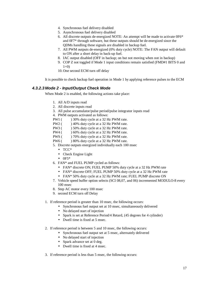- 4. Synchronous fuel delivery disabled
- 5. Asynchronous fuel delivery disabled
- 6. All discrete outputs de-energized NOTE: An attempt will be made to activate 0F6\* and 0F7\* through software, but these outputs should be de-energized since the QDMs handling these signals are disabled in backup fuel.
- 7. All PWM outputs de-energized (0% duty cycle) NOTE: The FAN output will default to ON after a short delay in back-up fuel.
- 8. IAC output disabled (OFF in backup; on but not moving when not in backup)
- 9. COP Z not toggled if Mode 1 input conditions remain satisfied (FMD#1 BITS 0 and  $1=0$ )
- 10. One second ECM turn off delay

It is possible to check backup fuel operation in Mode 1 by applying reference pulses to the ECM

# *4.3.2.3 Mode 2 - Input/Output Check Mode*

When Mode 2 is enabled, the following actions take place:

- 1. All A/D inputs read
- 2. All discrete inputs read
- 3. All pulse accumulator/pulse period/pulse integrator inputs read

4. PWM outputs activated as follows:

- PW1 ( ) 30% duty cycle at a 32 Hz PWM rate.
- PW2 ( ) 40% duty cycle at a 32 Hz PWM rate.
- PW3 ( ) 50% duty cycle at a 32 Hz PWM rate.
- PW4 ( ) 60% duty cycle at a 32 Hz PWM rate.
- PWS () 70% duty cycle at a 32 Hz PWM rate.
- PW6 ( ) 80% duty cycle at a 32 Hz PWM rate.
- 5. Discrete outputs energized individually each 100 msec
	- TCC\*
	- Check Engine Light
	- $\bullet$  0F5\*
- 6. FAN\* and FUEL PUMP cycled as follows:
	- FAN\* discrete ON; FUEL PUMP 50% duty cycle at a 32 Hz PWM rate
	- FAN\* discrete OFF; FUEL PUMP 50% duty cycle at a 32 Hz PWM rate
	- FAN\* 50% duty cycle at a 32 Hz PWM rate; FUEL PUMP discrete ON
- 7. Vehicle speed buffer option selects (SCI 08,07, and 06) incremented MODULO-8 every 100 msec
- 8. Step AC motor every 100 msec
- 9. second ECM turn off Delay
- 1. If reference period is greater than 10 msec, the following occurs:
	- Synchronous fuel output set at 10 msec, simultaneously delivered
	- No delayed start of injection
	- Spark is set at Reference Period/4 Retard, (45 degrees for 4 cylinder)
	- Dwell time is fixed at 5 msec.
- 2. If reference period is between 5 and 10 msec, the following occurs:
	- Synchronous fuel output set at 5 msec, alternately delivered
	- No delayed start of injection
	- Spark advance set at 0 deg.
	- Dwell time is fixed at 4 msec.
- 3. If reference period is less than 5 msec, the following occurs: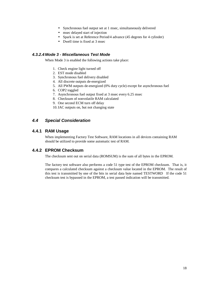- Synchronous fuel output set at 1 msec, simultaneously delivered
- msec delayed start of injection
- Spark is set at Reference Period/4 advance (45 degrees for 4 cylinder)
- Dwell time is fixed at 3 msec

### *4.3.2.4 Mode 3 - Miscellaneous Test Mode*

When Mode 3 is enabled the following actions take place:

- 1. Check engine light turned off
- 2. EST mode disabled
- 3. Synchronous fuel delivery disabled
- 4. All discrete outputs de-energized
- 5. All PWM outputs de-energized (0% duty cycle) except for asynchronous fuel
- 6. COP2 toggled
- 7. Asynchronous fuel output fixed at 3 msec every 6.25 msec
- 8. Checksum of nonvolatile RAM calculated
- 9. One second ECM turn off delay
- 10.IAC outputs on, but not changing state

# *4.4 Special Consideration*

# **4.4.1 RAM Usage**

When implementing Factory Test Software, RAM locations in all devices containing RAM should be utilized to provide some automatic test of RAM.

# **4.4.2 EPROM Checksum**

The checksum sent out on serial data (ROMSUM) is the sum of all bytes in the EPROM.

The factory test software also performs a code 51 type test of the EPROM checksum. That is, it compares a calculated checksum against a checksum value located in the EPROM. The result of this test is transmitted by one of the bits in serial data byte named TESTWORD If the code 51 checksum test is bypassed in the EPROM, a test passed indication will be transmitted.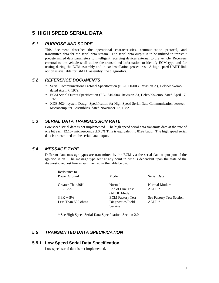# **5 HIGH SPEED SERIAL DATA**

# *5.1 PURPOSE AND SCOPE*

This document describes the operational characteristics, communication protocol, and transmitted data for the serial data stream. The serial data output is to be utilized to transmit predetermined data parameters to intelligent receiving devices external to the vehicle. Receivers external to the vehicle shall utilize the transmitted information to identify ECM type and for testing during the ECM assembly and in-car installation procedures. A high speed UART link option is available for GMAD assembly line diagnostics.

# *5.2 REFERENCE DOCUMENTS*

- Serial Communications Protocol Specification (EE-1800-003, Revision A), Delco/Kokomo, dated April 7, 1979.
- ECM Serial Output Specification (EE-1810-004, Revision A), Delco/Kokomo, dated April 17, 1979.
- XDE 5024, system Design Specification for High Speed Serial Data Communication between Microcomputer Assemblies, dated November 17, 1982.

# *5.3 SERIAL DATA TRANSMISSION RATE*

Low speed serial data is not implemented. The high speed serial data transmits data at the rate of one bit each 122.07 microseconds  $\pm$  0.5% This is equivalent to 8192 baud. The high speed serial data is transmitted on the serial data output.

# *5.4 MESSAGE TYPE*

Different data message types are transmitted by the ECM via the serial data output port if the ignition is on. The message type sent at any point in time is dependent upon the state of the diagnostic request line as summarized in the table below:

| Resistance to      |                         |                          |
|--------------------|-------------------------|--------------------------|
| Power Ground       | Mode                    | Serial Data              |
| Greater Than 20K   | Normal                  | Normal Mode *            |
| $10K + -5\%$       | End of Line Test        | ALDL $*$                 |
|                    | (ALDL Mode)             |                          |
| $3.9K + 5\%$       | <b>ECM Factory Test</b> | See Factory Test Section |
| Less Than 500 ohms | Diagnostics/Field       | $ALDL*$                  |
|                    | Service                 |                          |

\* See High Speed Serial Data Specification, Section 2.0

# *5.5 TRANSMITTED DATA SPECIFICATION*

# **5.5.1 Low Speed Serial Data Specification**

Low speed serial data is not implemented.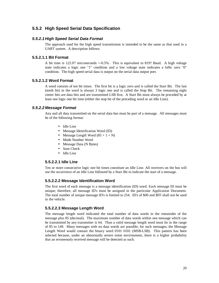# **5.5.2 High Speed Serial Data Specification**

### *5.5.2.1 High Speed Serial Data Format*

The approach used for the high speed transmission is intended to be the same as that used in a UART system. A description follows:

### **5.5.2.1.1 Bit Format**

A bit time is 122.07 microseconds +-0.5%. This is equivalent to 819? Baud. A high voltage state indicates a logic one "1" condition and a low voltage state indicates a lo9ic zero "0" condition. The high speed serial data is output on the serial data output port.

### **5.5.2.1.2 Word Format**

A word consists of ten bit times. The first bit is a logic zero and is called the Start Bit. The last (tenth bit) in the word is always 3 logic one and is called the Stop Bit. The remaining eight center bits are data bits and are transmitted LSB first. A Start Bit must always be preceded by at least one logic one bit time (either the stop bit of the preceding word or an Idle Line).

### *5.5.2.2 Message Format*

Any and all data transmitted on the serial data bus must be part of a message. All messages must be of the following format:

- Idle Line
- Message Identification Word (ID)
- Message Length Word  $(85 + 1 + N)$
- Mode Number Word
- Message Data (N Bytes)
- Sum Check
- Idle Line

# **5.5.2.2.1 Idle Line**

Ten or more consecutive logic one bit times constitute an Idle Line. All receivers on the bus will use the occurrence of an Idle Line followed by a Start Bit to indicate the start of a message.

# **5.5.2.2.2 Message Identification Word**

The first word of each message is a message identification (ID) word. Each message ID must be unique; therefore, all message ID's must be assigned in the particular Application Document. The total number of unique message ID's is limited to 254. ID's of \$00 and \$FF shall not be used in the vehicle.

# **5.5.2.2.3 Message Length Word**

The message length word indicated the total number of data words in the remainder of the message plus 85 (decimal). The maximum number of data words within one message which can be transmitted by any transmitter is 64. Thus a valid message length word must lie in the range of 85 to 149. Many messages with no data words are possible; for such messages, the Message Length Word would contain the binary word 0101 0101 (MSB-LSB). This pattern has been selected because, under an abnormally severe noise environment, there is a higher probability that an erroneously received message will be detected as such.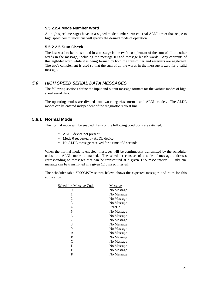#### **5.5.2.2.4 Mode Number Word**

All high speed messages have an assigned mode number. An external ALDL tester that requests high speed communications will specify the desired mode of operation.

#### **5.5.2.2.5 Sum Check**

The last word to be transmitted in a message is the two's complement of the sum of all the other words in the message, including the message ID and message length words. Any carrycuts of this eight-bit word while it is being formed by both the transmitter and receivers are neglected. The two's complement is used so that the sum of all the words in the message is zero for a valid message.

# *5.6 HIGH SPEED SERIAL DATA MESSAGES*

The following sections define the input and output message formats for the various modes of high speed serial data.

The operating modes are divided into two categories, normal and ALDL modes. The ALDL modes can be entered independent of the diagnostic request line.

# **5.6.1 Normal Mode**

The normal mode will be enabled if any of the following conditions are satisfied:

- ALDL device not present.
- Mode 0 requested by ALDL device.
- No ALDL message received for a time of 5 seconds.

When the normal mode is enabled, messages will be continuously transmitted by the scheduler unless the ALDL mode is enabled. The scheduler consists of a table of message addresses corresponding to messages that can be transmitted at a given 12.5 msec interval. Onlv one message can be transmitted in a given 12.5 msec interval.

The scheduler table \*F9OMST\* shown below, shows the expected messages and rates for this application:

| Schedules Message Code | Message     |
|------------------------|-------------|
| 0                      | No Message  |
|                        | No Message  |
| 2                      | No Message  |
| 3                      | No Message  |
| 4                      | $*$ F97 $*$ |
| 5                      | No Message  |
| 6                      | No Message  |
| 7                      | No Message  |
| 8                      | No Message  |
| 9                      | No Message  |
| A                      | No Message  |
| B                      | No Message  |
| C                      | No Message  |
| D                      | No Message  |
| Е                      | No Message  |
| F                      | No Message  |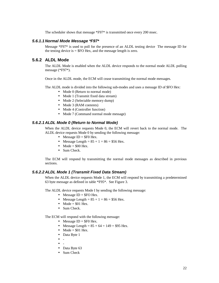The scheduler shows that message \*F97\* is transmitted once every 200 msec.

### *5.6.1.1 Normal Mode Message \*F97\**

Message \*F97\* is used to poll for the presence of an ALDL testing device The message ID for the testing device is  $=$  \$FO Hex, and the message length is zero.

# **5.6.2 ALDL Mode**

The ALDL Mode is enabled when the ALDL device responds to the normal mode ALDL polling message (\*F97\*).

Once in the ALDL mode, the ECM will cease transmitting the normal mode messages.

The ALDL mode is divided into the following sub-modes and uses a message ID of \$FO Hex:

- Mode 0 (Return to normal mode)
- Mode 1 (Transmit fixed data stream)
- Mode 2 (Selectable memory dump)
- Mode 3 (RAM contents)
- Mode 4 (Controller function)
- Mode 7 (Command normal mode message)

#### *5.6.2.1 ALDL Mode 0 (Return to Normal Mode)*

When the ALDL device requests Mode 0, the ECM will revert back to the normal mode. The ALDL device requests Mode 0 by sending the following message:

- Message  $ID = $F0$  Hex.
- Message Length =  $85 + 1 = 86 = $56$  Hex.
- Mode =  $$00$  Hex.
- Sum Check.

The ECM will respond by transmitting the normal mode messages as described in previous sections.

### *5.6.2.2 ALDL Mode 1 (Transmit Fixed Data Stream)*

When the ALDL device requests Mode 1, the ECM will respond by transmitting a predetermined 63 byte message as defined in table \*F95\*. See Figure 3.

The ALDL device requests Mode I by sending the following message:

- Message ID +  $$FO$  Hex.
- Message Length  $= 85 + 1 = 86 = $56$  Hex.
- Mode =  $$01$  Hex.
- Sum Check.

The ECM will respond with the following message:

- Message  $ID = $F0$  Hex.
- Message Length =  $85 + 64 = 149 = $95$  Hex.
- Mode =  $$01$  Hex.
- Data Byte 1
- -
- -
- Data Byte 63
- Sum Check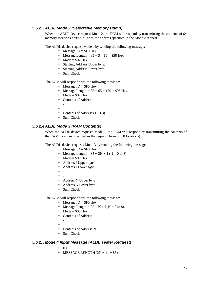# *5.6.2.3 ALDL Mode 2 (Selectable Memory Dump)*

When the ALDL device request Mode 2, the ECM will respond by transmitting the contents of 64 memory locations be9innin9 with the address specified in the Mode 2 request.

The ALDL device request Mode a by sending the following message:

- Message  $ID = $F0$  Hex.
- Message Length  $= 85 + 3 = 86 = $58$  Hex.
- Mode =  $$02$  Hex.
- Starting Address Upper byte.
- Starting Address Lower byte.
- Sum Check.

The ECM will respond with the following message:

- Message  $ID = $F0$  Hex.
- Message Length =  $85 + 65 = 150 = $96$  Hex.
- Mode =  $$02$  Hex.
- Contents of Address 1
- -
- -
- Contents of Address  $(1 + 63)$
- Sum Check

### *5.6.2.4 ALDL Mode 3 (RAM Contents)*

When the ALDL device requests Mode 3, the ECM will respond by transmitting the contents of the RAM locations specified in the request (from 0 to 8 locations).

The ALDL device requests Mode 3 by sending the following message:

- Message  $ID = $F0$  Hex.
- Message Length =  $85 + 2N + 1$  (N = 0 to 8).
- Mode =  $$03$  Hex.
- Address I Upper byte
- Address I Lower byte
- -
- -
- Address N Upper byte
- Address N Lower byte
- Sum Check

The ECM will respond with the following message:

- Message  $ID = $F0$  Hex.
- Message Length =  $85 + N + I$  (N = 0 to 8).
- Mode =  $$03$  Hex.
- Contents of Address 1
- -
- -
- Contents of Address N
- Sum Check

#### *5.6.2.5 Mode 4 Input Message (ALDL Tester Request)*

- ID
- MESSAGE LENGTH  $(2N + 11 + 85)$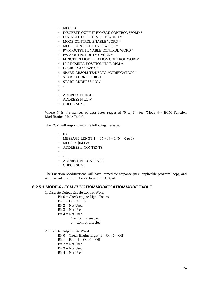- MODE 4
- DISCRETE OUTPUT ENABLE CONTROL WORD \*
- DISCRETE OUTPUT STATE WORD \*
- MODE CONTROL ENABLE WORD \*
- MODE CONTROL STATE WORD \*
- PWM OUTPUT ENABLE CONTROL WORD \*
- PWM OUTPUT DUTY CYCLE \*
- FUNCTION MODIFICATION CONTROL WORD\*
- IAC DESIRED POSITION/IDLE RPM \*
- DESIRED A/F RATIO \*
- SPARK ABSOLUTE/DELTA MODIFICATION \*
- START ADDRESS HIGH
- START ADDRESS LOW
- -
- -
- ADDRESS N HIGH
- ADDRESS N LOW
- CHECK SUM

Where N is the number of data bytes requested (0 to 8). See "Mode 4 - ECM Function Modification Mode Table".

The ECM will respond with the following message:

- ID
- MESSAGE LENGTH  $= 85 + N + 1$  (N  $= 0$  to 8)
- MODE =  $$04$  Hex.
- ADDRESS 1 CONTENTS
- -
- -
- ADDRESS N CONTENTS
- CHECK SUM

The Function Modifications will have immediate response (next applicable program loop), and will override the normal operation of the Outputs.

### *6.2.5.1 MODE 4 - ECM FUNCTION MODIFICATION MODE TABLE*

- 1. Discrete Output Enable Control Word
	- $Bit 0 = Check engine Light Control$
	- $Bit 1 = Fan Control$
	- $Bit 2 = Not Used$
	- $Bit 3 = Not Used$
	- Bit  $4 = Not$  Used
		- $1 =$ Control enabled
		- $0 =$  Control disabled

#### 2. Discrete Output State Word

- Bit  $0 =$  Check Engine Light:  $1 = On, 0 =$  Off
- Bit  $1 = \text{Fan: } 1 = \text{On. } 0 = \text{Off}$
- $Bit 2 = Not Used$
- $Bit 3 = Not Used$
- Bit  $4 = Not$  Used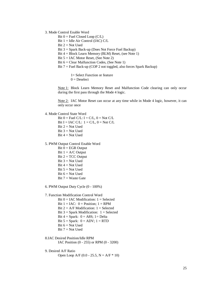3. Mode Control Enable Word

- Bit  $0 =$  Fuel Closed Loop (C/L)
- Bit 1 = Idle Air Control (IAC) C/L
- $Bit 2 = Not Used$
- Bit 3 = Spark Back-up (Does Not Force Fuel Backup)
- Bit 4 = Block Learn Memory (BLM) Reset, (see Note 1)
- Bit 5 = IAC Motor Reset, (See Note 2)
- Bit 6 = Clear Malfunction Codes, (See Note 1)
- Bit 7 = Fuel Back-up (COP 2 not toggled, also forces Spark Backup)

1= Select Function or feature  $0 = Deselect$ 

Note 1: Block Learn Memory Reset and Malfunction Code clearing can only occur during the first pass through the Mode 4 logic.

Note 2: IAC Motor Reset can occur at any time while in Mode 4 logic, however, it can only occur once

4. Mode Control State Word

Bit  $0 =$  Fuel C/L:  $I = C/L$ ,  $0 =$  Not C/L Bit I = IAC C/L:  $1 = C/L$ ,  $0 = Not C/L$  $Bit 2 = Not Used$  $Bit 3 = Not Used$ Bit  $4 = Not$  Used

- 5. PWM Output Control Enable Word
	- $Bit 0 = EGR Output$ Bit  $1 = A/C$  Output Bit  $2 = TCC$  Output  $Bit 3 = Not Used$
	- Bit  $4 = Not$  Used
	- Bit  $5 = Not$  Used
	- Bit  $6 = Not$  Used
	- Bit  $7 = W$ aste Gate
- 6. PWM Output Duty Cycle (0 100%)

### 7. Function Modification Control Word

- Bit  $0 = IAC$  Modification:  $1 =$  Selected Bit  $1 = IAC$ :  $0 = Position$ :  $1 = RPM$ Bit  $2 = A/F$  Modification:  $1 =$  Selected Bit  $3 =$  Spark Modification:  $1 =$  Selected Bit  $4 =$  Spark:  $0 =$  A8S;  $1 =$  Delta Bit  $5 =$  Spark:  $0 =$  ADV;  $1 =$  RTD Bit  $6 = Not$  Used  $Bit 7 = Not Used$
- 8.IAC Desired Position/Idle RPM IAC Position (0 - 255) or RPM (0 - 3200)
- 9. Desired A/F Ratio Open Loop A/F  $(0.0 - 25.5, N = A/F * 10)$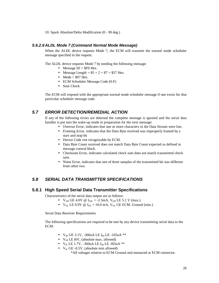10. Spark Absolute/Delta Modification (0 - 90 deg.)

### *5.6.2.6 ALDL Mode 7 (Command Normal Mode Message)*

When the ALDL device requests Mode 7, the ECM will transmit the normal mode scheduler message specified in the request.

The ALDL device requests Mode 7 by sending the following message:

- Message  $ID = $F0$  Hex.
- Message Length =  $85 + 2 = 87 = $57$  Hex.
- Mode =  $$07$  Hex.
- ECM Scheduler Message Code (0-F)
- Sum Check

The ECM will respond with the appropriate normal mode scheduler message if one exists for that particular scheduler message code.

# *5.7 ERROR DETECTION/REMEDIAL ACTION*

If any of the following errors are detected the complete message is ignored and the serial data handler is put into the wake-up mode in preparation for the next message:

- Overrun Error, indicates that one or more characters in the Data Stream were lost.
- Framing Error, indicates that the Data Byte received was improperly framed by a start and stop bit
- Device Code riot recognizable by ECM.
- Data Byte Count received does not match Data Byte Count expected as defined in message control block.
- Checksum Error, indicates calculated check sum does not match transmitted check sum.
- Noise Error, indicates that one of three samples of the transmitted bit was different from other two.

# *5.8 SERIAL DATA TRANSMITTER SPECIFICATIONS*

### **5.8.1 High Speed Serial Data Transmitter Specifications**

Characteristics of the serial data output are as follows:

- $V_{OH}$  GE 4.0V @  $I_{OH}$  = -2.5mA,  $V_{OH}$  LE 5.1 V (max.)
- $V_{OL}$  LE 0.9V @  $I_{OL} = 10.0$  mA,  $V_{OL}$  GE ECM. Ground (min.)

Serial Data Receiver Requirements

The following specifications are required to be met by any device transmitting serial data to the ECM:

- $V_{IH}$  GE 3.1V, -360uA LE I<sub>IH</sub> LE -165uA \*\*
- $V_{IH}$  LE 16V, (absolute max. allowed)
- $V_{IL}$  LE 1.7V, -360uA LE I<sub>IH</sub> LE -165uA \*\*
- $V_{IL}$  GE -0.5V, (absolute min allowed)

\*All voltages relative to ECM Ground and measured at ECM connector.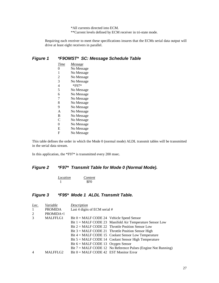\*All currents directed into ECM. \*\*Current levels defined by ECM receiver in tri-state mode.

Requiring each receiver to meet these specifications insures that the ECMs serial data output will drive at least eight receivers in parallel.

# *Figure 1 \*F9OMST\* SC: Message Schedule Table*

| Time | Message     |
|------|-------------|
| 0    | No Message  |
| 1    | No Message  |
| 2    | No Message  |
| 3    | No Message  |
| 4    | $*$ F97 $*$ |
| 5    | No Message  |
| 6    | No Message  |
| 7    | No Message  |
| 8    | No Message  |
| 9    | No Message  |
| A    | No Message  |
| B    | No Message  |
| C    | No Message  |
| 0    | No Message  |
| Е    | No Message  |
| F    | No Message  |

This table defines the order in which the Mode 0 (normal mode) ALDL transmit tables will be transmitted in the serial data stream.

In this application, the \*F97\* is transmitted every 200 msec.

# *Figure 2 \*F97\* Transmit Table for Mode 0 (Normal Mode).*

| Location | Content    |
|----------|------------|
|          | <b>SFO</b> |

# *Figure 3 \*F95\* Mode 1 ALDL Transmit Table.*

| Loc.           | Variable       | Description                                                |                                                                        |
|----------------|----------------|------------------------------------------------------------|------------------------------------------------------------------------|
| $\mathbf{1}$   | <b>PROMIDA</b> | Last 4 digits of ECM serial #                              |                                                                        |
| 2              | PROMIDA+1      |                                                            |                                                                        |
| 3              | MALFFLG1       | Bit $0 = \text{MALF}$ CODE 24 Vehicle Speed Sensor         |                                                                        |
|                |                |                                                            | Bit $1 = \text{MALF}$ CODE 23 Manifold Air Temperature Sensor Low      |
|                |                |                                                            | $Bit 2 = MALF CODE 22$ Throttle Position Sensor Low                    |
|                |                |                                                            | Bit $3 = \text{MALF}$ CODE 21 Throttle Position Sensor High            |
|                |                |                                                            | Bit $4 = \text{MALF}$ CODE 15 Coolant Sensor Low Temperature           |
|                |                |                                                            | Bit $5 = \text{MALF}$ CODE 14 Coolant Sensor High Temperature          |
|                |                | Bit $6 = \text{MALF} \text{CODE} 13 \text{ Oxygen}$ Sensor |                                                                        |
|                |                |                                                            | Bit $7 = \text{MALF}$ CODE 12 No Reference Pulses (Engine Not Running) |
| $\overline{4}$ | MALFFLG2       | $Bit 0 = MALF CODE 42 EST Monitor Error$                   |                                                                        |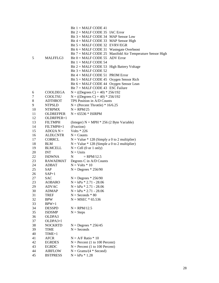|          |                    | Bit $1 = \text{MALF CODE } 41$                                     |
|----------|--------------------|--------------------------------------------------------------------|
|          |                    | Bit $2 = \text{MALF}$ CODE 35 IAC Error                            |
|          |                    | Bit $3 = \text{MALF CODE } 34$ MAP Sensor Low                      |
|          |                    | Bit $4 = \text{MALF CODE}$ 33 MAP Sensor High                      |
|          |                    | Bit 5 = MALF CODE 32 EVRV/EGR                                      |
|          |                    | Bit $6 = \text{MALF CODE } 31$ Wastegate Overboost                 |
|          |                    | Bit $7 = \text{MALF}$ CODE 25 Manifold Air Temperature Sensor High |
| 5        | MALFFLG3           | Bit $0 = \text{MALF}$ CODE 55 ADV Error                            |
|          |                    | Bit $1 = \text{MALF}$ CODE 54                                      |
|          |                    | Bit $2 = \text{MALF}$ CODE 53 High Battery Voltage                 |
|          |                    | Bit $3 = MALF$ CODE 52                                             |
|          |                    | Bit $4 = MALF$ CODE 51 PROM Error                                  |
|          |                    | Bit $5 = \text{MALF}$ CODE 45 Oxygen Sensor Rich                   |
|          |                    | Bit 6 = MALF CODE 44 Oxygen Sensor Lean                            |
|          |                    | Bit 7 = MALF CODE 43 ESC Failure                                   |
| 6        | <b>COOLDEGA</b>    | $N = ((Degrees C) + 40) * 256/192$                                 |
| 7        | <b>COOLTSU</b>     | $N = ((Degrees C) + 40) * 256/192$                                 |
| 8        | <b>ADTHROT</b>     | TPS Position in A/D Counts                                         |
| 9        | <b>NTPSLD</b>      | $N = (Percent Throttle) * 16/6.25$                                 |
| 10       | <b>NTRPMX</b>      | $N = \text{RPM}/25$                                                |
| 11       | OLDREFPER          | $N = 65536 * ISIRPM$                                               |
| 12       | OLDRFPER+1         |                                                                    |
| 13       | <b>FILTMPH</b>     | (Integer) $N = MPH * 256$ (2 Byte Variable)                        |
| 14       | FILTMPH+1          | (Fraction)                                                         |
| 15       | $ADO2A N =$        | Volts * 226                                                        |
| 16       | <b>ALDLCNTR</b>    | $N =$ Counts                                                       |
| 17       | <b>CORRCL</b>      | $N = Value * 128$ (Simply a 0 to 2 multiplier)                     |
| 18       | <b>BLM</b>         | $N = Value * 128$ (Simple a 0 to 2 multiplier)                     |
| 19       | <b>BLMCELL</b>     | $N = Cell (0 or 1 only)$                                           |
| 20       | <b>INT</b>         | $N =$ Units                                                        |
| 22       | <b>ISDWNA</b>      | N<br>$=$ RPM/12.5                                                  |
| 23       | <b>RAWADMAT</b>    | Degrees C in A/D Counts                                            |
| 24       | <b>ADBAT</b>       | $N = Volts * 10$                                                   |
| 25       | SAP                | $N =$ Degrees * 256/90                                             |
| 26       | $SAP+1$            |                                                                    |
| 27       | <b>SAC</b>         | $N =$ Degrees $* 256/90$                                           |
| 23       | <b>AOBARO</b>      | $N = kPa * 2.71 - 28.06$                                           |
| 29       | <b>ADVAC</b>       | $N = kPa * 2.71 - 28.06$                                           |
| 30       | ADMAP              | $N = kPa * 2.71 - 28.06$                                           |
| 31       | TREF               | $N =$ Seconds $* 80$                                               |
| 32       | <b>BPW</b>         | $N = MSEC * 65.536$                                                |
| 33<br>34 | $BPW+1$            |                                                                    |
| 35       | <b>DESSPD</b>      | $N = \text{RPM}/12.5$                                              |
| 36       | <b>ISDSMP</b>      | $N =$ Steps                                                        |
| 37       | OLDPA3<br>OLDPA3+1 |                                                                    |
| 38       | <b>NOCKRTD</b>     | $N =$ Degrees * 256/45                                             |
| 39       | TIME               | $N =$ Seconds                                                      |
| 40       | $TIME+1$           |                                                                    |
| 41       | AFCR               | $N = A/F$ Ratio * 10                                               |
| 42       | <b>EGRDES</b>      | $N =$ Percent (1 to 100 Percent)                                   |
| 43       | <b>EGRDC</b>       | $N =$ Percent (1 to 100 Percent)                                   |
| 44       | <b>AIRFLOW</b>     | $N = \text{Grams}/(4 * \text{Second})$                             |
| 45       | <b>BSTPRESS</b>    | $N = kPa * 1.28$                                                   |
|          |                    |                                                                    |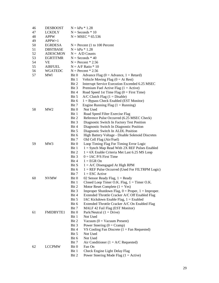| 46 | <b>DESBOOST</b>  |                                 | $N = kPa * 1.28$                                      |  |  |  |
|----|------------------|---------------------------------|-------------------------------------------------------|--|--|--|
| 47 | <b>LCKDLY</b>    | $N =$ Seconds $* 10$            |                                                       |  |  |  |
| 48 | <b>APPW</b>      | $N = MSEC * 65.536$             |                                                       |  |  |  |
| 49 | $APPW+1$         |                                 |                                                       |  |  |  |
| 50 | <b>EGRDESA</b>   | $N =$ Percent (1 to 100 Percent |                                                       |  |  |  |
| 51 | <b>DBSTBASE</b>  |                                 | $N = kPa * 1.28$                                      |  |  |  |
| 52 | <b>ADESCMON</b>  |                                 | $N = A/D$ Counts                                      |  |  |  |
| 53 | <b>EGRTITMR</b>  |                                 | $N =$ Seconds $*$ 40                                  |  |  |  |
| 54 | VE               |                                 | $N =$ Percent $* 2.56$                                |  |  |  |
| 55 | <b>AIRFUEL</b>   |                                 | $N = A/F$ Ratio * 10                                  |  |  |  |
| 56 | <b>WGATEDC</b>   |                                 | $N =$ Percent $* 2.56$                                |  |  |  |
| 57 | <b>MWI</b>       | Bit 0                           | Advance Flag ( $0 =$ Advance, $1 =$ Retard)           |  |  |  |
|    |                  | Bit 1                           | Vehicle Moving Flag $(0 = At Rest)$                   |  |  |  |
|    |                  | Bit 2                           | Interrupt Service Execution Exceeded 6.25 MSEC        |  |  |  |
|    |                  | Bit 3                           | Premium Fuel Active Flag $(1 = Active)$               |  |  |  |
|    |                  | Bit 4                           | Road Speed 1st Time Flag $(0 = First Time)$           |  |  |  |
|    |                  | Bit 5                           | $A/C$ Clutch Flag (1 = Disable)                       |  |  |  |
|    |                  | Bit 6                           | $1 = Bypass Check Enabled (EST Monitor)$              |  |  |  |
|    |                  | Bit 7                           | Engine Running Flag $(1)$ = Running)                  |  |  |  |
| 58 | MW <sub>2</sub>  | Bit 0                           | Not Used                                              |  |  |  |
|    |                  | Bit 1                           | Road Speed Filter Exercise Flag                       |  |  |  |
|    |                  | Bit 2                           | Reference Pulse Occurred (6.25 MSEC Check)            |  |  |  |
|    |                  | Bit 3                           | Diagnostic Switch In Factory Test Position            |  |  |  |
|    |                  | Bit 4                           | Diagnostic Switch In Diagnostic Position              |  |  |  |
|    |                  | Bit 5                           | Diagnostic Switch In ALDL Position                    |  |  |  |
|    |                  | Bit 6                           | High Battery Voltage - Disable Solenoid Discretes     |  |  |  |
|    |                  | Bit 7                           | Old Cell Flag (Air/Fuel)                              |  |  |  |
| 59 | MW3              | Bit 0                           | Loop Timing Flag For Timing Error Logic               |  |  |  |
|    |                  | Bit 1                           | $1 =$ Synch Map Read With 2X REF Pulses Enabled       |  |  |  |
|    |                  | Bit 2                           | $1 = 6X$ Enable Criteria Met Last 6.25 MS Loop        |  |  |  |
|    |                  | Bit 3                           | $0 = IAC P/S$ First Time                              |  |  |  |
|    |                  | Bit 4                           | $1 = EGR$ On                                          |  |  |  |
|    |                  | Bit S                           | $1 = A/C$ Disengaged At High RPM                      |  |  |  |
|    |                  | Bit 6                           | $1 = REF$ Pulse Occurred (Used For FILTRPM Logic)     |  |  |  |
|    |                  | Bit 7                           | $1 = ESC$ Active                                      |  |  |  |
| 60 | <b>NVMW</b>      | Bit 0                           | 02 Sensor Ready Flag, $1 =$ Ready                     |  |  |  |
|    |                  | Bit 1                           | Closed Loop Timer O.K. Flag, $1 =$ Timer O.K.         |  |  |  |
|    |                  | Bit 2                           | Motor Reset Complete $(1 = Yes)$                      |  |  |  |
|    |                  | Bit 3                           | Improper Shutdown Flag, $0 =$ Proper, $1 =$ Improper. |  |  |  |
|    |                  | Bit 4                           | Extended Throttle Cracker A/C Off Enabled Flag        |  |  |  |
|    |                  | Bit 5                           | IAC Kickdown Enable Flag, $1 =$ Enabled               |  |  |  |
|    |                  | Bit 6                           | Extended Throttle Cracker A/C On Enabled Flag         |  |  |  |
|    |                  | Bit 7                           | MALF 42 Fail Flag (EST Monitor)                       |  |  |  |
| 61 | <b>FMIDBYTE1</b> | Bit 0                           | Park/Neutral $(1 = Drive)$                            |  |  |  |
|    |                  | Bit 1                           | Not Used                                              |  |  |  |
|    |                  | Bit 2                           | Vacuum $(0 = Vacuum Present)$                         |  |  |  |
|    |                  | Bit 3                           | Power Steering $(0 = Cramp)$                          |  |  |  |
|    |                  | Bit 4                           | VS Cooling Fan Discrete $(1 = Fan$ Requested)         |  |  |  |
|    |                  | Bit 5<br>Bit 6                  | Not Used<br>Not Used                                  |  |  |  |
|    |                  | Bit 7                           | Air Conditioner ( $1 = A/C$ Requested)                |  |  |  |
| 62 | <b>LCCPMW</b>    | Bit 0                           | Fan On                                                |  |  |  |
|    |                  | Bit 1                           | Check Engine Light Delay Flag                         |  |  |  |
|    |                  | Bit 2                           | Power Steering Mode Flag $(1 = Active)$               |  |  |  |
|    |                  |                                 |                                                       |  |  |  |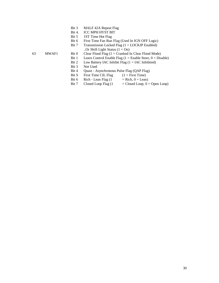- Bit 3 MALF 42A Repeat Flag
- Bit 4. ICC MPH HYST BIT
- Bit 5 1ST Time Hot Flag
- Bit 6 First Time Fan Run Flag (Used In IGN OFF Logic)
- Bit 7 Transmission Locked Flag  $(1 = LOCKJP$  Enabled) ..Or Shift Light Status  $(1 = On)$

- 63 MWAF1 Bit 0 Clear Flood Flag (1 = Cranked In Clear Flood Mode)
	- Bit 1 Learn Control Enable Flag  $(1 = \text{Enable Store}, 0 = \text{Disable})$
	- Bit 2 Low Battery IAC Inhibit Flag  $(1 = IAC$  Inhibited)
	- Bit 3 Not Used
	- Bit 4 Quast Asynchronous Pulse Flag (QAP Flag)
	- Bit S First Time CIL Flag  $(1 = First Time)$
	- Bit 6 Rich Lean Flag  $(1 = \text{Rich}, 0 = \text{Lean})$
	- Bit 7 Closed Loop Flag  $(1 \qquad = \text{Closed Loop}, 0 = \text{Open Loop})$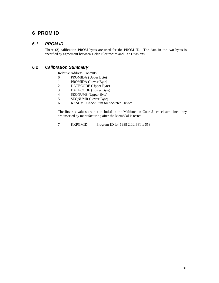## **6 PROM ID**

## *6.1 PROM ID*

Three (3) calibration PROM bytes are used for the PROM ID. The data in the two bytes is specified by agreement between Delco Electronics and Car Divisions.

## *6.2 Calibration Summary*

Relative Address Contents

- 0 PROMIDA (Upper Byte)
- 1 PROMIDA (Lower Byte)
- 2 DATECODE (Upper Byte)
- 3 DATECODE (Lower Byte)
- 4 SEQNUM8 (Upper Byte)<br>5 SEQNUMR (Lower Byte)
- 5 SEQNUMR (Lower Byte)
- 6 KKSUM Check Sum for socketed Device

The first six values are not included in the Malfunction Code 51 checksum since they are inserted by manufacturing after the Mem/Cal is tested.

7 KKPGMID Program ID for 1988 2.0L PFI is \$58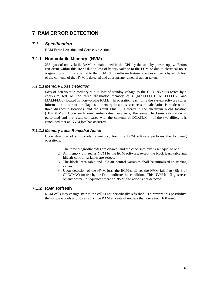# **7 RAM ERROR DETECTION**

### *7.1 Specification*

RAM Error Detection and Corrective Action

### **7.1.1 Non-volatile Memory (NVM)**

256 bytes of non-volatile RAM are maintained in the CPU by the standby power supply. Errors can occur within this RAM due to loss of battery voltage to the ECM or due to electrical noise originating within or external to the ECM This software feature provides a means by which loss of the contents of the NVM is detected and appropriate remedial action taken.

### *7.1.1.1 Memory Loss Detection*

Loss of non-volatile memory due to loss of standby voltage to the CPU, NVM is tested by a checksum test on the three diagnostic memory cells (MALFFLG1, MALFFLG2, and MALFFLG3) located in non-volatile RAM. In operation, each time the system software stores information in one of the diagnostic memory locations, a checksum calculation is made on all three diagnostic locations, and the result Plus 1, is stored in the checksum NVM location (DCKSUM). Upon each reset initialization sequence, the same checksum calculation is performed and the result compared with the contents of DCKSUM. If the two differ, it is concluded that an NVM loss has occurred.

#### *7.1.1.2 Memory Loss Remedial Action*

Upon detection of a non-volatile memory loss, the ECM software performs the following operations:

- 1. The three diagnostic bytes are cleared, and the checksum byte is set equal to one.
- 2. All memory utilized as NVM by the ECM software, except the block learn table and idle air control variables are zeroed.
- 3. The block learn table and idle air control variables shall be initialized to starting values.
- 4. Upon detection of the NVM loss, the ECM shall set the NVM fail flag (Bit 6 of CLCCMW) for use by the IM to indicate this condition. This NVM fail flag is reset on any power-up sequence where an NVM alteration is not detected.

## **7.1.2 RAM Refresh**

RAM cells may change state if the cell is not periodically refreshed. To prevent this possibility, the software reads and stores all active RAM at a rate of not less than once each 100 msec.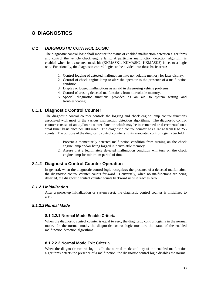## **8 DIAGNOSTICS**

### *8.1 DIAGNOSTIC CONTROL LOGIC*

The diagnostic control logic shall monitor the status of enabled malfunction detection algorithms and control the vehicle check engine lamp. A particular malfunction detection algorithm is enabled when its associated mask bit (KKMASK1, KKMASK2, KKMASK3) is set to a logic one. Functionally, the diagnostic control logic can be divided into these basic areas:

- 1. Control logging of detected malfunctions into nonvolatile memory for later display.
- 2. Control of check engine lamp to alert the operator to the presence of a malfunction condition.
- 3. Display of logged malfunctions as an aid in diagnosing vehicle problems.
- 4. Control of erasing detected malfunctions from nonvolatile memory.
- 5. Special diagnostic functions provided as an aid to system testing and troubleshooting.

### **8.1.1 Diagnostic Control Counter**

The diagnostic control counter controls the logging and check engine lamp control functions associated with most of the various malfunction detection algorithms. The diagnostic control counter consists of an up/down counter function which may be incremented or decremented on a "real time" basis once per 100 msec. The diagnostic control counter has a range from 0 to 255 counts. The purpose of the diagnostic control counter and its associated control logic is twofold:

- 1. Prevent a momentarily detected malfunction condition from turning on the check engine lamp and/or being logged in nonvolatile memory.
- 2. Assure that a legitimately detected malfunction condition will turn on the check engine lamp for minimum period of time.

### **8.1.2 Diagnostic Control Counter Operation**

In general, when the diagnostic control logic recognizes the presence of a detected malfunction, the diagnostic control counter counts for-ward. Conversely, when no malfunctions are being detected, the diagnostic control counter counts backward until it reaches zero.

#### *8.1.2.1 Initialization*

After a power-up initialization or system reset, the diagnostic control counter is initialized to zero.

### *8.1.2.2 Normal Made*

#### **8.1.2.2.1 Normal Mode Enable Criteria**

When the diagnostic control counter is equal to zero, the diagnostic control logic is in the normal mode. In the normal mode, the diagnostic control logic monitors the status of the enabled malfunction detection algorithms.

#### **8.1.2.2.2 Normal Mode Exit Criteria**

When the diagnostic control logic is In the normal mode and any of the enabled malfunction algorithms detects the presence of a malfunction, the diagnostic control logic disables the normal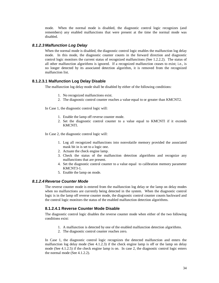mode. When the normal mode is disabled, the diagnostic control logic recognizes (and remembers) any enabled malfunctions that were present at the time the normal mode was disabled.

#### *8.1.2.3 Malfunction Log Delay*

When the normal mode is disabled, the diagnostic control logic enables the malfunction log delay mode. In this mode, the diagnostic counter counts in the forward direction and diagnostic control logic monitors the current status of recognized malfunctions (See 1.2.2.2). The status of all other malfunction algorithms is ignored. If a recognized malfunction ceases to exist; i.e., is no longer detected by its associated detection algorithm, it is removed from the recognized malfunction list.

#### **8.1.2.3.1 Malfunction Log Delay Disable**

The malfunction log delay mode shall be disabled by either of the following conditions:

- 1. No recognized malfunctions exist.
- 2. The diagnostic control counter reaches a value equal to or greater than KMCNT2.

In Case 1, the diagnostic control logic will:

- 1. Enable the lamp off reverse counter mode.
- 2. Set the diagnostic control counter to a value equal to KMCNTl if it exceeds KMCNTl.

In Case 2, the diagnostic control logic will:

- 1. Log all recognized malfunctions into nonvolatile memory provided the associated mask bit in is set to a logic one.
- 2. Actuate the check engine lamp.
- 3. Check the status of the malfunction detection algorithms and recognize any malfunctions that are present.
- 4. Set the diagnostic control counter to a value equal to calibration memory parameter KMCNT3-1.
- 5. Enable the lamp on mode.

#### *8.1.2.4 Reverse Counter Mode*

The reverse counter mode is entered from the malfunction log delay or the lamp on delay modes when no malfunctions are currently being detected in the system. When the diagnostic control logic is in the lamp off reverse counter mode, the diagnostic control counter counts backward and the control logic monitors the status of the enabled malfunction detection algorithms.

### **8.1.2.4.1 Reverse Counter Mode Disable**

The diagnostic control logic disables the reverse counter mode when either of the two following conditions exist:

- 1. A malfunction is detected by one of the enabled malfunction detection algorithms.
- 2. The diagnostic control counter reaches zero.

In Case 1, the diagnostic control logic recognizes the detected malfunction and enters the malfunction log delay mode (See  $4.1.2.3$ ) if the check engine lamp is off or the lamp on delay mode (See 4.1.2.5) if the check engine lamp is on. In case 2, the diagnostic control logic enters the normal mode (See 4.1.2.2).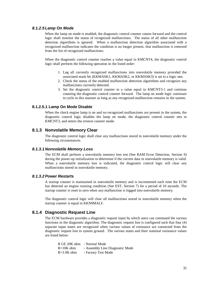#### *8.1.2.5 Lamp On Mode*

When the lamp on mode is enabled, the diagnostic control counter counts forward and the control logic shall monitor the status of recognized malfunctions. The status of all other malfunction detection algorithms is ignored. When a malfunction detection algorithm associated with a recognized malfunction indicates the condition is no longer present, that malfunction is removed from the list of recognized malfunctions.

When the diagnostic control counter reaches a value equal to KMCNT4, the diagnostic control logic shall perform the following operation in the listed order:

- 1. Log all currently recognized malfunctions into nonvolatile memory provided the associated mask bit (KKMASK1, KKMASK2, or KKMASK3) is set to a logic one.
- 2. Check the status of the enabled malfunction detection algorithms and recognize any malfunctions currently detected.
- 3. Set the diagnostic control counter to a value equal to KMCNT3-1 and continue counting the diagnostic control counter forward. The lamp on mode logic continues to cycle in this manner as long as any recognized malfunction remains in the system.

#### **8.1.2.5.1 Lamp On Mode Disable**

When the check engine lamp is on and no recognized malfunctions are present in the system, the diagnostic control logic disables the lamp on mode, the diagnostic control counter sets to KMCNT3, and enters the reverse counter mode.

### **8.1.3 Nonvolatile Memory Clear**

The diagnostic control logic shall clear any malfunctions stored in nonvolatile memory under the following circumstances.

#### *8.1.3.1 Nonvolatile Memory Loss*

The ECM shall perform a nonvolatile memory loss test (See RAM Error Detection, Section 9) during the power-up initialization to determine if the current data in nonvolatile memory is valid. When a nonvolatile memory loss is indicated, the diagnostic control logic will clear any malfunctions stored in nonvolatile memory.

### *8.1.3.2Power Restarts*

A startup counter is maintained in nonvolatile memory and is incremented each time the ECM has detected an engine running condition (See EST, Section 7) for a period of 10 seconds. The startup counter is reset to zero when any malfunction is logged into nonvolatile memory.

The diagnostic control logic will clear all malfunctions stored in nonvolatile memory when the startup counter is equal to KKN0MALF.

### **8.1.4 Diagnostic Request Line**

The ECM hardware provides a diagnostic request input by which users can command the various functions in the diagnostic algorithm. The diagnostic request line is configured such that four (4) separate input states are recognized when various values of resistance are connected from the diagnostic request line to system ground. The various states and their nominal resistance values are listed below:

|            | R GE 20K ohm - Normal Mode      |
|------------|---------------------------------|
| R=10K ohm  | - Assembly Line Diagnostic Mode |
| R=3.9K ohm | - Factory Test Mode             |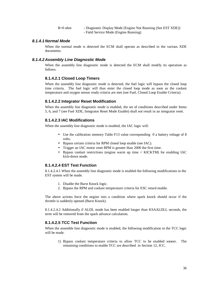R=0 ohm - Diagnostic Display Mode [Engine Not Running (See EST XDE)] - Field Service Mode (Engine Running)

#### *8.1.4.1 Normal Mode*

When the normal mode is detected the ECM shall operate as described in the various XDE documents.

#### *8.1.4.2 Assembly Line Diagnostic Mode*

When the assembly line diagnostic mode is detected the ECM shall modify its operation as follows.

#### **8.1.4.2.1 Closed Loop Timers**

When the assembly line diagnostic mode is detected, the fuel logic will bypass the closed loop time criteria. The fuel logic will thus enter the closed loop mode as soon as the coolant temperature and oxygen sensor ready criteria are met (see Fuel, Closed Loop Enable Criteria).

### **8.1.4.2.2 Integrator Reset Modification**

When the assembly line diagnostic mode is enabled, the set of conditions described under Items 5, 6, and 7 (see Fuel XDE, Integrator Reset Mode Enable) shall not result in an integrator reset.

### **8.1.4.2.3 IAC Modifications**

When the assembly line diagnostic mode is enabled, the IAC logic will:

- Use the calibration memory Table F13 value corresponding 0 a battery voltage of 8 volts.
- Bypass certain criteria for RPM closed loop enable (see IAC).
- Trigger an IAC motor reset RPM is greater than 2000 the first time.
- Bypass coolant restrictions (engine warm up time = KICKTM) for enabling IAC kick-down mode.

### **8.1.4.2.4 EST Test Function**

8.1.4.2.4.1 When the assembly line diagnostic mode is enabled the following modifications to the EST system will be made.

- 1. Disable the Burst Knock logic.
- 2. Bypass the RPM and coolant temperature criteria for ESC retard enable.

The above actions force the engine into a condition where spark knock should occur if the throttle is suddenly opened (Burst Knock).

8.1.4.2.4.2 Additionally if ALDL mode has been enabled longer than KSAALDLL seconds, the term will be removed from the spark advance calculation.

### **8.1.4.2.5 TCC Test Function**

When the assemble line diagnostic mode is enabled, the following modification to the TCC logic will be made.

1) Bypass coolant temperature criteria to allow TCC to be enabled sooner. The remaining conditions to enable TCC are described in Section 12, ICC.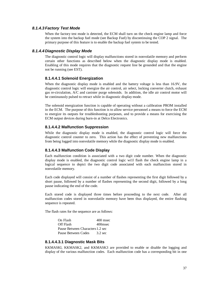#### *8.1.4.3 Factory Test Mode*

When the factory test mode is detected, the ECM shall turn on the check engine lamp and force the system into the backup fuel mode (see Backup Fuel) by discontinuing the COP 2 signal. The primary purpose of this feature is to enable the backup fuel system to be tested.

#### *8.1.4.4 Diagnostic Display Mode*

The diagnostic control logic will display malfunctions stored in nonvolatile memory and perform certain other functions as described below when the diagnostic display mode is enabled. Enabling of this mode requires that the diagnostic request line be grounded and that the engine not be running (see EST).

#### **8.1.4.4.1 Solenoid Energization**

When the diagnostic display mode is enabled and the battery voltage is less than 16.9V, the diagnostic control logic will energize the air control, air select, locking converter clutch, exhaust gas re-circulation, A/C and canister purge solenoids. In addition, the idle air control motor will be continuously pulsed to retract while in diagnostic display mode.

The solenoid energization function is capable of operating without a calibration PROM installed in the ECM. The purpose of this function is to allow service personnel a means to force the ECM to energize its outputs for troubleshooting purposes, and to provide a means for exercising the ECM output devices during burn-in at Delco Electronics.

#### **8.1.4.4.2 Malfunction Suppression**

While the diagnostic display mode is enabled, the diagnostic control logic will force the diagnostic control counter to zero. This action has the effect of preventing new malfunctions from being logged into nonvolatile memory while the diagnostic display mode is enabled.

### **8.1.4.4.3 Malfunction Code Display**

Each malfunction condition is associated with a two digit code number. When the diagnostic display mode is enabled, the diagnostic control logic wi1l flash the check engine lamp in a logical sequence to depict the two digit code associated with each malfunction stored in nonvolatile memory.

Each code displayed will consist of a number of flashes representing the first digit followed by a short pause, followed by a number of flashes representing the second digit, followed by a long pause indicating the end of the code.

Each stored code is displayed three times before proceeding to the next code. After all malfunction codes stored in nonvolatile memory have been thus displayed, the entire flashing sequence is repeated.

The flash rates for the sequence are as follows:

On Flash 400 msec Off Flash 400 msec Pause Between Characters1.2 sec Pause Between Codes 3.2 sec

#### **8.1.4.4.3.1 Diagnostic Mask Bits**

KKMASKl, KKMASK2, and KKMASK3 are provided to enable or disable the logging and display of the various malfunction codes. Each malfunction code has a corresponding bit in one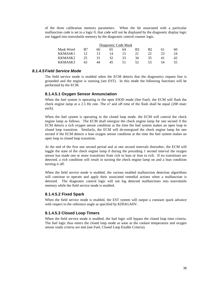of the three calibration memory parameters. When the bit associated with a particular malfunction code is set to a logic 0, that code will not be displayed by the diagnostic display logic nor logged into nonvolatile memory by the diagnostic control counter logic.

| Diagnostic Code Mask |     |    |    |    |                |                |    |    |
|----------------------|-----|----|----|----|----------------|----------------|----|----|
| Mask Word            | B7  | 66 | 65 | 64 | B <sub>3</sub> | B <sub>2</sub> | 61 | 60 |
| KKMASK1              |     | 13 | 14 | 15 | 21             | 22             | 23 | 24 |
| KKMASK2              | 25. | 31 | 32 | 33 | 34             | 35             | 41 | 42 |
| KKMASK3              | 43  | 44 | 45 | 51 | 52             | 53             | 54 | 55 |

### *8.1.4.5 Field Service Mode*

The field service mode is enabled when the ECM detects that the diagnostics request line is grounded and the engine is running (see EST). In this mode the following functions will be performed by the ECM.

#### **8.1.4.5.1 Oxygen Sensor Annunciation**

When the fuel system is operating in the open lOOD mode (See Fuel). the ECM will flash the check engine lamp at a 2.5 Hz rate. The o? and off time of the flash shall be equal (200 msec each).

When the fuel system is operating in the closed loop mode. the ECM will control the check engine lamp as follows. The ECM shall energize the check engine lamp for one second if the ECM detects a rich oxygen sensor condition at the time the fuel system makes an open loop to closed loop transition. Similarly, the ECM will de-energized the check engine lamp for one second if the ECM detects a lean oxygen sensor condition at the time the fuel system makes an open loop to closed loop transition.

At the end of the first one second period and at one second intervals thereafter, the ECM will toggle the state of the check engine lamp if during the preceding 1 second interval the oxygen sensor has made one or more transitions from rich to lean or lean to rich. If no transitions are detected, a rich condition will result in turning the check engine lamp on and a lean condition turning it off.

When the field service mode is enabled, the various enabled malfunction detection algorithms will continue to operate and apply their associated remedial actions when a malfunction is detected. The diagnostic control logic will not log detected malfunctions into nonvolatile memory while the field service mode is enabled.

### **8.1.4.5.2 Fixed Spark**

When the field service mode is enabled, the EST system will output a constant spark advance with respect to the reference angle as specified by KDIAGADV.

#### **8.1.4.5.3 Closed Loop Timers**

When the field service mode is enabled, the fuel logic will bypass the closed loop time criteria. The fuel logic thus enters the closed loop mode as soon as the coolant temperature and oxygen sensor ready criteria are met (see Fuel, Closed Loop Enable Criteria).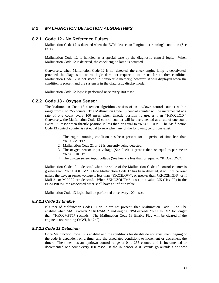## *8.2 MALFUNCTION DETECTION ALGORITHMS*

### **8.2.1 Code 12 - No Reference Pulses**

Malfunction Code 12 is detected when the ECM detects an "engine not running" condition (See EST).

Malfunction Code 12 is handled as a special case by the diagnostic control logic. When Malfunction Code 12 is detected, the check engine lamp is actuated.

Conversely, when Malfunction Code 12 is not detected, the check engine lamp is deactivated, provided the diagnostic control logic does not require it to be on far another condition. Malfunction Code 12 is not stored in nonvolatile memory; however, it will displayed when the condition is present and the system is in the diagnostic display mode.

Malfunction Code 12 logic is performed once every 100 msec.

#### **8.2.2 Code 13 - Oxygen Sensor**

The Malfunction Code 13 detection algorithm consists of an up/down control counter with a range from 0 to 255 counts. The Malfunction Code 13 control counter will be incremented at a rate of one count every 100 msec when throttle position is greater than \*KKO2LOD\*. Conversely, the Malfunction Code 13 control counter will be decremented at a rate of one count every 100 msec when throttle position is less than or equal to \*KKO2LOD\*. The Malfunction Code 13 control counter is set equal to zero when any of the following conditions exist:

- 1. The engine running condition has been present for a period of time less than \*KKO2MPT1\*.
- 2. Malfunction Code 21 or 22 is currently being detected.
- 3. The oxygen sensor input voltage (See Fuel) is greater than or equal to parameter \*KKO2HIGH\*.
- 4. The oxygen sensor input voltage (See Fuel) is less than or equal to \*KKO2LOW\*.

Malfunction Code 13 is detected when the value of the Malfunction Code 13 control counter is greater than \*KKO2OLTM\*. Once Malfunction Code 13 has been detected, it will not be reset unless the oxygen sensor voltage is less than \*KKO2LOW\*, or greater than \*KKO2HIGH\*, or if Malf 21 or Malf 22 are detected. When \*KKOZOLTM\* is set to a value 255 (Hex FF) in the ECM PROM, the associated timer shall have an infinite value.

Malfunction Code 13 logic shall be performed once every 100 msec.

#### *8.2.2.1 Code 13 Enable*

If either of Malfunction Codes 21 or 22 are not present, then Malfunction Code 13 will be enabled when MAP exceeds \*KKO2MAP\* and engine RPM exceeds \*KKO2RPM\* for longer than \*KKO2MPT1\* seconds. The Malfunction Code 13 Enable Flag will be cleared if the engine is not running (MWI, bit 7=0).

#### *8.2.2.2 Code 13 Detection*

Once Malfunction Code 13 is enabled and the conditions for disable do not exist, then logging of the code is dependent on a timer and the associated conditions to increment or decrement the timer. The timer has an up/down control range of  $0$  to 255 counts, and is incremented or decremented one count every 100 msec. If the 02 sensor ADU counts go outside a window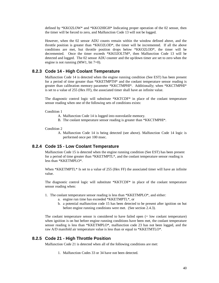defined by \*KKO2LOW\* and \*KKO2HIGH\* Indicating proper operation of the 02 sensor, then the timer will be forced to zero, and Malfunction Code 13 will not be logged.

However, when the 02 sensor ADU counts remain within the window defined above, and the throttle position is greater than \*KKO2LOD\*, the timer will be incremented. If all the above conditions are met, hut throttle position drops below \*KKO2LOD\*, the timer will be decremented. Once the timer exceeds \*KKO2OLTM\*, then Malfunction Code 13 will be detected and logged. The 02 sensor ADU counter and the up/down timer are set to zero when the engine is not running (MW1, bit  $7=0$ ).

#### **8.2.3 Code 14 - High Coolant Temperature**

Malfunction Code 14 is detected when the engine running condition (See EST) has been present for a period of time greater than \*KKETMPTH\* and the coolant temperature sensor reading is greater than calibration memory parameter \*KKCTMPHI\*. Additionally; when \*KKCTMPHI\* is set to a value of 255 (Hex FF), the associated timer shall have an infinite value.

The diagnostic control logic will substitute \*KKTCDF\* in place of the coolant temperature sensor reading when one of the following sets of conditions exists:

#### Condition 1

- A. Malfunction Code 14 is logged into nonvolatile memory.
- B. The coolant temperature sensor reading is greater than \*KKCTMPHI\*.

#### Condition 2

A. Malfunction Code 14 is being detected (see above). Malfunction Code 14 logic is performed once per 100 msec.

#### **8.2.4 Code 15 - Low Coolant Temperature**

Malfunction Code 15 is detected when the engine running condition (See EST) has been present for a period of time greater than \*KKETMPTL\*, and the coolant temperature sensor reading is less than \*KKETMPLO\*.

When \*KKETMPTL\* Is set to a value of 255 (Hex FF) the associated timer will have an infinite value.

The diagnostic control logic will substitute \*KKTCDF\* in place of the coolant temperature sensor reading when:

1. The coolant temperature sensor reading is less than \*KKETMPLO\*, and either:

- a. engine run time has exceeded \*KKETMPTL\*, or
- b. a potential malfunction code 15 has been detected to be present after ignition on but before engine running conditions were met. (See section 2.4.3).

The coolant temperature sensor is considered to have failed open (= low coolant temperature) when ignition is on but before engine running conditions have been met, the coolant temperature sensor reading is less than \*KKETMPLO\*, malfunction code 23 has not been logged, and the raw A/D manifold air temperature value is less than or equal to \*KKETMTLO\*.

### **8.2.5 Code 21 - High Throttle Position**

Malfunction Code 21 is detected when all of the following conditions are met:

1. Malfunction Codes 33 or 34 have not been detected.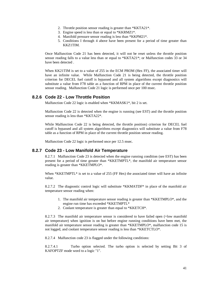- 2. Throttle position sensor reading is greater than \*KKTA21\*.
- 3. Engine speed is less than or equal to \*KKRMZ1\*.
- 4. Manifold pressure sensor reading is less than \*KKPM21\*.
- 5. Conditions I through 4 above have been present for a period of time greater than KKZ1TIM.

Once Malfunction Code 21 has been detected, it will not be reset unless the throttle position sensor reading falls to a value less than or equal to \*KKTA21\*; or Malfunction codes 33 or 34 have been detected .

When KK21TIM is set to a value of 255 in the ECM PROM (Hex FF), the associated timer will have an infinite value. While Malfunction Code 21 is being detected, the throttle position criterion for DECEL fuel cutoff is bypassed and all system algorithms except diagnostics will substitute a value from F78 table as a function of RPM in place of the current throttle position sensor reading. Malfunction Code 21 logic is performed once per 100 msec.

### **8.2.6 Code 22 - Low Throttle Position**

Malfunction Code 22 logic is enabled when \*KKMASK1\*, bit 2 is set.

Malfunction Code 22 is detected when the engine is running (see EST) and the throttle position sensor reading is less than \*KKTA22\*.

While Malfunction Code 22 is being detected, the throttle position) criterion for DECEL fuel cutoff is bypassed and all system algorithms except diagnostics will substitute a value from F78 table as a function of RPM in place of the current throttle position sensor reading.

Malfunction Code 22 logic is performed once per 12.5 msec.

### **8.2.7 Code 23 - Low Manifold Air Temperature**

8.2.7.1 Malfunction Code 23 is detected when the engine running condition (see EST) has been present for a period of time greater than \*KKETMPTL\*, the manifold air temperature sensor reading is greater than \*KKETMPLO\*.

When \*KKETMPTL\* is set to a value of 255 (FF Hex) the associated timer will have an infinite value.

8.2.7.2 The diagnostic control logic will substitute \*KKMATDF\* in place of the manifold air temperature sensor reading when:

- 1. The manifold air temperature sensor reading is greater than \*KKETMPLO\*, and the engine run time has exceeded \*KKETMPTL\*
- 2. Coolant temperature is greater than equal to \*KKETCH\*.

8.2.7.3 The manifold air temperature sensor is considered to have failed open (=low manifold air temperature) when ignition is on but before engine running conditions have been met, the manifold air temperature sensor reading is greater than \*KKETMPLO\*, malfunction code 15 is not logged, and coolant temperature sensor reading is less than \*KKETCTLO\*.

8.2.7.4 Malfunction code 23 is flagged under the following conditions:

8.2.7.4.1 Turbo option selected. The turbo option is selected by setting Bit 3 of KAFOPTZF mode word to a logic "1".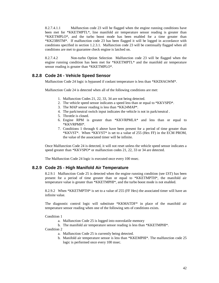8.2.7.4.1.1 Malfunction code 23 will be flagged when the engine running conditions have been met for \*KKETMPTL\*, line manifold air temperature sensor reading is greater than \*KKETMPLO\*, and the turbo boost mode has been enabled for a time greater than \*KK23BSTM\*. If malfunction code 23 has been flagged it will be logged in accordance with conditions specified in section 1.2.3.1. Malfunction code 23 will be continually flagged when all conditions are met to guarantee check engine is latched on.

8.2.7.4.2 Non-turbo Option Selection Malfunction code 23 will be flagged when the engine running condition has been met for \*KKETMPTL\* and the manifold air temperature sensor reading is greater than \*KKETMPLO\*.

### **8.2.8 Code 24 - Vehicle Speed Sensor**

Malfunction Code 24 logic is bypassed if coolant temperature is less than \*KKDIAGWM\*.

Malfunction Code 24 is detected when all of the following conditions are met:

- 1. Malfunction Codes 21, 22, 33, 34 are not being detected.
- 2. The vehicle speed sensor indicates a speed less than or equal to \*KKVSPD\*.
- 3. The MAP sensor reading is less than \*KK24MAP\*.
- 4. The park/neutral switch input indicates the vehicle is not in park/neutral .
- 5. Throttle is closed.
- 6. Engine RPM is greater than \*KKVRPMLA\* and less than or equal to \*KKVRPMH\*.
- 7. Conditions 1 through 6 above have been present for a period of time greater than \*KKVST\*. When \*KKVST\* is set to a value of 255 (Hex FF) in the ECM PROM, the value of the associated timer will be infinite.

Once Malfunction Code 24 is detected, it will not reset unless the vehicle speed sensor indicates a speed greater than \*KKVSPO\* or malfunction codes 21, 22, 33 or 34 are detected.

The Malfunction Code 24 logic is executed once every 100 msec.

### **8.2.9 Code 25 - High Manifold Air Temperature**

8.2.9.1 Malfunction Code 25 is detected when the engine running condition (see £ST) has been present for a period of time greater than or equal to \*KKETMPTH\*, the manifold air temperature value is greater than \*KKETMPHI\*, and the turbo boost mode is not enabled.

8.2.9.2 When \*KKETMPTH\* is set to a value of 255 (FF Hex) the associated timer will have an infinite value.

The diagnostic control logic will substitute \*KKMATDF\* in place of the manifold air temperature sensor reading when one of the following sets of conditions exists.

Condition 1

- a. Malfunction Code 25 is logged into nonvolatile memory
- b. The manifold air temperature sensor reading is less than \*KKETMPHI\*.

Condition 2

- a. Malfunction Code 25 is currently being detected.
- b. Manifold air temperature sensor is less than \*KKEMPHI\*. The malfunction code 25 logic is performed once every 100 msec.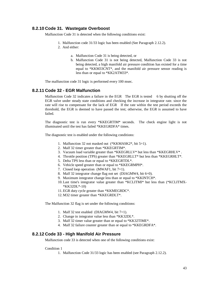### **8.2.10 Code 31. Wastegate Overboost**

Malfunction Code 31 is detected when the following conditions exist:

- 1. Malfunction code 31/33 logic has been enabled (See Paragraph 2.12.2).
- 2. And either:
	- a. Malfunction Code 31 is being detected, or
	- b. Malfunction Code 31 is not being detected, Malfunction Code 33 is not being detected, a high manifold air pressure condition has existed for a time equal to \*KKM33CNT\*, and the manifold air pressure sensor reading is less than or equal to \*KK2ATM33\*.

The malfunction code 31 logic is performed every 100 msec.

### **8.2.11 Code 32 - EGR Malfunction**

Malfunction Code 32 indicates a failure in the EGR The EGR is tested 6 by shutting off the EGR valve under steady state conditions and checking the increase in integrator rate. since the rate will rise to compensate for the lack of EGR If the rate within the test period exceeds the threshold, the EGR is deemed to have passed the test; otherwise, the EGR is assumed to have failed.

The diagnostic test is run every \*KKEGRTIM\* seconds. The check engine light is not illuminated until the test has failed \*KKEGRDFA\* times.

The diagnostic test is enabled under the following conditions:

- 1. Malfunction 32 not masked out (\*KKMASK2\*, bit 5=1).
- 2. Malf 32 timer greater than \*KKEGRTIM\*.
- 3. Vacuum load variable greater than \*KKEGRLLV\* but less than \*KKEGRHLV\* .
- 4. Throttle position (TPS) greater than \*KKEGRLLT\* but less than \*KKEGRHLT\*.
- 5. Delta TPS less than or equal to \*KKEGRTDL\*.
- 6. Vehicle speed greater than or equal to \*KKEGRMPH\*.
- 7. Closed loop operation (MWAF1, bit 7=1).
- 8. Malf 32 integrator change flag not set (DIAGMW4, bit 6=0).
- 9. Maximum integrator change less than or equal to \*KKINTCH\*.
- 10.Last time's integrator value greater than \*KCLITMI\* but less than (\*KCLITMX- \*KK32DL\*-10)
- 11.EGR duty cycle greater than \*KKMEGRDC\*.
- 12.M32 timer greater than \*KKEGRDLT\*.

The Malfunction 32 flag is set under the following conditions:

- 1. Malf 32 test enabled (DIAGMW4, bit  $7=1$ ).
- 2. Change in integrator value less than \*KK32DL\*.
- 3. Malf 32 timer value greater than or equal to \*KK32TIME\*.
- 4. Malf 32 failure counter greater than or equal to \*KKEGRDFA\*.

#### **8.2.12 Code 33 - High Manifold Air Pressure**

Malfunction code 33 is detected when one of the following conditions exist:

#### Condition 1

1. Malfunction Code 31/33 logic has been enabled (see Paragraph 2.12.2).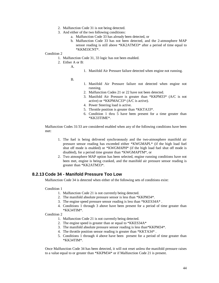- 2. Malfunction Code 31 is not being detected.
- 3. And either of the two following conditions:
	- a. Malfunction Code 33 has already been detected, or
	- b. Malfunction Code 33 has not been detected, and the 2-atmosphere MAP sensor reading is still above \*KK2ATM33\* after a period of time equal to \*KKM33CNT\*.

#### Condition 2

- 1. Malfunction Code 31, 33 logic has not been enabled.
- 2. Either A or B:
	- A.
- 1. Manifold Air Pressure failure detected when engine not running.
- B.
- 1. Manifold Air Pressure failure not detected when engine not running.
- 2. Malfunction Codes 21 or 22 have not been detected.
- 3. Manifold Air Pressure is greater than \*KKPM33\* (A/C is not active) or \*KKPMAC33\* (A/C is active).
- 4. Power Steering load is active.
- 5. Throttle position is greater than \*KKTA33\*.
- 6. Condition 1 thru 5 have been present for a time greater than \*KK33TIME\*.

Malfunction Codes 31/33 are considered enabled when any of the following conditions have been met:

- 1. The fuel is being delivered synchronously and the two-atmosphere manifold air pressure sensor reading has exceeded either \*KWGMAPL\* (if the high load fuel shut off mode is enabled) or \*KWGMAPH\* (if the high load fuel shut off mode is disabled), for a period time greater than \*KWGMAPTM\*, or
- 2. Two atmosphere MAP option has been selected, engine running conditions have not been met, engine is being cranked, and the manifold air pressure sensor reading is greater than \*KK2ATM33\*.

### **8.2.13 Code 34 - Manifold Pressure Too Low**

Malfunction Code 34 is detected when either of the following sets of conditions exist:

#### Condition 1

- 1. Malfunction Code 21 is not currently being detected.
- 2. The manifold absolute pressure sensor is less than \*KKPM34\*.
- 3. The engine speed pressure sensor reading is less than \*KKES34A\* .
- 4. Conditions 1 through 3 above have been present for a period of time greater than \*KK34TIM\*.

#### Condition 2

- 1. Malfunction Code 21 is not currently being detected.
- 2. The engine speed is greater than or equal to \*KKES34A\*
- 3. The manifold absolute pressure sensor reading is less than\*KKPM34\*.
- 4. The throttle position sensor reading is greater than \*KKTA34\* .
- 5. Conditions 1 through 4 above have been present for a period of time greater than \*KK34TIM\*.

Once Malfunction Code 34 has been detected, it will not reset unless the manifold pressure raises to a value equal to or greater than \*KKPM34\* or if Malfunction Code 21 is present.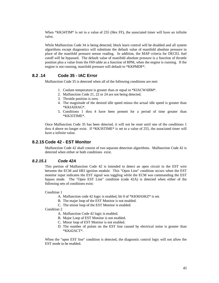When  $*KK34TIM*$  is set to a value of 255 (Hex FF), the associated timer will have an infinite valve.

While Malfunction Code 34 is being detected, block learn control will be disabled and all system algorithms except diagnostics will substitute the default value of manifold absolute pressure in place of the manifold pressure sensor reading. In addition, the MAP criteria for DECEL fuel cutoff will be bypassed. The default value of manifold absolute pressure is a function of throttle position plus a value from the F69 table as a function of RPM, when the engine is running. If the engine is not running, manifold pressure will default to \*KKPMDF\*.

### **8.2 .14 Code 35 - IAC Error**

Malfunction Code 35 is detected when all of the following conditions are met:

- 1. Coolant temperature is greater than or equal to \*KIACWARM\*.
- 2. Malfunction Code 21, 22 or 24 are not being detected.
- 3. Throttle position is zero.
- 4. The magnitude of the desired idle speed minus the actual idle speed is greater than \*KKIADIAG\*.
- 5. Conditions 1 thru 4 have been present for a period of time greater than \*KK35TIME\*.

Once Malfunction Code 35 has been detected, it will not be reset until one of the conditions 1 thru 4 above no longer exist. If \*KK3STIME\* is set to a value of 255, the associated timer will have a infinite value.

### **8.2.15 Code 42 - EST Monitor**

Malfunction Code 42 shall consist of two separate detection algorithms. Malfunction Code 42 is detected when either or both conditions exist.

#### *8.2.15.1 Code 42A*

This portion of Malfunction Code 42 is intended to detect an open circuit in the EST wire between the ECM and HEI ignition module. This "Open Line" condition occurs when the EST monitor input indicates the EST signal was toggling while the ECM was commanding the EST bypass mode. The "Open EST Line" condition (code 42A) is detected when either of the following sets of conditions exist:

Condition 1

- A. Malfunction code 42 logic is enabled, bit 0 of \*KKMASKZ\* is set.
- B. The major loop of the EST Monitor is not enabled.
- C. The minor loop of the EST Monitor is enabled.

Condition 2

- A. Malfunction Code 42 logic is enabled.
- B. Major Loop of EST Monitor is not enabled.
- C. Minor loop of EST Monitor is not enabled.
- D. The number of pulses on the EST line caused by electrical noise is greater than \*KK42ACT\*.

When the "open EST line" condition is detected, the diagnostic control logic will not allow the EST mode to be enabled.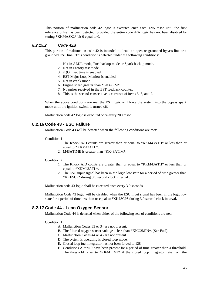This portion of malfunction code 42 logic is executed once each 12/5 msec until the first reference pulse has been detected, provided the entire code 42A logic has not been disabled by setting \*KKMASK2\* bit 0 equal to 0.

### *8.2.15.2 Code 42B*

This portion of malfunction code 42 is intended to detail an open or grounded bypass line or a grounded EST line. This condition is detected under the following conditions:

- 1. Not in ALDL mode, Fuel backup mode or Spark backup mode.
- 2. Not in Factory test mode.
- 3. ?QO msec time is enabled.
- 4. EST Major Loop Monitor is enabled.
- 5. Not in crank mode.
- 6. Engine speed greater than \*KK42RM\*.
- 7. No pulses received in the EST feedback counter.
- 8. This is the second consecutive occurrence of items 5, 6, and 7.

When the above conditions are met the EST logic will force the system into the bypass spark mode until the ignition switch is turned off.

Malfunction code 42 logic is executed once every 200 msec.

### **8.2.16 Code 43 - ESC Failure**

Malfunction Code 43 will be detected when the following conditions are met:

#### Condition 1

- 1. The Knock A/D counts are greater than or equal to \*KKM43ATH\* or less than or equal to \*KKM43ATL\*.
- 2. M43ATIME is greater than \*KK43ATIM\*.

#### Condition 2

- 1. The Knock AID counts are greater than or equal to \*KKM43ATH\* or less than or equal to \*KKM43ATL\*.
- 2. The ESC input signal has been in the logic low state for a period of time greater than \*KKESCP\* during 3.9 second clock internal .

Malfunction code 43 logic shall be executed once every 3.9 seconds.

Malfunction Code 43 logic will be disabled when the ESC input signal has been in the logic low state for a period of time less than or equal to \*KK£SCP\* during 3.9 second clock interval.

### **8.2.17 Code 44 - Lean Oxygen Sensor**

Malfunction Code 44 is detected when either of the following sets of conditions are net:

Condition 1

- A. Malfunction Codes 33 or 34 are not present.
- B. The filtered oxygen sensor voltage is less than \*KKO2MIN\*. (See Fuel)
- C. Malfunction Codes 44 or 45 are not present.
- D. The system is operating is closed loop mode.
- E. Closed loop fuel integrator has not been forced to 128.
- F. Conditions A thru 0 have been present for a period of time greater than a threshold. The threshold is set to \*KK44TIMF\* if the closed loop integrator rate from the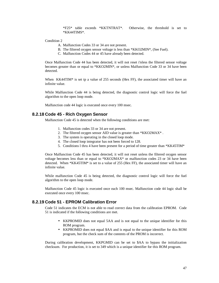\*F25\* table exceeds \*KKTNTRAT\*. Otherwise, the threshold is set to \*KK44TIMS\*.

Condition 2

- A. Malfunction Codes 33 or 34 are not present.
- B. The filtered oxygen sensor voltage is less than \*KKO2MIN\*, (See Fuel).
- C. Malfunction Codes 44 or 45 have already been detected.

Once Malfunction Code 44 has been detected, it will not reset i'nless the filtered sensor voltage becomes greater than or equal to \*KKO2MIN\*, or unless Malfunction Code 33 or 34 have been detected.

When  $KK44TIM*$  is set tp a value of 255 seconds (Hex FF), the associated timer will have an infinite value.

While Malfunction Code 44 is being detected, the diagnostic control logic will force the fuel algorithm to the open loop mode.

Malfunction code 44 logic is executed once every 100 msec.

### **8.2.18 Code 45 - Rich Oxygen Sensor**

Malfunction Code 45 is detected when the following conditions are met:

- 1. Malfunction codes 33 or 34 are not present.
- 2. The filtered oxygen sensor AID value is greater than \*KKO2MAX\* .
- 3. The system is operating in the closed loop mode.
- 4. The closed loop integrator has not been forced to 128.
- 5. Conditions l thru 4 have been present for a period of time greater than \*KK45TIM\*

Once Malfunction Code 45 has been detected, it will not reset unless the filtered oxygen sensor voltage becomes less than or equal to \*KKO2MAX\* or malfunction codes 23 or 34 have been detected. When \*KK45TIM\* is set to a value of 255 (Hex FF), the associated timer will have an infinite value.

While malfunction Code 45 is being detected, the diagnostic control logic will force the fuel algorithm to the open loop mode.

Malfunction Code 45 logic is executed once each 100 msec. Malfunction code 44 logic shall be executed once every 100 msec.

### **8.2.19 Code 51 - EPROM Calibration Error**

Code 51 indicates the ECM is not able to read correct data from the calibration EPROM. Code 51 is indicated if the following conditions are met.

- KKPROMID does not equal 5AA and is not equal to the unique identifier for this ROM program.
- KKPROMID does not equal \$AA and is equal to the unique identifier for this ROM program, but the check sum of the contents of the PROM is incorrect.

During calibration development, KKPGMID can be set to \$AA to bypass the initialization checksum. For production, it is set to 349 which is a unique identifier for this ROM program.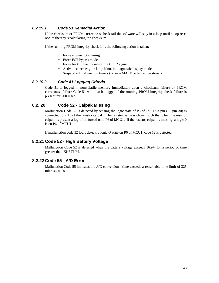### *8.2.19.1 Code 51 Remedial Action*

If the checksum or PROM correctness check fail the software will stay in a loop until a cop reset occurs thereby recalculating the checksum.

If the running PROM integrity check fails the following action is taken:

- Force engine not running
- Force EST bypass mode
- Force backup fuel by inhibiting COP2 signal
- Activate check engine lamp if not in diagnostic display mode
- Suspend all malfunction timers (no new MALF codes can be stored)

### *8.2.19.2 Code 41 Logging Criteria*

Code 51 is logged in nonvolatile memory immediately upon a checksum failure or PROM correctness failure Code 51 will also be logged if the running PROM integrity check failure is present for 200 msec.

### **8.2. 20 Code 52 - Calpak Missing**

Malfunction Code 52 is detected by sensing the logic state of P6 of ???. This pin (IC pin 30) is connected to R 15 of the resistor calpak. The resistor value is chosen such that when the resistor calpak is present a logic 1 is forced onto P6 of MCU1. If the resistor calpak is missing a logic 0 is on P6 of MCU1.

If malfunction code 52 logic detects a logic Q state on P6 of MCU1, code 52 is detected.

### **8.2.21 Code 52 - High Battery Voltage**

Malfunction Code 52 is detected when the battery voltage exceeds 16.9V for a period of time greater than KK52TIM.

### **8.2.22 Code 55 - A/D Error**

Malfunction Code 55 indicates the A/D conversion time exceeds a reasonable time limit of 325 microseconds.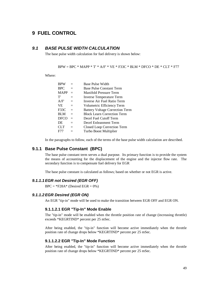## **9 FUEL CONTROL**

### *9.1 BASE PULSE WIDTH CALCULATION*

The base pulse width calculation for fuel delivery is shown below:

 $BPW = BPC * MAP + T' * A/F' * VE * F33C * BLM * DFCO * DE * CLT * F77$ 

Where:

| <b>BPW</b>  |     | Base Pulse Width                       |
|-------------|-----|----------------------------------------|
| <b>BPC</b>  | $=$ | <b>Base Pulse Constant Term</b>        |
| <b>MAPP</b> | $=$ | Manifold Pressure Term                 |
| T'          | $=$ | <b>Inverse Temperature Term</b>        |
| A/F'        | $=$ | Inverse Air Fuel Ratio Term            |
| <b>VE</b>   | $=$ | Volumetric Efficiency Term             |
| F33C        | $=$ | <b>Battery Voltage Correction Term</b> |
| <b>BLM</b>  | $=$ | <b>Block Learn Correction Term</b>     |
| <b>DFCO</b> | $=$ | Decel Fuel Cutoff Term                 |
| DE          | $=$ | Decel Enleanment Term                  |
| <b>CLT</b>  | $=$ | Closed Loop Correction Term            |
| F77         |     | Turbo Boost Multiplier                 |
|             |     |                                        |

In the paragraphs to follow, each of the terms of the base pulse width calculation are described.

## **9.1.1 Base Pulse Constant (BPC)**

The base pulse constant term serves a dual purpose. Its primary function is to provide the system the means of accounting for the displacement of the engine and the injector flow rate. The secondary function is to compensate fuel delivery for EGR

The base pulse constant is calculated as follows; based on whether or not EGR is active.

### *9.1.1.1EGR not Desired (EGR OFF)*

 $BPC = *F28A*$  (Desired EGR = 0%)

#### *9.1.1.2EGR Desired (EGR ON)*

An EGR "tip-in" mode will be used to make the transition between EGR OFF and EGR ON.

### **9.1.1.2.1 EGR "Tip-In" Mode Enable**

The "tip-in" mode will be enabled when the throttle position rate of change (increasing throttle) exceeds \*KEGRTIND\* percent per 25 mSec.

After being enabled, the "tip-in" function will become active immediately when the throttle position rate of change drops below \*KEGRTIND\* percent per 25 mSec.

#### **9.1.1.2.2 EGR "Tip-In" Mode Function**

After being enabled, the "tip-in" function will become active immediately when the throttle position rate of change drops below \*KEGRTIND\* percent per 25 mSec.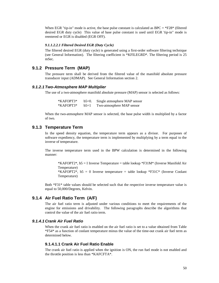When EGR "tip-in" mode is active, the base pulse constant is calculated as  $BPC = *F28*$  (filtered desired EGR duty cycle) This value of base pulse constant is used until EGR 'tip-in" mode is reentered or EGR is disabled (EGR OFF).

#### *9.1.1.2.2.1 Filtered Desired EGR (Duty Cycle)*

The filtered desired EGR (duty cycle) is generated using a first-order software filtering technique (see General Information). The filtering coefficient is \*KFILEGRD\*. The filtering period is 25 mSec.

#### **9.1.2 Pressure Term (MAP)**

The pressure term shall be derived from the filtered value of the manifold absolute pressure transducer input (ADMAP). See General Information section 2.

#### *9.1.2.1 Two-Atmosphere MAP Multiplier*

The use of a two-atmosphere manifold absolute pressure (MAP) sensor is selected as follows:

\*KAFOPT3\* b5=0. Single atmosphere MAP sensor \*KAFOPT3\* b5=1 Two-atmosphere MAP sensor

When the two-atmosphere MAP sensor is selected, the base pulse width is multiplied by a factor of two.

#### **9.1.3 Temperature Term**

In the speed density equation, the temperature term appears as a divisor. For purposes of software expediency, the temperature term is implemented by multiplying by a term equal to the inverse of temperature.

The inverse temperature term used in the BPW calculation is determined in the following manner:

\*KAFOPT2\*, b5 = I Inverse Temperature = table lookup \*F31M\* (Inverse Manifold Air Temperature) \*KAFOPT2\*,  $b5 = 0$  Inverse temperature = table lookup \*F31C\* (Inverse Coolant Temperature)

Both \*F31\* table values should be selected such that the respective inverse temperature value is equal to 50,000/Degrees, Kelvin.

### **9.1.4 Air Fuel Ratio Term (A/F)**

The air fuel ratio term is adjusted under various conditions to meet the requirements of the engine for emissions and drivability. The following paragraphs describe the algorithms that control the value of the air fuel ratio term.

#### *9.1.4.1 Crank Air Fuel Ratio*

When the crank air fuel ratio is enabled on the air fuel ratio is set to a value obtained from Table \*F54\* as a function of coolant temperature minus the value of the time-out crank air fuel term as determined below.

### **9.1.4.1.1 Crank Air Fuel Ratio Enable**

The crank air fuel ratio is applied when the ignition is ON, the run fuel mode is not enabled and the throttle position is less than \*KAFCFTA\*.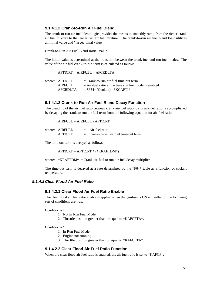#### **9.1.4.1.2 Crank-to-Run Air Fuel Blend**

The crank-to-run air fuel blend logic provides the means to smoothly ramp from the richer crank air fuel mixture to the leaner run air fuel mixture. The crank-to-run air fuel blend logic utilizes an initial value and "target" final value.

Crank-to-Run Air Fuel Blend Initial Value

The initial value is determined at the transition between the crank fuel and run fuel modes. The value of the air fuel crank-to-run term is calculated as follows:

 $AFTICRT = AIRFUEL = AFCRDLTA$ 

| where: AFTICRT | $=$ Crank-to-run air fuel time-out term                 |
|----------------|---------------------------------------------------------|
| <b>AIRFUEL</b> | $=$ Air-fuel ratio at the time run fuel mode is enabled |
| AFCRDLTA       | $=$ *F54* (Coolant) - *KCAFTI*                          |

#### **9.1.4.1.3 Crank-to-Run Air Fuel Blend Decay Function**

The blending of the air fuel ratio between crank air-fuel ratio to run air-fuel ratio Is accomplished by decaying the crank-to-run air fuel term from the following equation for air-fuel ratio.

AIRFUEL = AIRFUEL - AFTICRT

| where: AIRFUEL | $=$ Air fuel ratio                      |
|----------------|-----------------------------------------|
| <b>AFTICRT</b> | $=$ Crank-to-run air fuel time-out term |

The time-out term is decayed as follows:

AFTICRT = AFTICRT \* (\*KRAFTDM\*)

where:  $*KRAFTDM* = Crank air-field to run air-field decay multiplier$ 

The time-out term is decayed at a rate determined by the \*F64\* table as a function of coolant temperature.

### *9.1.4.2 Clear Flood Air Fuel Ratio*

#### **9.1.4.2.1 Clear Flood Air Fuel Ratio Enable**

The clear flood air fuel ratio enable is applied when the ignition is ON and either of the following sets of conditions are true.

Condition #1

- 1. Not in Run Fuel Mode.
- 2. Throttle position greater than or equal to \*KAFCFTA\*.

#### Condition #2

- 1. In Run Fuel Mode.
- 2. Engine not running.
- 3. Throttle position greater than or equal to \*KAFCFTA\*.

### **9.1.4.2.2 Clear Flood Air Fuel Ratio Function**

When the clear flood air fuel ratio is enabled, the air fuel ratio is set to \*KAFCF\*.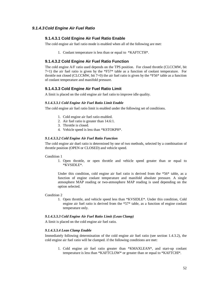### *9.1.4.3 Cold Engine Air Fuel Ratio*

#### **9.1.4.3.1 Cold Engine Air Fuel Ratio Enable**

The cold engine air fuel ratio mode is enabled when all of the following are met:

1. Coolant temperature is less than or equal to \*KAFTCTH\*.

#### **9.1.4.3.2 Cold Engine Air Fuel Ratio Function**

The cold engine A/F ratio used depends on the TPS position. For closed throttle (CLCCMW, bit 7=1) the air fuel ratio is given by the \*F57\* table as a function of coolant temperature. For throttle not closed (CLCCMW, bit  $7=0$ ) the air fuel ratio is given by the  $*F56*$  table as a function of coolant temperature and manifold pressure.

#### **9.1.4.3.3 Cold Engine Air Fuel Ratio Limit**

A limit is placed on the cold engine air fuel ratio to improve idle quality.

#### *9.1.4.3.3.1 Cold Engine Air Fuel Ratio Limit Enable*

The cold engine air fuel ratio limit is enabled under the following set of conditions.

- 1. Cold engine air fuel ratio enabled.
- 2. Air fuel ratio is greater than 14.6:1.
- 3. Throttle is closed.
- 4. Vehicle speed is less than \*KSTOKPH\*.

#### *9.1.4.3.3.2 Cold Engine Air Fuel Ratio Function*

The cold engine air duel ratio is determined by one of two methods, selected by a combination of throttle position (OPEN or CLOSED) and vehicle speed.

#### Condition 1

1. Open throttle, or open throttle and vehicle speed greater than or equal to \*KVSIDLE\*.

Under this condition, cold engine air fuel ratio is derived from the  $*56*$  table, as a function of engine coolant temperature and manifold absolute pressure. A single atmosphere MAP reading or two-atmosphere MAP reading is used depending on the option selected.

Condition 2

1. Open throttle, and vehicle speed less than \*KVSIDLE\*. Under this condition, Cold engine air fuel ratio is derived from the \*57\* table, as a function of engine coolant temperature only.

#### *9.1.4.3.3.3 Cold Engine Air Fuel Ratio Limit (Lean Clamp)*

A limit is placed on the cold engine air fuel ratio.

#### *9.1.4.3.3.4 Lean Clamp Enable*

Immediately following determination of the cold engine air fuel ratio (see section 1.4.3.2), the cold engine air fuel ratio will be clamped. if the following conditions are met:

1. Cold engine air fuel ratio greater than \*KMAXLEAN\*, and start-up coolant temperature is less than \*KAFTCLOW\* or greater than or equal to \*KAFTCHI\*.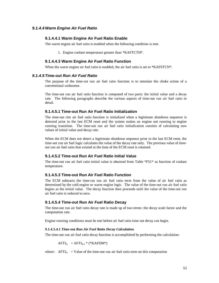#### *9.1.4.4Warm Engine Air Fuel Ratio*

#### **9.1.4.4.1 Warm Engine Air Fuel Ratio Enable**

The warm engine air fuel ratio is enabled when the following condition is met.

1. Engine coolant temperature greater than \*KAFTCTH\*.

### **9.1.4.4.3 Warm Engine Air Fuel Ratio Function**

When the warm engine air fuel ratio is enabled, the air fuel ratio is set to \*KAFSTCN\*.

#### *9.1.4.5 Time-out Run Air Fuel Ratio*

The purpose of the time-cut run air fuel ratio function is to simulate the choke action of a conventional carburetor.

The time-out run air fuel ratio function is composed of two parts: the initial value and a decay rate. The following paragraphs describe the various aspects of time-out run air fuel ratio in detail.

#### **9.1.4.5.1 Time-out Run Air Fuel Ratio Initialization**

The time-out rtin air fuel ratio function is initialized when a legitimate shutdown sequence is detected prior to the last ECM reset and the system makes an engine not running to engine running transition. The time-out run air fuel ratio initialization consists of calculating new values of initial value and decay rate.

When the ECM does not detect a legitimate shutdown sequence prior to the last ECM reset, the time-out run air fuel logic calculates the value of the decay rate only. The previous value of timeout run air fuel ratio that existed at the time of the ECM reset is retained.

#### **9.1.4.5.2 Time-out Run Air Fuel Ratio Initial Value**

The time-out run air fuel ratio initial value is obtained from Table \*F51\* as function of coolant temperature.

### **9.1.4.5.3 Time-out Run Air Fuel Ratio Function**

The ECM subtracts the time-cut run air fuel ratio term from the value of air fuel ratio as determined by the cold engine or warm engine logic. The value of the time-out run air fuel ratio begins as the initial value. The decay function then proceeds until the value of the time-out run air fuel ratio is reduced to zero.

#### **9.1.4.5.4 Time-out Run Air Fuel Ratio Decay**

The time-out run air fuel ratio decay rate is made up of two terms: the decay scale factor and the computation rate.

Engine running conditions must be met before air fuel ratio time out decay can begin.

#### *9.1.4.5.4.1 Time-out Run Air Fuel Ratio Decay Calculation*

The time-out run air fuel ratio decay function is accomplished by performing the calculation:

 $AFTI_N = AFTI_{N-1} * (*KAFDM*)$ 

where:  $\text{AFTI}_N$  = Value of the time-out run air fuel ratio term on this computation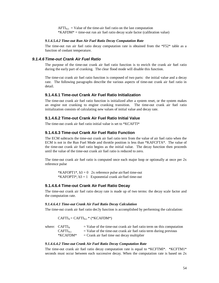$AFTI_{N-1}$  = Value of the time-air fuel ratio on the last computation  $*KAFDM* = time-out run air fuel ratio decay scale factor (calibration value)$ 

#### *9.1.4.5.4.2 Time-out Run Air Fuel Ratio Decay Computation Rate*

The time-out run air fuel ratio decay computation rate is obtained from the \*F52\* table as a function of coolant temperature.

#### *9.1.4.6 Time-out Crank Air Fuel Ratio*

The purpose of the time-out crank air fuel ratio function is to enrich the crank air fuel ratio during the early part of cranking. The clear flood mode will disable this function.

The time-cut crank air fuel ratio function is composed of two parts: the initial value and a decay rate. The following paragraphs describe the various aspects of time-out crank air fuel ratio in detail.

#### **9.1.4.6.1 Time-out Crank Air Fuel Ratio Initialization**

The time-out crank air fuel ratio function is initialized after a system reset, or the system makes an engine not cranking to engine cranking transition. The time-out crank air fuel ratio initialization consists of calculating new values of initial value and decay rate.

### **9.1.4.6.2 Time-out Crank Air Fuel Ratio Initial Value**

The time-out crank air fuel ratio initial value is set to \*KCAFTI\*

## **9.1.4.6.3 Time-out Crank Air Fuel Ratio Function**

The ECM subtracts the time-out crank air fuel ratio tern from the value of air fuel ratio when the ECM is not in the Run Fuel Mode and throttle position is less than \*KAFCFTA\*. The value of the time-out crank air fuel ratio begins as the initial value. The decay function then proceeds until the value of the time-out crank air fuel ratio is reduced to zero.

The time-out crank air fuel ratio is computed once each major loop or optionally at once per  $2x$ reference pulse

\*KAFOPT1\*,  $b3 = 0$  2x reference pulse air/fuel time-out \*KAFOPTI\*,  $b3 = 1$  Exponential crank air/fuel time-out

#### **9.1.4.6.4 Time-out Crank Air Fuel Ratio Decay**

The time-out crank air fuel ratio decay rate is made up of two terms: the decay scale factor and the computation rate.

#### *9.1.4.6.4.1 Time-out Crank Air Fuel Ratio Decay Calculation*

The time-out crank air fuel ratio dec3y function is accomplished by performing the calculation:

 $CAFTI_N = CAFTI_{N-1} * (*KCAFDM*)$ 

| where: $CAFTI_N$ | $=$ Value of the time-out crank air fuel ratio term on this computation |
|------------------|-------------------------------------------------------------------------|
| $CAFTIN-1$       | $=$ Value of the time-out crank air fuel ratio term during previous     |
| *KCAFDM*         | $=$ Crank air fuel time out decay multiplier                            |

#### *9.1.4.6.4.2 Time-out Crank Air Fuel Ratio Decay Computation Rate*

The time-out crank air fuel ratio decay computation rate is equal to \*KCFTMl\*. \*KCFTM1\* seconds must occur between each successive decay. When the computation rate is based on 2x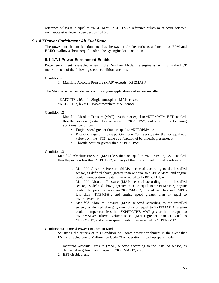reference pulses it is equal to \*KCFTM2\*. \*KCFTM2\* reference pulses must occur between each successive decay. (See Section 1.4.6.3)

#### *9.1.4.7Power Enrichment Air Fuel Ratio*

The power enrichment function modifies the system air fuel ratio as a function of RPM and BARO to allow a "best torque" under a heavy engine load condition.

#### **9.1.4.7.1 Power Enrichment Enable**

Power enrichment is enabled when in the Run Fuel Mode, the engine is running in the EST mode and one of the following sets of conditions are met.

#### Condition #1

1. Manifold Absolute Pressure (MAP) exceeds \*KPEMAPl\*.

The MAP variable used depends on the engine application and sensor installed.

\*KAFOPT3\*,  $b5 = 0$  Single atmosphere MAP sensor. \*KAFOPT3\*,  $b5 = 1$  Two-atmosphere MAP sensor.

#### Condition #2

- 1. Manifold Absolute Pressure (MAP) less than or equal to \*KPEMAPl\*, EST enabled, throttle position greater than or equal to \*KPETPS\*, and any of the following additional conditions:
	- Engine speed greater than or equal to \*KPERPM\*, or
	- Rate of change of throttle position (over 25 mSec) greater than or equal to a value from the \*F63\* table as a function of barometric pressure), or
	- Throttle position greater than \*KPEATPS\*.

#### Condition #3

Manifold Absolute Pressure (MAP) less than or equal to \*KPEMAPi\*, EST enabled, throttle position less than \*KPETPS\*, and any of the following additional conditions:

- a. Manifold Absolute Pressure (MAP, selected according to the installed sensor, as defined above) greater than or equal to \*KPEMAP2\*, and engine coolant temperature greater than or equal to \*KPETCTH\*, or
- b. Manifold Absolute Pressure (MAP, selected according to the installed sensor, as defined above) greater than or equal to \*KPEMAP2\*, engine coolant temperature less than \*KPEMAP3\*, filtered vehicle speed (MPH) less than \*KPEMPH\*, and engine speed greater than or equal to \*KPERPM\*, or
- c. Manifold Absolute Pressure (MAP, selected according to the installed sensor, as defined above) greater than or equal to \*KPEMAP2\*, engine coolant temperature less than \*KPETCTH\*, MAP greater than or equal to \*KPEMAP3\*, filtered vehicle speed (MPH) greater than or equal to \*KPEMPH\*, and engine speed greater than or equal to \*KPERPM1\*.

Condition #4 - Forced Power Enrichment Mode.

Satisfying the criteria of this Condition will force power enrichment in the event that EST is disabled due to Malfunction Code 42 or operation in backup spark mode.

- 1. manifold Absolute Pressure (MAP, selected according to the installed sensor, as defined above) less than or equal to \*KPEMAP1\*, and,
- 2. EST disabled, and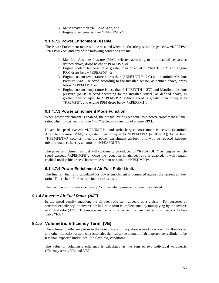- 3. MAP greater than \*KPEMAP4Z\*, and
- 4. Engine speed greater than \*KPERPM4Z\*

#### **9.1.4.7.2 Power Enrichment Disable**

The Power Enrichment mode will be disabled when the throttle position drops below \*KPETPS\* - \*KTPSHYS\*, and any of the following conditions are met:

- 1. Manifold Absolute Pressure (MAP, selected according to the installed sensor, as defined above) drops below \*KPEMAP2\*, or
- 2. Engine coolant temperature is greater than or equal to \*KpETCTH\*, and engine RPM drops below \*KPERPM\*, or
- 3. Engine coolant temperature is less than (\*KPETCTH\* -2'C) and manifold Absolute Pressure (MAP, selected according to the installed sensor, as defined above) drops below \*KPEMAP3\*, or
- 4. Engine coolant temperature is less than (\*KPETCTH\* -2'C) and Manifold absolute pressure (MAP, selected according to the installed sensor, as defined above) is greater than or equal to \*KPEMAP3\*, vehicle speed is greater than or equal to \*KPEMPH\*, and engine RPM drops below \*KPERPM1\*.

#### **9.1.4.7.3 Power Enrichment Mode Function**

When power enrichment is enabled, the air fuel ratio is set equal to a power enrichment air fuel ratio, which is derived from the \*F61\* table, as a function of engine RPM.

If vehicle speed exceeds \*KPEHMPH\*, and turbocharger boost mode is active, (Manifold Absolute Pressure, MAP, is greater than or equal to \*KPEMAP4\* (=IOOKPA)) for at least \*KPEMPHTM\* seconds, then the power enrichment air/fuel ratio will be reduced (air/fuel mixture made richer) by an amount \*KPEAFDLT\*.

The power enrichment air/fuel will continue to be reduced by \*KPEAFDLT\* as long as vehicle speed exceeds \*KPEHMPH\*. Once the reduction in air/fuel ratio is enabled, it will remain enabled until vehicle speed becomes less than or equal to \*KPEHMPH\*.

#### **9.1.4.7.4 Power Enrichment Air Fuel Ratio Limit.**

The final air fuel ratio calculated for power enrichment is compared against the current air fuel ratio. The richer of the two air fuel ratios is used.

This comparison is performed every 25 mSec when power enrichment is enabled.

#### *9.1.4.8 Inverse Air Fuel Ratio (A/F')*

In the speed density equation, the air fuel ratio term appears as a divisor. For purposes of software expediency the inverse air fuel ratio term is implemented by multiplying by the inverse of air fuel ratio (A/F'). The inverse air fuel ratio is derived from air fuel ratio by means of lookup Table \*F32\*.

### **9.1.5 Volumetric Efficiency Term (VE)**

The volumetric efficiency term in the base pulse width equation is used to account for flow losses and other induction system characteristics that cause the amount of air ingested per cylinder to be less than expected under ideal (no flow loss) conditions.

The value of volumetric efficiency is calculated as the sum of two individual volumetric efficiency terms, VEl and VE2.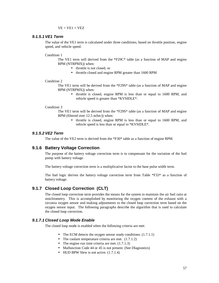$VE = VE1 + VEZ$ 

#### *9.1.5.1VE1 Term*

The value of the VE1 term is calculated under three conditions, based on throttle position, engine speed, and vehicle speed.

#### Condition 1

The VE1 term will derived from the \*F29C\* table (as a function of MAP and engine RPM (NTRPMX)) when:

- throttle is not closed, or
- throttle closed and engine RPM greater than 1600 RPM

#### Condition 2

The VE1 term will be derived from the \*F29S\* table (as a function of MAP and engine RPM (NTRPMX)) when:

> • throttle is closed, engine RPM is less than or equal to 1600 RPM, and vehicle speed is greater than \*KVSIDLE\*.

#### Condition 3

The VE1 term will be derived from the \*F29S\* table (as a function of MAP and engine RPM (filtered over 12.5 mSec)) when:

> • throttle is closed, engine RPM is less than or equal to 1600 RPM, and vehicle speed is less than or equal to \*KVSIDLE\*.

#### *9.1.5.2VE2 Term*

The value of the VE2 term is derived from the \*F30\* table as a function of engine RPM.

### **9.1.6 Battery Voltage Correction**

The purpose of the battery voltage correction term is to compensate for the variation of the fuel pump with battery voltage.

The battery voltage correction term is a multiplicative factor to the base pulse width term.

The fuel logic derives the battery voltage correction term from Table \*F33\* as a function of battery voltage.

### **9.1.7 Closed Loop Correction (CLT)**

The closed loop correction term provides the means for the system to maintain the air fuel ratio at stoichiometry. This is accomplished by monitoring the oxygen content of the exhaust with a zirconia oxygen sensor and making adjustments to the closed loop correction term based on the oxygen sensor input. The following paragraphs describe the algorithm that is used to calculate the closed loop correction.

#### *9.1.7.1 Closed Loop Mode Enable*

The closed loop mode is enabled when the following criteria are met:

- The ECM detects the oxygen sensor ready conditions.  $(1.7.1.1)$
- The coolant temperature criteria are met.  $(1.7.1.2)$
- The engine run time criteria are met.  $(1.7.1.3)$
- Malfunction Code 44 or 45 is not present. (See Dlagnostics)
- HUD BPW Slew is not active.  $(1.7.1.4)$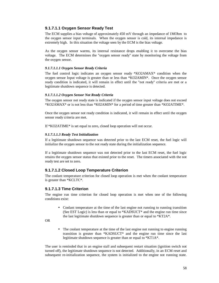### **9.1.7.1.1 Oxygen Sensor Ready Test**

The ECM supplies a bias voltage of approximately 450 mV through an impedance of 1MOhm to the oxygen sensor input terminals. When the oxygen sensor is cold, its internal impedance is extremely high. In this situation the voltage seen by the ECM is the bias voltage.

As the oxygen sensor warms, its internal resistance drops enabling it to overcome the bias voltage. The ECM determines the "oxygen sensor ready" state by monitoring the voltage from the oxygen sensor.

#### *9.1.7.1.1.1 Oxygen Sensor Ready Criteria*

The fuel control logic indicates an oxygen sensor ready \*KO2AMAX\* condition when the oxygen sensor Input voltage is greater than or less than \*KO2AMIN\*. Once the oxygen sensor ready condition is indicated, it will remain in effect until the "not ready" criteria are met or a legitimate shutdown sequence is detected.

#### *9.1.7.1.1.2 Oxygen Sensor Not Ready Criteria*

The oxygen sensor not ready state is indicated if the oxygen sensor input voltage does not exceed \*KO2AMAX\* or is not less than \*K02AMIN\* for a period of time greater than \*KO2ATIME\*.

Once the oxygen sensor not ready condition is indicated, it will remain in effect until the oxygen sensor ready criteria are met.

If \*KO2ATIME\* is set equal to zero, closed loop operation will not occur.

#### *9.1.7.1.1.3 Ready Test Initialization*

If a legitimate shutdown sequence was detected prior to the last ECM reset, the fuel logic will initialize the oxygen sensor to the not ready state during the initialization sequence.

If a legitimate shutdown sequence was not detected prior to the last ECM reset, the fuel logic retains the oxygen sensor status that existed prior to the reset. The timers associated with the not ready test are set to zero.

### **9.1.7.1.2 Closed Loop Temperature Criterion**

The coolant temperature criterion for closed loop operation is met when the coolant temperature is greater than \*KCLTC\*.

#### **9.1.7.1.3 Time Criterion**

The engine run time criterion for closed loop operation is met when one of the following conditions exist:

• Coolant temperature at the time of the last engine not running to running transition (See EST Logic) is less than or equal to \*KADSUCT\* and the engine run time since the last legitimate shutdown sequence is greater than or equal to \*KT2A\*.

OR

• The coolant temperature at the time of the last engine not running to engine running transition is greater than \*KADSUCT\* and the engine run time since the last legitimate shutdown sequence is greater than or equal to \*KT1A\*.

The user is reminded that in an engine stall and subsequent restart situation (ignition switch not turned off), the legitimate shutdown sequence is not detected. Additionally, in an ECM reset and subsequent re-initialization sequence, the system is initialized to the engine not running state.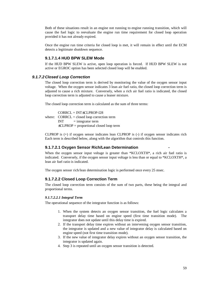Both of these situations result in an engine not running to engine running transition, which will cause the fuel logic to reevaluate the engine run time requirement for closed loop operation provided it has not already expired.

Once the engine run time criteria for closed loop is met, it will remain in effect until the ECM detects a legitimate shutdown sequence.

### **9.1.7.1.4 HUD BPW SLEW Mode**

If the HUD BPW SLEW is active, open loop operation is forced. If HUD BPW SLEW is not active or EGROC option has been selected closed loop will be enabled.

#### *9.1.7.2 Closed Loop Correction*

The closed loop correction term is derived by monitoring the value of the oxygen sensor input voltage. When the oxygen sensor indicates 3 lean air fuel ratio, the closed loop correction term is adjusted to cause a rich mixture. Conversely, when a rich air fuel ratio is indicated, the closed loop correction term is adjusted to cause a leaner mixture.

The closed loop correction term is calculated as the sum of three terms:

 $CORRCL = INT<sub>±</sub>CLPROP-128$ where:  $CORRCL = closed loop correction term$  $INT = integrator term$ ±CLPROP = proportional closed loop term

CLPROP is (+) if oxygen sensor indicates lean CLPROP is (-) if oxygen sensor indicates rich Each term is described below, along with the algorithm that controls this function.

#### **9.1.7.2.1 Oxygen Sensor Rich/Lean Determination -**

When the oxygen sensor input voltage is greater than \*KCLOXTH\*, a rich air fuel ratio is indicated. Conversely, if the oxygen sensor input voltage is less than or equal to \*KCLOXTH\*, a lean air fuel ratio is indicated.

The oxygen sensor rich/lean determination logic is performed once every 25 msec.

### **9.1.7.2.2 Closed Loop Correction Term**

The closed loop correction term consists of the sum of two parts, these being the integral and proportional terms.

#### *9.1.7.2.2.1 Integral Term*

The operational sequence of the integrator function is as follows:

- 1. When the system detects an oxygen sensor transition, the fuel logic calculates a transport delay time based on engine speed (first time transition mode). The integrator does not update until this delay time is expired.
- 2. If the transport delay time expires without an intervening oxygen sensor transition, the integrator is updated and a new value of integrator delay is calculated based on engine speed (not first time transition mode).
- 3. If the new value of integrator delay expires without an oxygen sensor transition, the integrator is updated again.
- 4. Step 3 is repeated until an oxygen sensor transition is detected.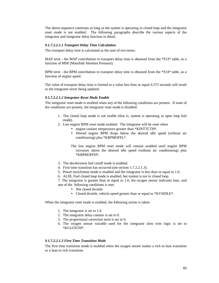The above sequence continues as long as the system is operating in closed loop and the integrator reset mode is not enabled. The following paragraphs describe the various aspects of the integrator and integrator delay function in detail.

#### *9.1.7.2.2.1.1 Transport Delay Time Calculation*

The transport delay time is calculated as the sum of two terms.

MAP term - the MAP contribution to transport delay time is obtained from the \*F23\* table, as a function of MSP (Manifold Absolute Pressure).

RPM term - the RPM contribution to transport delay time is obtained from the \*F24\* table, as a function of engine speed.

The value of transport delay time is limited to a value less than or equal 6.375 seconds will result in the integrator never being updated.

#### *9.1.7.2.2.1.2 Integrator Reset Mode Enable*

The integrator reset mode is enabled when any of the following conditions are present. If none of the conditions are present, the integrator reset mode is disabled.

- 1. The closed loop mode is not enable (that is, system is operating in open loop fuel mode).
- 2. Low engine RPM reset mode enabled. The integrator will be reset when
	- engine coolant temperature greater than \*KINTTCTH\*.
	- filtered engine RPM drops below the desired idle speed (without air conditioning) plus \*KRPMOFFL\*.

The low engine RPM reset mode will remain enabled until engine RPM increases above the desired idle speed (without air conditioning) plus \*KRPMOFFH\*.

- 3. The deceleration fuel cutoff mode is enabled.
- 4. First time transition has occurred (see section 1.7.2.2.1.3).
- 5. Power enrichment mode is enabled and the integrator is less than or equal to 1.0.
- 6. ALDL Fuel closed loop mode is enabled, but system is not in closed loop.

7. The integrator is greater than or equal to 1.0, the oxygen sensor indicates lean, and one of the following conditions is met:

- Not closed throttle
- Closed throttle, vehicle speed greater than or equal to \*KVSIDLE\*.

When the integrator reset mode is enabled, the following action is taken:

- 1. The integrator is set to 1.0.
- 2. The integrator delay counter is set to 0.
- 3. The proportional correction term is set to 0.
- 4. The oxygen sensor variable used for the integrator slow trim logic is set to \*KCLOXTH\*.

#### *9.1.7.2.2.1.3 First Time Transition Mode*

The first time transition mode is enabled when the oxygen sensor makes a rich to lean transition or a lean to rich transition.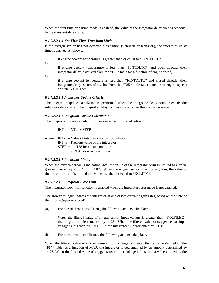When the first time transition mode is enabled, the value of the integrator delay time is set equal to the transport delay time.

#### *9.1.7.2.2.1.4 Not First Time Transition Mode*

If the oxygen sensor has not detected a transition (rich/lean or lean/rich), the integrator delay time is derived as follows:

If engine coolant temperature is greater than or equal to \*KINTDLTC\*

Or

if engine coolant temperature is less than \*KINTDLTC\*, and open throttle, then integrator delay is derived from the \*F25\* table (as a function of engine speed).

Or

if engine coolant temperature is less than \*KINTDLTC\* and closed throttle, then integrator delay is sum of a value from the \*F25\* table (as a function of engine speed) and \*KINTDLTA\*.

#### *9.1.7.2.2.1.5 Integrator Update Criteria*

The integrator update calculation is performed when the integrator delay counter equals the integrator delay time. The integrator delay counter is reset when this condition is met.

#### *9.1.7.2.2.1.6 Integrator Update Calculation*

The integrator update calculation is performed as illustrated below:

 $INT_N = INT_{N-1} + STEP$ 

where:  $INT_N = Value$  of integrator for this calculation

 $INT_{N-1}$  = Previous value of the integrator STEP  $= +1/128$  for a lean condition

- 1/128 for a rich condition

#### *9.1.7.2.2.1.7 Integrator Limits*

When the oxygen sensor is indicating rich, the value of the integrator term is limited to a value greater than or equal to \*KCLITMI\*. When the oxygen sensor is indicating lean, the value of the integrator term is limited to a value less than or equal to \*KCLITMX\*

#### *9.1.7.2.2.1.8 Integrator Slow Trim*

The integrator slow trim function is enabled when the integrator reset mode is not enabled.

The slow trim logic updates the integrator at one of two different gain rates, based on the state of the throttle (open or closed).

(a) For closed throttle conditions, the following actions take place.

When the filtered value of oxygen sensor input voltage is greater than \*KO2FILHC\*, the integrator is decremented by 1/128. When the filtered value of oxygen sensor input voltage is less than \*KO2FILLC\* the integrator is incremented by 1/128.

(b) For open throttle conditions, the following actions take place.

When the filtered value of oxygen sensor input voltage is greater than a value defined by the \*F67\* table, as a function of MAP, the integrator is decremented by an amount determined by 1/128. When the filtered value of oxygen sensor input voltage is less than a value defined by the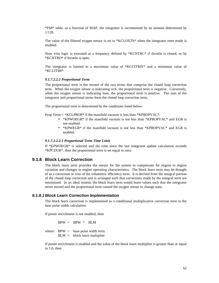\*F68\* table, as a function of MAP, the integrator is incremented by an amount determined by 1/128.

The value of the filtered oxygen sensor is set to \*KCLOXTh\* when the integrator reset mode is enabled.

Slow trim logic is executed at a frequency defined by  $*KCNTRC*$  if throttle is closed, or by \*KCNTRO\* if throttle is open.

The integrator is limited to a maximum value of \*KCCITMX\* and a minimum value of \*KCLITMI\*.

#### *9.1.7.2.2.2 Proportional Term*

The proportional term is the second of the two terms that comprise the closed loop correction term. When the oxygen sensor is indicating rich, the proportional term is negative. Conversely, when the oxygen sensor is indicating lean, the proportional term is positive. The sum of the integrator and proportional terms form the closed loop correction term.

The proportional term is determined by the conditions listed below:

Prop Term = \*KCLPROP\* if the manifold vacuum is less than \*KPROPVAC\*.

- \*KPWOEGR\* if the manifold vacuum is not less than \*KPROPVAC\* and EGR is not enabled.
- \*KPWEGR\* if the manifold vacuum is not less than \*KPROPVAC\* and EGR is enabled.

#### *9.1.7.2.2.2.1 Proportional Term Time Limit*

If \*KPWOEGR\* is selected and the time since the last integrator update calculation exceeds \*KPCDUR\*, then the proportional term is set equal to zero.

### **9.1.8 Block Learn Correction**

The block learn term provides the means for the system to compensate for engine to engine variation and changes in engine operating characteristics. The block learn term may be thought of as a correction or trim of the volumetric efficiency term. It is derived from the integral portion of the closed loop correction and is arranged such that corrections made by the integral term are minimized. In an ideal system, the block learn term would learn values such that the integrator never moved and the proportional term caused the oxygen sensor to change state.

#### *9.1.8.1 Block Learn Correction Implementation*

The block learn correction is implemented as a conditional multiplicative correction term to the base pulse width calculation.

If power enrichment is not enabled, then

 $BPW = BPW * BLM$ 

where:  $BPW =$  base pulse width term BLM = block learn multiplier

If power enrichment is enabled and the value of the block learn multiplier is greater than or equal to 1.0, then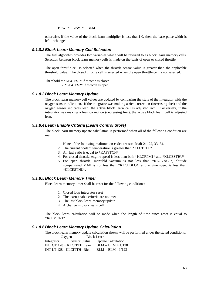$BPW = BPW * BLM$ 

otherwise, if the value of the block learn multiplier is less than1.0, then the base pulse width is left unchanged.

#### *9.1.8.2 Block Learn Memory Cell Selection*

The fuel algorithm provides two variables which will be referred to as block learn memory cells. Selection between block learn memory cells is made on the basis of open or closed throttle.

The open throttle cell is selected when the throttle sensor value is greater than the applicable threshold value. The closed throttle cell is selected when the open throttle cell is not selected.

Threshold  $=$  \*KF4TPS1\* if throttle is closed.

- \*KF4TPS2\* if throttle is open.

### *9.1.8.3 Block Learn Memory Update*

The block learn memory cell values are updated by comparing the state of the integrator with the oxygen sensor indication. If the integrator was making a rich correction (increasing fuel) and the oxygen sensor indicates lean, the active block learn cell is adjusted rich. Conversely, if the integrator was making a lean correction (decreasing fuel), the active block learn cell is adjusted lean.

### *9.1.8.4 Learn Enable Criteria (Learn Control Store)*

The block learn memory update calculation is performed when all of the following condition are met:

- 1. None of the following malfunction codes are set: Malf 21, 22, 33, 34.
- 2. The current coolant temperature is greater than \*KLCTCLL\*.
- 3. Air fuel ratio is equal to \*KAFSTCN\*.
- 4. For closed throttle, engine speed is less than both \*KLCRPM1\* and \*KLCESTHU\*.
- 5. For open throttle, manifold vacuum is not less than \*KLCVAC0\*, altitude compensated MAP is not less than \*KLCLDLO\*, and engine speed is less than \*KLCESTHU\*.

#### *9.1.8.5 Block Learn Memory Timer*

Block learn memory timer shall be reset for the following conditions:

- 1. Closed loop integrator reset
- 2. The learn enable criteria are not met
- 3. The last block learn memory update
- 4. A change in block learn cell.

The block learn calculation will be made when the length of time since reset is equal to \*K8LMCNT\*.

#### *9.1.8.6 Block Learn Memory Update Calculation*

The block learn memory update calculation shown will be performed under the stated conditions.  $O<sub>www</sub>$  Block Learn

|            | <b>UAYELI</b><br>DIUCK Leafin |                           |
|------------|-------------------------------|---------------------------|
| Integrator | <b>Sensor Status</b>          | <b>Update Calculation</b> |
|            | INT GT 128 + KLCITTH Lean     | $BLM = BLM + 1/128$       |
|            | INT LT 128 - KLCITTH Rich     | $BLM = BLM - 1/123$       |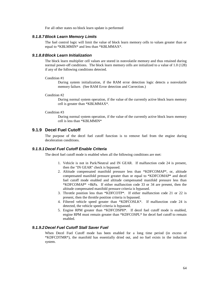For all other states no block learn update is performed

#### *9.1.8.7 Block Learn Memory Limits*

The fuel control logic will limit the value of block learn memory cells to values greater than or equal to \*KBLMMIN\* and less than \*KBLMMAX\*.

#### *9.1.8.8 Block Learn Initialization*

The block learn multiplier cell values are stored in nonvolatile memory and thus retained during normal power-off conditions. The block learn memory cells are initialized to a value of 1.0 (128) if any of the following conditions detected.

#### Condition #1

During system initialization, if the RAM error detection logic detects a nonvolatile memory failure. (See RAM Error detection and Correction.)

#### Condition #2

During normal system operation, if the value of the currently active block learn memory cell is greater than \*KBLMMAX\*.

#### Condition #3

During normal system operation, if the value of the currently active block learn memory cell is less than \*KBLMMIN\*

### **9.1.9 Decel Fuel Cutoff**

The purpose of the decel fuel cutoff function is to remove fuel from the engine during deceleration conditions.

#### *9.1.9.1 Decel Fuel Cutoff Enable Criteria*

The decel fuel cutoff mode is enabled when all the following conditions are met:

- 1. Vehicle is not in Park/Neutral and IN GEAR. If malfunction code 24 is present, then the "IN GEAR" check is bypassed.
- 2. Altitude compensated manifold pressure less than \*KDFCOMAP\*, or, altitude compensated manifold pressure greater than or equal to \*KDFCOMAP\* and decel fuel cutoff mode enabled and altitude compensated manifold pressure less than \*KDFCOMAP\* +8kPa. If either malfunction code 33 or 34 are present, then the altitude compensated manifold pressure criteria is bypassed.
- 3. Throttle position less than \*KDFCOTP\*. If either malfunction code 21 or 22 is present, then the throttle position criteria is bypassed.
- 4. Filtered vehicle speed greater than \*KDFCOSLK\*. If malfunction code 24 is detected, the vehicle speed criteria is bypassed.
- 5. Engine RPM greater than \*KDFCDSPH\*. If decel fuel cutoff mode is enabled, engine RPM must remain greater than \*KDFCOSPL\* for decel fuel cutoff to remain enabled.

#### *9.1.9.2 Decel Fuel Cutoff Stall Saver Fuel*

When Decel Fuel Cutoff mode has been enabled for a long time period (in excess of \*KDFCDTMR\*), the manifold has essentially dried out, and no fuel exists in the induction system.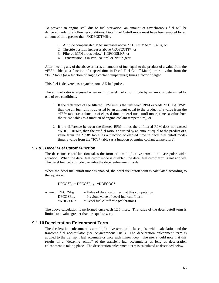To prevent an engine stall due to fuel starvation, an amount of asynchronous fuel will be delivered under the following conditions. Decel Fuel Cutoff mode must have been enabled for an amount of time greater than \*KDFCDTMR\*.

- 1. Altitude compensated MAP increases above \*KDFCOMAP\* + 8kPa, or
- 2. Throttle position increases above \*KOFCOTP\*, or
- 3. Filtered MPH drops below \*KDFCOSLK\*, or
- 4. Transmission is in Park/Neutral or Nat in gear.

After meeting any of the above criteria, an amount of fuel equal to the product of a value from the \*F58\* table (as a function of elapsed time in Decel Fuel Cutoff Made) times a value from the \*F75\* table (as a function of engine coolant temperature) times a factor of eight.

This fuel is delivered as a synchronous AE fuel pulses.

The air fuel ratio is adjusted when exiting decel fuel cutoff mode by an amount determined by one of two conditions.

- 1. If the difference of the filtered RPM minus the unfiltered RPM exceeds \*KDITARPM\*, then the air fuel ratio is adjusted by an amount equal to the product of a value from the \*F58\* table (as a function of elapsed time in decel fuel cutoff mode) times a value from the \*F74\* table (as a function of engine coolant temperature), or
- 2. If the difference between the filtered RPM minus the unfiltered RPM does not exceed \*KDLTARPM\*, then the air fuel ratio is adjusted by an amount equal to the product of a value from the \*F58\* table (as a function of elapsed time in decel fuel cutoff mode) times a value from the \*F73\* table (as a function of engine coolant temperature).

#### *9.1.9.3 Decel Fuel Cutoff Function*

The decel fuel cutoff function takes the form of a multiplicative term to the base pulse width equation. When the decel fuel cutoff mode is disabled, the decel fuel cutoff term is not applied. The decel fuel cutoff mode overrides the decel enleanment mode.

When the decel fuel cutoff mode is enabled, the decel fuel cutoff term is calculated according to the equation:

 $DFCOSF_N = DFCOSF_{N-1} - *KDFCOG*$ 

| where: $DFCOSF_N$ | $=$ Value of decel cutoff term at this computation |
|-------------------|----------------------------------------------------|
| $DFCOSFN-1$       | $=$ Previous value of decel fuel cutoff term       |
| $*KDFCOG*$        | $=$ Decel fuel cutoff rate (calibration)           |

The above calculation is performed once each 12.5 msec. The value of the decel cutoff term is limited to a value greater than or equal to zero.

# **9.1.10 Deceleration Enleanment Term**

The deceleration enleanment is a multiplicative term to the base pulse width calculation and the transient fuel accumulator (see Asynchronous Fuel.) The deceleration enleanment term is applied to the transipnt fuel accumulator once each minor loop. The user should note that this results in a "decaying action" of the transient fuel accumulator as long as deceleration enleanment is taking place. The deceleration enleanment term is calculated as described below.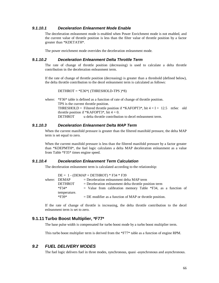## *9.1.10.1 Deceleration Enleanment Mode Enable*

The deceleration enleanment mode is enabled when Power Enrichment mode is not enabled, and the current value of throttle position is less than the filter value of throttle position by a factor greater than \*KDETATH\*.

The power enrichment mode overrides the deceleration enleanment mode.

#### *9.1.10.2 Deceleration Enleanment Delta Throttle Term*

The rate of change of throttle position (decreasing) is used to calculate a delta throttle contribution tn the deceleration enleanment term.

If the rate of change of throttle position (decreasing) is greater than a threshold (defined below), the delta throttle contribution to the decel enleanment term is calculated as follows:

DETHROT = \*E36\*( (THRESHOLD-TPS )\*8)

where: \*F36\* table is defined as a function of rate of change of throttle position. TPS is the current throttle position. THRESHOLD = Filtered throttle position if \*KAFOPT3\*, bit  $4 = I = 12.5$  mSec old throttle position if \*KAFOPT3\*, bit  $4 = 0$ . DETHROT u delta throttle contribution to decel enleanment term.

#### *9.1.10.3 Deceleration Enleanment Delta MAP Term*

When the current manifold pressure is greater than the filtered manifold pressure, the delta MAP term is set equal to zero.

When the current manifold pressure is less than the filtered manifold pressure by a factor greater than \*KDEPMTH\*, the fuel logic calculates a delta MAP deceleration enleanment as a value from Table \*F35\* times engine speed.

# *9.1.10.4 Deceleration Enleanment Term Calculation*

The deceleration enleanment term is calculated according to the relationship:

|              | $DE = 1 - (DEMAP + DETHROT) * F34 * F39$                       |  |  |  |
|--------------|----------------------------------------------------------------|--|--|--|
| where: DEMAP | $=$ Deceleration enleanment delta MAP term                     |  |  |  |
| DETHROT      | $=$ Deceleration enleanment delta throttle position term       |  |  |  |
| *F34*        | $=$ Value from calibration memory Table *F34, as a function of |  |  |  |
| temperature. |                                                                |  |  |  |
| *F39*        | $=$ DE modifier as a function of MAP or throttle position.     |  |  |  |

If the rate of change of throttle is increasing, the delta throttle contribution to the decel enleanment term is set to zero.

# **9.1.11 Turbo Boost Multiplier, \*F77\***

The base pulse width is compensated for turbo boost mode by a turbo boost multiplier term.

This turbo boost multiplier term is derived from the \*F77\* table as a function of engine RPM.

# *9.2 FUEL DELIVERY MODES*

The fuel logic delivers fuel in three modes, synchronous, quasi -asynchronous and asynchronous.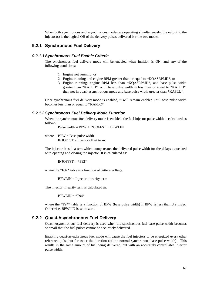When both synchronous and asynchronous modes are operating simultaneously, the output to the injector(s) is the logical OR of the delivery pulses delivered b-v the two modes.

#### **9.2.1 Synchronous Fuel Delivery**

#### *9.2.1.1Synchronous Fuel Enable Criteria*

The synchronous fuel delivery mode will be enabled when ignition is ON, and any of the following conditions:

- 1. Engine not running, or
- 2. Engine running and engine RPM greater than or equal to \*KQASRPMD\*, or
- 3. Engine running, engine RPM less than \*KQASRPMD\*, and base pulse width greater than \*KAPLH\*, or if base pulse width is less than or equal to \*KAPLH\*, then not in quasi-asynchronous mode and base pulse width greater than \*KAPLL\*.

Once synchronous fuel delivery mode is enabled, it will remain enabled until base pulse width becomes less than or equal to \*KAPLC\*.

#### *9.2.1.2Synchronous Fuel Delivery Mode Function*

When the synchronous fuel delivery mode is enabled, the fuel injector pulse width is calculated as follows:

Pulse width  $= BPW + INJOFFST + BPWLIN$ 

where  $BPW = Base pulse width.$ INJOFFST a Injector offset term.

The injector bias is a tern which compensates the delivered pulse width for the delays associated with opening and closing the injector. It is calculated as:

 $INJOFFST = *F92*$ 

where the \*F92\* table is a function of battery voltage.

BPWLIN = Injector linearity term

The injector linearity term is calculated as:

 $B$ PWLIN =  $*$ F94 $*$ 

where the \*F94\* table is a function of BPW (base pulse width) if BPW is less than 3.9 mSec. Otherwise, BPWLIN is set to zero.

### **9.2.2 Quasi-Asynchronous Fuel Delivery**

Quasi-Asynchronous fuel delivery is used when the synchronous fuel base pulse width becomes so small that the fuel pulses cannot be accurately delivered.

Enabling quasi-asynchronous fuel mode will cause the fuel injectors to be energized every other reference pulse but for twice the duration (of the normal synchronous base pulse width). This results in the same amount of fuel being delivered, but with an accurately controllable injector pulse width.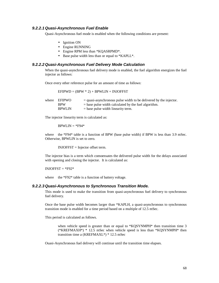#### *9.2.2.1 Quasi-Asynchronous Fuel Enable*

Quasi-Asynchronous fuel mode is enabled when the following conditions are present:

- Ignition ON
- Engine RUNNING
- Engine RPM less than \*KQASRPMD\*.
- Base pulse width less than or equal to \*KAPLL\*.

#### *9.2.2.2 Quasi-Asynchronous Fuel Delivery Mode Calculation*

When the quasi-asynchronous fuel delivery mode is enabled, the fuel algorithm energizes the fuel injector as follows:

Once every other reference pulse for an amount of time as follows:

 $EFIPWD = (BPW * 2) + BPWLIN + INJOFFST$ 

| where EFIPWO  | $=$ quasi-asynchronous pulse width to be delivered by the injector. |
|---------------|---------------------------------------------------------------------|
| <b>RPW</b>    | $=$ base pulse width calculated by the fuel algorithm.              |
| <b>BPWLIN</b> | $=$ base pulse width linearity term.                                |

The injector linearity term is calculated as:

 $B$ PWLIN =  $*$ F94 $*$ 

where the \*F94\* table is a function of BPW (base pulse width) if BPW is less than 3.9 mSec. Otherwise, BPWLIN is set to zero.

INJOFFST = Injector offset term.

The injector bias is a term which comoensates the delivered pulse width for the delays associated with opening and closing the injector. It is calculated as:

 $INJOFFST = *F92*$ 

where the  $*F92*$  table is a function of battery voltage.

#### *9.2.2.3 Quasi-Asynchronous to Synchronous Transition Mode.*

This mode is used to make the transition from quasi-asynchronous fuel delivery to synchronous fuel delivery.

Once the base pulse width becomes larger than \*KAPLH, a quasi-asynchronous to synchronous transition mode is enabled for a time period based on a multiple of 12.5 mSec.

This period is calculated as follows.

when vehicle speed is greater than or equal to \*KQSYNMPH\* then transition time 3  $(*KREFMAXH*)$  \* 12.5 mSec when vehicle speed is less than \*KQSYNMPH\* then transition time a (KREFMAXL\*) \* 12.5 mSec

Ouasi-Asynchronous fuel delivery will continue until the transition time elapses.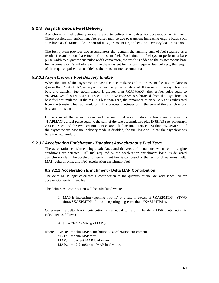### **9.2.3 Asynchronous Fuel Delivery**

Asynchronous fuel delivery mode is used to deliver fuel pulses for acceleration enrichment. These acceleration enrichment fuel pulses may be due to transient increasing engine loads such as vehicle acceleration, idle air control (IAC) transient air, and engine accessory load transients.

The fuel system provides two accumulators that contain the running sum of fuel required as a result of asynchronous base fuel and transient fuel. Each time the fuel system performs a base pulse width to asynchronous pulse width conversion, the result is added to the asynchronous base fuel accumulator. Similarly, each time the transient fuel system requires fuel delivery, the length of the required pulse is also added to the transient fuel accumulator.

#### *9.2.3.1 Asynchronous Fuel Delivery Enable*

When the sum of the asynchronous base fuel accumulator and the transient fuel accumulator is greater than \*KAPMIN\*, an asynchronous fuel pulse is delivered. If the sum of the asynchronous base and transient fuel accumulators is greater than \*KAPMAX\*, then a fuel pulse equal to \*KAPMAX\* plus INJBIAS is issued. The \*KAPMAX\* is subtracted from the asynchronous base fuel accumulator. If the result is less than zero, the remainder of \*KAPMAX\* is subtracted from the transient fuel accumulator. This process continues until the sum of the asynchronous base and transient

If the sum of the asynchronous and transient fuel accumulators is less than or equal to \*KAPMAX\*, a fuel pulse equal to the sum of the two accumulators plus INJBIAS (per paragraph 2.4) is issued and the two accumulators cleared. fuel accumulators is less than \*KAPMIN\* If the asynchronous base fuel delivery mode is disabled, the fuel logic will clear the asynchronous base fuel accumulator.

#### *9.2.3.2 Acceleration Enrichment - Transient Asynchronous Fuel Term*

The acceleration enrichment logic calculates and delivers additional fuel when certain engine conditions are detected. All fuel required by the acceleration enrichment logic is delivered asynchronously The acceleration enrichment fuel is composed of the sum of three terms: delta MAP, delta throttle, and IAC acceleration enrichment fuel.

#### **9.2.3.2.1 Acceleration Enrichment - Delta MAP Contribution**

The delta MAP logic calculates a contribution to the quantity of fuel delivery scheduled for acceleration enrichment fuel.

The delta MAP contribution will be calculated when:

1. MAP is increasing (opening throttle) at a rate in excess of \*KAEPMTH\*. (TWO times \*KAEPMTH\* tf throttle opening is greater than \*KAEPMTPS\*).

Otherwise the delta MAP contribution is set equal to zero. The delta MSP contribution is calculated as follows:

$$
AEDP = *F21* (MAPN - MAPN-1).
$$

where  $AEDP = delta MSP$  contribution to acceleration enrichment  $*F21* = delta MSP term$  $MAP<sub>N</sub>$  = current MAP load value.  $MAP_{N-1} = 12.5$  mSec old MAP load value.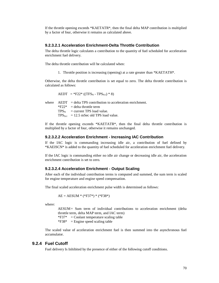If the throttle opening exceeds \*KAETATR\*, then the final delta MAP contribution is multiplied by a factor of four, otherwise it remains as calculated above.

#### **9.2.3.2.1 Acceleration Enrichment-Delta Throttle Contribution**

The delta throttle logic calculates a contribution to the quantity of fuel scheduled for acceleration enrichment fuel delivery.

The delta throttle contribution will be calculated when:

1. Throttle position is increasing (opening) at a rate greater than \*KAETATH\*.

Otherwise, the delta throttle contribution is set equal to zero. The delta throttle contribution is calculated as follows:

AEDT = \*F22\* ((TFS<sub>N</sub> - TPS<sub>N-1</sub>) \* 8)

where  $AEDT = delta TPS$  contribution to acceleration enrichment.  $*F22* = delta$  throttle term  $TPS_N$  = current TPS load value.  $TPS_{N-1}$  = 12.5 mSec old TPS load value.

If the throttle opening exceeds \*KAETATR\*, then the final delta throttle contribution is multiplied by a factor of four, otherwise it remains unchanged.

#### **9.2.3.2.2 Acceleration Enrichment - Increasing IAC Contribution**

If the IAC logic is commanding increasing idle air, a contribution of fuel defined by \*KAEISCN\* is added to the quantity of fuel scheduled for acceleration enrichment fuel delivery.

If the IAC logic is commanding either no idle air change or decreasing idle air, the acceleration enrichment contribution is set to zero.

#### **9.2.3.2.4 Acceleration Enrichment - Output Scaling**

After each of the individual contribution terms is computed and summed, the sum term is scaled for engine temperature and engine speed compensation.

The final scaled acceleration enrichment pulse width is determined as follows:

$$
AE = AESUM * (*F37*) * (*F38*)
$$

where:

AESUM= Sum term of individual contributions to acceleration enrichment (delta throttle term, delta MAP term, and IAC term)

 $*F37* = \text{Coolant temperature scaling table}$ 

 $*F38*$  = Engine speed scaling table

The scaled value of acceleration enrichment fuel is then summed into the asynchronous fuel accumulator.

#### **9.2.4 Fuel Cutoff**

Fuel delivery Is Inhibited by the presence of either of the following cutoff conditions.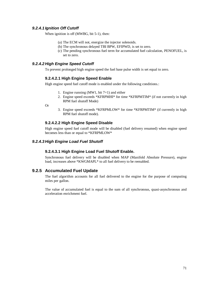# *9.2.4.1 Ignition Off Cutoff*

When ignition is off (MWBG, bit 5-1), then:

- (a) The ECM will not, energize the injector solenoids.
- (b) The synchronous delayed TBI BPW, EFIPWD, is set to zero.
- (c) The pending synchronous fuel term for accumulated fuel calculation, PENOFUEL, is set to zero.

# *9.2.4.2 High Engine Speed Cutoff*

To prevent prolonged high engine speed the fuel base pulse width is set equal to zero.

#### **9.2.4.2.1 High Engine Speed Enable**

High engine speed fuel cutoff mode is enabled under the following conditions.:

- 1. Engine running (MW1, bit 7=1) and either
- 2. Engine speed exceeds \*KFRPMHI\* for time \*KFRPMTIM\* (if not currently in high RPM fuel shutoff Mode)

Or

3. Engine speed exceeds \*KFRPMLOW\* for time \*KFRPMTIM\* (if currently in high RPM fuel shutoff mode).

#### **9.2.4.2.2 High Engine Speed Disable**

High engine speed fuel cutoff mode will be disabled (fuel delivery resumed) when engine speed becomes less than or equal to \*KFRPMLOW\*

#### *9.2.4.3 High Engine Load Fuel Shutoff*

#### **9.2.4.3.1 High Engine Load Fuel Shutoff Enable.**

Synchronous fuel delivery will be disabled when MAP (Manifold Absolute Pressure), engine load, increases above \*KWGMAPL\* to all fuel delivery to be reenabled.

### **9.2.5 Accumulated Fuel Update**

The fuel algorithm accounts for all fuel delivered to the engine for the purpose of computing miles per gallon.

The value of accumulated fuel is equal to the sum of all synchronous, quasi-asynchronous and acceleration enrichment fuel.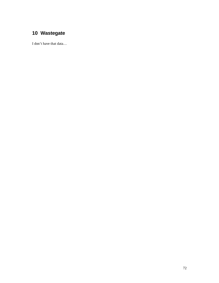# **Wastegate**

I don't have that data…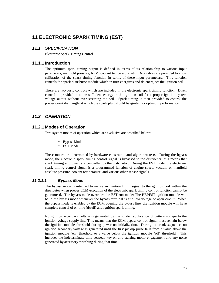# **11 ELECTRONIC SPARK TIMING (EST)**

# *11.1 SPECIFICATION*

Electronic Spark Timing Control

### **11.1.1 Introduction**

The optimum spark timing output is defined in terms of its relation-ship to various input parameters, manifold pressure, RPM, coolant temperature, etc. Data tables are provided to allow calibration of the spark timing function in terms of these input parameters. This function controls the spark distributor module which in turn energizes and de-energizes the ignition coil.

There are two basic controls which are included in the electronic spark timing function. Dwell control is provided to allow sufficient energy in the ignition coil for a proper ignition system voltage output without over stressing the coil. Spark timing is then provided to control the proper crankshaft angle at which the spark plug should be ignited for optimum performance.

# *11.2 OPERATION*

### **11.2.1 Modes of Operation**

Two system modes of operation which are exclusive are described below:

- Bypass Mode
- EST Mode

These modes are determined by hardware constraints and algorithrn tests. During the bypass mode, the electronic spark timing control signal is bypassed to the distributor, this means that spark timing and dwell are controlled by the distributor. During the EST mode, the electronic spark timing control signal is a programmed function of engine speed, vacuum or manifold absolute pressure, coolant temperature. and various other sensor signals.

#### *11.2.1.1 Bypass Mode*

The bypass mode is intended to insure an ignition firing signal to the ignition coil within the distributor when proper ECM execution of the electronic spark timing control function cannot be guaranteed. The bypass mode overrides the EST run mode; The HEI/EST ignition module will be in the bypass mode whenever the bypass terminal is at a low voltage or open circuit. When the bypass mode is enabled by the ECM opening the bypass line, the ignition module will have complete control of on time (dwell) and ignition spark timing.

No ignition secondary voltage is generated by the sudden application of battery voltage to the ignition voltage supply line. This means that the ECM bypass control signal must remain below the ignition module threshold during power on initialization. During a crank sequence, no ignition secondary voltage is generated until the first pickup pulse falls from a value above the ignition module "on" threshold to a value below the ignition module "off" threshold. This includes the indeterminate time between key on and starting motor engagement and any noise generated by accessory switching during that time.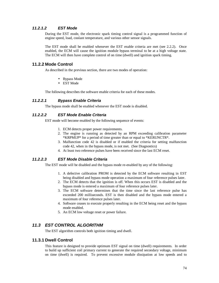# *11.2.1.2 EST Mode*

During the EST mode, the electronic spark timing control signal is a programmed function of engine speed, load, coolant temperature, and various other sensor signals.

The EST mode shall be enabled whenever the EST enable criteria are met (see 2.2.2). Once enabled, the ECM will cause the ignition module bypass terminal to be at a high voltage state. The ECM will then have complete control of on time (dwell) and ignition spark timing.

# **11.2.2 Mode Control**

As described in the previous section, there are two modes of operation:

- Bypass Mode
- EST Mode

The following describes the software enable criteria for each of these modes.

### *11.2.2.1 Bypass Enable Criteria*

The bypass mode shall be enabled whenever the EST mode is disabled.

### *11.2.2.2 EST Mode Enable Criteria*

EST mode will become enabled by the following sequence of events:

- 1. ECM detects proper power requirements.
- 2. The engine is running as detected by an RPM exceeding calibration parameter \*KRPMUP\* for a period of time greater than or equal to \*KERUNCTR\*.
- 3. Malfunction code 42 is disabled or if enabled the criteria for setting malfunction code 42, when in the bypass mode, is not met. (See Diagnostics)
- 4. At least two reference pulses have been received since the last ECM reset.

# *11.2.2.3 EST Mode Disable Criteria*

The EST mode will be disabled and the bypass mode re-enabled by any of the following:

- 1. A defective calibration PROM is detected by the ECM software resulting in EST being disabled and bypass mode operation a maximum of four reference pulses later.
- 2. The ECM detects that the ignition is off. When this occurs EST is disabled and the bypass mode is entered a maximum of four reference pulses later.
- 3. The ECM software determines that the time since the last reference pulse has exceeded 200 milliseconds. EST is then disabled and the bypass mode entered a maximum of four reference pulses later.
- 4. Software ceases to execute properly resulting in the ECM being reset and the bypass mode enabled.
- 5. An ECM low voltage reset or power failure.

## *11.3 EST CONTROL ALGORITHM*

The EST algorithm controls both ignition timing and dwell.

#### **11.3.1 Dwell Control**

This feature is designed to provide optimum EST signal on time (dwell) requirements. In order to build up sufficient coil primary current to generate the required secondary voltage, minimum on time (dwell) is required. To prevent excessive module dissipation at low speeds and to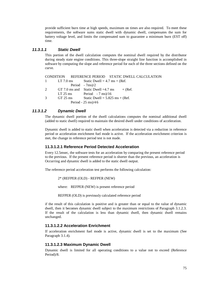provide sufficient burn time at high speeds, maximum on times are also required. To meet these requirements, the software sums static dwell with dynamic dwell, compensates the sum for battery voltage level, and limits the compensated sum to guarantee a minimum burn (EST off) time.

# *11.3.1.1 Static Dwell*

This portion of the dwell calculation computes the nominal dwell required by the distributor during steady state engine conditions. This three-slope straight line function is accomplished in software by computing the slope and reference period for each of the three sections defined on the curve.

CONDITION REFERENCE PERIOD STATIC DWELL CALCULATION 1 LT 7.0 ms Static Dwell =  $4.7 \text{ ms} + (\text{Ref.})$ Period - 7ms)/2 2 GT 7.0 ms and Static Dwell =4.7 ms  $+$  (Ref.)  $LT$  25 ms Period - 7 ms $/16$  $3$  GT 25 ms Static Dwell = 5.825 ms + (Ref. Period - 25 ms)/4 6

# *11.3.1.2 Dynamic Dwell*

The dynamic dwell portion of the dwell calculations computes the nominal additional dwell (added to static dwell) required to maintain the desired dwell under conditions of acceleration.

Dynamic dwell is added to static dwell when acceleration is detected via a reduction in reference period or acceleration enrichment fuel mode is active. If the acceleration enrichment criterion is met, the change in reference period test is not made.

### **11.3.1.2.1 Reference Period Detected Acceleration**

Every 12.5msec, the software tests for an acceleration by comparing the present reference period to the previous. If the present reference period is shorter than the previous, an acceleration is Occurring and dynamic dwell is added to the static dwell output.

The reference period acceleration test performs the following calculation:

2\* (REFPER (OLD) - REFPER (NEW)

where: REFPER (NEW) is present reference period

REFPER (OLD) is previously calculated reference period

if the result of this calculation is positive and is greater than or equal to the value of dynamic dwell, then it becomes dynamic dwell subject to the maximum restrictions of Paragraph 3.1.2.3. If the result of the calculation is less than dynamic dwell, then dynamic dwell remains unchanged.

#### **11.3.1.2.2 Acceleration Enrichment**

If acceleration enrichment fuel mode is active, dynamic dwell is set to the maximum (See Paragraph 3.1.4).

### **11.3.1.2.3 Maximum Dynamic Dwell**

Dynamic dwell is limited for all operating conditions to a value not to exceed (Reference Period)/8.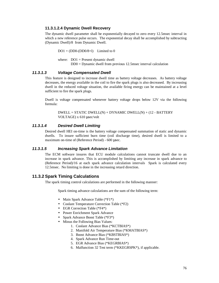#### **11.3.1.2.4 Dynamic Dwell Recovery**

The dynamic dwell parameter shall be exponentially decayed to zero every 12.5msec interval in which a new reference pulse occurs. The exponential decay shall be accomplished by subtracting (Dynamic Dwell)/8 from Dynamic Dwell.

 $DO1 = (DD0-(DD0/8+1))$  Limited to 0

where:  $DO1 =$  Present dynamic dwell DD0 = Dynamic dwell from previous 12.5msec interval calculation

#### *11.3.1.3 Voltage Compensated Dwell*

This feature is designed to increase dwell time as battery voltage decreases. As battery voltage decreases, the energy available in the coil to fire the spark plugs is also decreased. By increasing dwell in the reduced voltage situation, the available firing energy can be maintained at a level sufficient to fire the spark plugs.

Dwell is voltage compensated whenever battery voltage drops below 12V via the following formula:

 $DWELL = STATEDWELL(N) + DYNAMICDWELL(N) + (12 - BATTERY)$ VOLTAGE) x 610 μsec/volt

### *11.3.1.4 Desired Dwell Limiting*

Desired dwell HEI on-time is the battery voltage compensated summation of static and dynamic dwells. To insure sufficient burn time (coil discharge time), desired dwell is limited to a maximum on-time of (Reference Period) - 600 μsec.

#### *11.3.1.5 Increasing Spark Advance Limitation*

The ECM software insures that ECU module calculations cannot truncate dwell due to an increase in spark advance. This is accomplished by limiting any increase in spark advance to (Reference Period)/16 at each spark advance calculation intervals Spark is calculated every 12.5msec. No limiting is done in the increasing retard direction.

#### **11.3.2 Spark Timing Calculations**

The spark timing control calculations are performed in the following manner:

Spark timing advance calculations are the sum of the following term:

- Main Spark Advance Table (\*F1\*)
- Coolant Temperature Correction Table (\*F2)
- EGR Correction Table (\*F4\*)
- Power Enrichment Spark Advance
- Spark Advance Boost Table (\*F3\*)
- Minus the Following Bias Values:
	- 1. Coolant Advance Bias (\*KCTBIAS\*)
	- 2. Manifold Air Temperature Bias (\*KMATBIAS\*)
	- 3. Boost Advance Bias (\*KBSTBIAS\*)
	- 4. Spark Advance Run Time-out
	- 5. EGR Advance Bias (\*KEGRBIAS\*)
	- 6. Malfunction 32 Test term (\*KKEGRSPK\*), if applicable.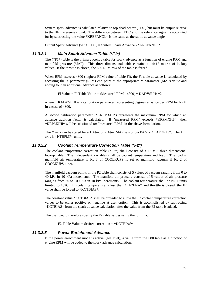System spark advance is calculated relative to top dead center (TDC) but must be output relative to the HEI reference signal. The difference between TDC and the reference signal is accounted for by subtracting the value \*KREFANGL\* is the same as the static advance angle.

Output Spark Advance (w.r.t. TDC) = System Spark Advance - \*KREFANGL\*

### *11.3.2.1 Main Spark Advance Table (\*F1\*)*

The  $(*F1*)$  table is the primary lookup table for spark advance as a function of engine RPM ana manifold pressure (MAP). This three dimensional table contains a 14x17 matrix of lookup values. If the throttle is closed, the 600 RPM row of the table is forced.

When RPM exceeds 4800 (highest RPM value of table Fl), the Fl table advance is calculated by accessing the X parameter (RPM) end point at the appropriate Y parameter (MAP) value and adding to it an additional advance as follows:

Fl Value = Fl Table Value + (Measured RPM - 4800) \* KADVSLHr \*2

where: KADVSLHI is a calibration parameter representing degrees advance per RPM for RPM in excess of 4800.

A second calibration parameter (\*KRPMXHI\*) represents the maximum RPM for which an advance addition factor is calculated. If "measured RPM" exceeds \*KRPMXHI\* then \*KRPMXHI\* will be substituted for "measured RPM" in the above formulation.

The Y axis can be scaled for a 1 Atm. or 2 Atm. MAP sensor via Bit 5 of \*KAFOPT3\*. The X axis is \*NTRPMP\* units.

#### *11.3.2.2 Coolant Temperature Correction Table (\*F2\*)*

The coolant temperature correction table (\* $F2*$ ) shall consist of a 15 x 5 three dimensional lookup table. The independent variables shall be coolant temperature and load. The load is manifold air temperature if bit 3 of COOLKUPS is set or manifold vacuum if bit 2 of COOLKUPS is set.

The manifold vacuum points in the P2 table shall consist of 5 values of vacuum ranging from 0 to 40 kPa in 10 kPa increments. The manifold air pressure consists of 5 values of air pressure ranging from 60 to 100 kPa in 10 kPa increments. The coolant temperature shall be NCT units limited to 152C. If coolant temperature is less than \*KF2ENA\* and throttle is closed, the F2 value shall be forced to \*KCTBIAS\*.

The constant value \*KCTBIAS\* shall be provided to allow the F2 coolant temperature correction values to be either positive or negative at user option. This is accomplished by subtracting \*KCTBIAS\* from the spark advance calculation after the value from the F2 table is added.

The user would therefore specify the F2 table values using the formula:

F2 Table Value = desired correction  $+$  \*KCTBIAS\*

### *11.3.2.5 Power Enrichment Advance*

If the power enrichment mode is active, (see Fuel), a value from the F80 table as a function of engine RPM will be added to the spark advance calculation.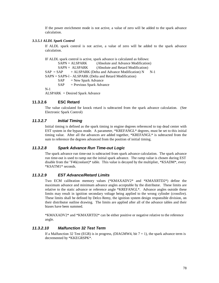If the power enrichment mode is not active, a value of zero will be added to the spark advance calculation.

#### *3.3.5.1 ALDL Spark Control*

If ALDL spark control is not active, a value of zero will be added to the spark advance calculation.

IF ALDL spark control is active, spark advance is calculated as follows: SAPN = ALSPARK (Absolute and Advance Modification) SAPN = ALSPARK (Absolute and Retard Modification)  $SAP = SAP$  + ALSPARK (Delta and Advance Modification) N N-1 SAPN = SAPN-l - ALSPARK (Delta and Retard Modification)  $SAP$  = New Spark Advance  $SAP$  = Previous Spark Advance N-1 ALSPARK = Desired Spark Advance

#### **11.3.2.6 ESC Retard**

The value calculated for knock retard is subtracted from the spark advance calculation. (See Electronic Spark Control)

#### *11.3.2.7 Initial Timing*

Initial timing is defined as the spark timing in engine degrees referenced to top dead center with EST system in the bypass mode. A parameter, \*KREFANGL\* degrees, must be set to this initial timing value. After all the advances are added together, \*KREFANGL\* is subtracted from the sum to reference the degrees advanced from the position of initial timing.

#### *11.3.2.8 Spark Advance Run Time-out Logic*

The spark advance run time-out is subtracted from spark advance calculation. The spark advance run time-out is used to ramp out the initial spark advance. The ramp value is chosen during EST disable from the "F46(coolant)\* table. This value is decayed by the multiplier, \*KSADM\*, every \*KSATM1\* seconds.

### *11.3.2.9 EST Advance/Retard Limits*

Two ECM calibration memory values (\*KMAXADV2\* and \*KMAXRTD2\*) define the maximum advance and minimum advance angles acceptable by the distributor. These limits are relative to the static advance or reference angle \*KREFANGL\*. Advance angles outside these limits may result in ignition secondary voltage being applied to the wrong cylinder (crossfire). These limits shall be defined by Delco Remy, the ignition system design responsible division, on their distributor outline drawing. The limits are applied after all of the advance tables and their biases have been summed.

\*KMAXADV2\* and \*KMAXRTD2\* can be either positive or negative relative to the reference angle.

# *11.3.2.10 Malfunction 32 Test Term*

If a Malfunction 32 Test (EGR) is in progress, (DIAGMW4, bit  $7 = 1$ ), the spark advance term is decremented by \*KKEGRSPK\*.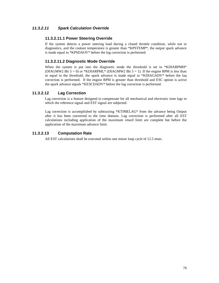# *11.3.2.11 Spark Calculation Override*

# **11.3.2.11.1 Power Steering Override**

If the system detects a power steering load during a closed throttle condition, while not in diagnostics, and the coolant temperature is greater than \*KPSTEMP\*, the output spark advance is made equal to \*KPSDAOV\* before the lag correction is performed.

# **11.3.2.11.2 Diagnostic Mode Override**

When the system is put into the diagnostic mode the threshold is set to  $*KDIARPMH*$ (DIAGMW2 Bit  $5 = 0$ ) or \*KDIARPML\* (DIAGMW2 Bit  $5 = 1$ ). If the engine RPM is less than or equal to the threshold, the spark advance is made equal to \*KDIAGADV\* before the laq correction is performed. If the engine RPM is greater than threshold and ESC option is active the spark advance equals \*KESCDADV\* before the lag correction is performed.

# **11.3.2.12 Lag Correction**

Lag correction is a feature designed to compensate for all mechanical and electronic time lags to which the reference signal and EST signal are subjected.

Lag correction is accomplished by subtracting \*KTIMELAG\* from the advance being Output after it has been converted to the time domain. Lag correction is performed after all EST calculations including application of the maximum retard limit are complete but before the application of the maximum advance limit.

# **11.3.2.13 Computation Rate**

All EST calculations shall be executed within one minor loop cycle of 12.5 msec.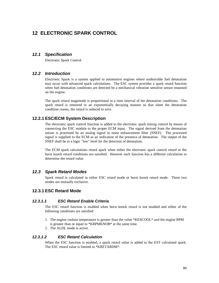# **12 ELECTRONIC SPARK CONTROL**

# *12.1 Specification*

Electronic Spark Control

# *12.2 Introduction*

Electronic Spark is a system applied to automotive engines where undesirable fuel detonation may occur with advanced spark calculations. The ESC system provides a spark retard function when fuel detonation conditions are detected by a mechanical vibration sensitive sensor mounted on the engine.

The spark retard magnitude is proportional to a time interval of the detonation conditions. The spark retard is removed in an exponentially decaying manner so that when the detonation condition ceases, the retard is reduced to zero.

# **12.2.1 ESC/ECM System Description**

The electronic spark control function is added to the electronic spark timing control by means of connecting the ESC module to the proper ECM input. The signal derived from the detonation sensor is processed by an analog signal to noise enhancement filter (SNEF). The processed signal is supplied to the ECM as an indication of the presence of detonation. The output of the SNEF shall be in a logic "low" level for the detection of detonation.

The ECM spark calculations retard spark when either the electronic spark control retard or the burst knock retard conditions are satisfied. However each function has a different calculation to determine the retard value.

# *12.3 Spark Retard Modes*

Spark retard is calculated in either ESC retard mode or burst knock retard mode. These two modes are mutually exclusive.

# **12.3.1 ESC Retard Mode**

#### *12.3.1.1 ESC Retard Enable Criteria*

The ESC retard function is enabled when burst knock retard is not enabled and either of the following conditions are satisfied:

- 1. The engine coolant temperature is greater than the value \*KESCOOL\* and the engine RPM is greater than or equal to \*KRPMKNOB\* at the same time.
- 2. The ALDL mode is active.

#### *12.3.1.2 ESC Retard Calculation*

When the ESC function is enabled, a spark retard value is added to the EST calculated spark. The ESC retard value is limited to \*KRETARDM\*.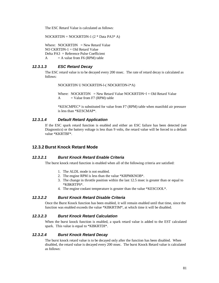The ESC Retard Value is calculated as follows:

NOCKRTDN = NOCKRTDN-1 (2 \* Data PA3\* A)

Where:  $NOCKRTDN = New Retard Value$  $NO$  CKRTDN- $1 = Old$  Retard Value Delta PA3 = Reference Pulse Coefficient  $A = A$  value from F6 (RPM) table

# *12.3.1.3 ESC Retard Decay*

The ESC retard value is to be decayed every 200 msec. The rate of retard decay is calculated as follows:

NOCKRTDN U NOCKRTDN-l-( NDCKRTDN-l\*A)

Where:  $NOCKRTDN = New Retard Value NOCKRTDN~l = Old Retard Value$  $A = Value from F7 (RPM) table$ 

\*KESCMPEC\* is substituted for value from F7 (RPM) table when manifold air pressure is less than \*KESCMAP\*.

### *12.3.1.4 Default Retard Application*

If the ESC spark retard function is enabled and either an ESC failure has been detected (see Diagnostics) or the battery voltage is less than 9 volts, the retard value will be forced to a default value \*KKRTBF\*.

# **12.3.2 Burst Knock Retard Mode**

#### *12.3.2.1 Burst Knock Retard Enable Criteria*

The burst knock retard function is enabled when all of the following criteria are satisfied:

- 1. The ALDL mode is not enabled.
- 2. The engine RPM is less than the value \*KRPMKNOB\*.
- 3. The change in throttle position within the last 12.5 msec is greater than or equal to \*KBKRTPS\*.
- 4. The engine coolant temperature is greater than the value \*KESCOOL\*.

#### *12.3.2.2 Burst Knock Retard Disable Criteria*

Once the Burst Knock function has been enabled, it will remain enabled until that time, since the function was enabled exceeds the value \*KBKRTIM\*, at which time it will be disabled.

#### *12.3.2.3 Burst Knock Retard Calculation*

When the burst knock function is enabled, a spark retard value is added to the EST calculated spark. This value is equal to \*KBKRTDI\*.

#### *12.3.2.4 Burst Knock Retard Decay*

The burst knock retard value is to be decayed only after the function has been disabled. When disabled, the retard value is decayed every 200 msec. The burst Knock Retard value is calculated as follows: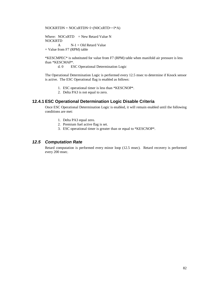$NOCKRTDN = NOCxRTDN~1~(NOCxRTD~1*A)$ 

Where:  $NOCxRTD = New Retard Value N$ NOCKRTD  $A$   $N-1 = Old$  Retard Value

= Value from F7 (RPM) table

\*KESCMPEC\* is substituted for value from F7 (RPM) table when manifold air pressure is less than \*KESCMAP\*.

d. 0 ESC Operational Determination Logic

The Operational Determination Logic is performed every 12.5 msec to determine if Knock sensor is active. The ESC Operational flag is enabled as follows:

- 1. ESC operational timer is less than \*KESCNOP\*.
- 2. Delta PA3 is not equal to zero.

# **12.4.1 ESC Operational Determination Logic Disable Criteria**

Once ESC Operational Determination Logic is enabled, it will remain enabled until the following conditions are met:

- 1. Delta PA3 equal zero.
- 2. Premium fuel active flag is set.
- 3. ESC operational timer is greater than or equal to \*KESCNOP\*.

# *12.5 Computation Rate*

Retard computation is performed every minor loop (12.5 msec). Retard recovery is performed every 200 msec.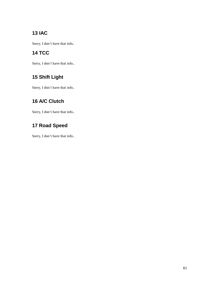# **13 IAC**

Sorry, I don't have that info..

# **14 TCC**

Sorry, I don't have that info..

# **15 Shift Light**

Sorry, I don't have that info..

# **16 A/C Clutch**

Sorry, I don't have that info..

# **17 Road Speed**

Sorry, I don't have that info..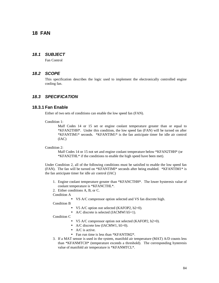# **18 FAN**

# *18.1 SUBJECT*

Fan Control

# *18.2 SCOPE*

This specification describes the logic used to implement the electronically controlled engine cooling fan.

# *18.3 SPECIFICATION*

#### **18.3.1 Fan Enable**

Either of two sets of conditions can enable the low speed fan (FAN).

Condition 1:

Malf Codes 14 or 15 set or engine coolant temperature greater than or equal to \*KFAN2THH\*. Under this condition, the low speed fan (FAN) will be turned on after \*KFANTIM1\* seconds. \*KFANTIM1\* is the fan anticipate timer for idle air control (IAC)

Condition 2:

Malf Codes 14 or 15 not set and engine coolant temperature below \*KFAN2THH\* (or \*KFAN2THL\* if the conditions to enable the high speed have been met).

Under Condition 2, all of the following conditions must be satisfied to enable the low speed fan (FAN). The fan will be turned on \*KFANTIMI\* seconds after being enabled. \*KFANTIM1\* is the fan anticipate timer for idle air control (IAC)

- 1. Engine coolant temperature greater than \*KFANCTHH\*. The lower hysteresis value of coolant temperature is \*KFANCTHL\*.
- 2. Either conditions A, B, or C.

Condition A

• VS A/C compressor option selected and VS fan discrete high.

Condition B

- V5 A/C option not selected (KAFOP2, b2=0).
- A/C discrete is selected (IACMWl b5=1).

Condition C

- V5 A/C compressor option not selected (KAFOP2, b2=0).
- A/C discrete low (IACMW1, b5=0).
- A/C is active.
- Fan run time is less than \*KFANTIM2\*.
- 3. If a MAT sensor is used in the system, manifold air temperature (MAT) A/D counts less than \*KFANMTCH\* (temperature exceeds a threshold). The corresponding hysteresis value of manifold air temperature is \*KFANMTCL\*.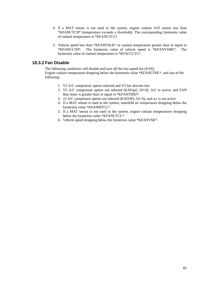- 4. If a MAT sensor is not used in the system, engine coolant A/D counts less than \*KFANCTCH\* (temperature exceeds a threshold). The corresponding hysteresis value of coolant temperature is \*KFANCTCL\*.
- 5. Vehicle speed less than \*KFANVSLK\* or coolant temperature greater than or equal to \*KFANCLTH\*. The hysteresis value of vehicle speed is \*KFANVSHK\*. The hysteresis value of coolant temperature is \*KFACCLTL\*.

# **18.3.2 Fan Disable**

The following conditions will disable and turn off the low-speed fan (FAN). Engine coolant temperature dropping below the hysteresis value \*KFANCTHL\*, and any of the following:

- 1. V5 A/C compressor option selected and V5 fan discrete low
- 2. V5 A/C compressor option not selected (KAFop2, b3=0), A/C is active, and FAN Run timer is greater than or equal to \*KFANTIM2\*.
- 3. v5 A/C compressor option not selected (KAFOP2,  $b2=0$ ), and  $a/c$  is not active
- 4. If a MAT sensor is used in the system, manifold air temperature dropping below the hysteresis value \*KFANMTCL\*.
- 5. If a MAT sensor is not used in the system, engine coolant temperatures dropping below the hysteresis value \*KFANCTCL\*.
- 6. Vehicle speed dropping below the hysteresis value \*KFANVSK\*.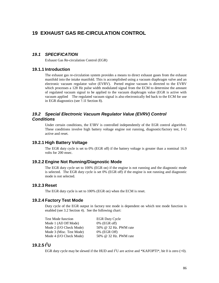# **19 EXHAUST GAS RE-CIRCULATION CONTROL**

# *19.1 SPECIFICATION*

Exhaust Gas Re-circulation Control (EGR)

# **19.1.1 Introduction**

The exhaust gas re-circulation system provides a means to direct exhaust gases from the exhaust manifold into the intake manifold. This is accomplished using a vacuum diaphragm valve and an electronic vacuum regulator valve (EVRV). Ported engine vacuum is directed to the EVRV which processes a 128 Hz pulse width modulated signal from the ECM to determine the amount of regulated vacuum signal to be applied to the vacuum diaphragm value (EGR is active with vacuum applied The regulated vacuum signal is also electronically fed back to the ECM for use in EGR diagnostics (see ?.1I Section 8).

# *19.2 Special Electronic Vacuum Regulator Value (EVRV) Control Conditions*

Under certain conditions, the E'IRV is controlled independently of the EGR control algorithm. These conditions involve high battery voltage engine not running, diagnostic/factory test, I~U active and reset.

### **19.2.1 High Battery Voltage**

The EGR duty cycle is set to 0% (EGR off) if the battery voltage is greater than a nominal 16.9 volts for 200 msec.

# **19.2.2 Engine Not Running/Diagnostic Mode**

The EGR duty cycle set to 100% (EGR on) if the engine is not running and the diagnostic mode is selected. The EGR duty cycle is set 0% (EGR off) if the engine is not running and diagnostic mode is not selected.

## **19.2.3 Reset**

The EGR duty cycle is set to 100% (EGR on) when the ECM is reset.

# **19.2.4 Factory Test Mode**

Duty cycle of the EGR output in factory test mode is dependent on which test mode function is enabled (see 3.2 Section 4). See the following chart:

| <b>Test Mode function</b> | <b>EGR Duty Cycle</b> |
|---------------------------|-----------------------|
| Mode 1 (All Off Mode)     | $0\%$ (EGR off)       |
| Mode 2 (I/O Check Mode)   | 50% @ 32 Hz. PWM rate |
| Mode 3 (Misc. Test Mode)  | 0% (EGR Off)          |
| Mode 4 (I/O Check Mode)   | 50% @ 32 Hz. PWM rate |

# **19.2.5 I 2U**

EGR duty cycle may be slewed if the HUD and  $I^2U$  are active and \*KAFOPTI\*, bit 0 is zero (=0).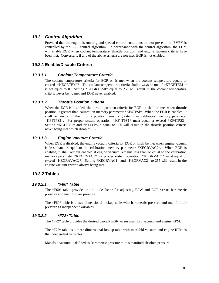# *19.3 Control Algorithm*

Provided that the engine is running and special control conditions are not present, the EVRV is controlled by the EGR control algorithm. In accordance with the control algorithm, the ECM will enable EGR when coolant temperature, throttle position, and engine vacuum criteria have been met. Conversely, if any of the above criteria are not met, EGR is not enabled.

# **19.3.1 Enable/Disable Criteria**

#### *19.3.1.1 Coolant Temperature Criteria*

The coolant temperature criteria for EGR on is met when the coolant temperature equals or exceeds \*KEGRTEMI\*. The coolant temperature criteria shall always be met if \*KEGRTEM1\* is set equal to 0. Setting \*KEGRTEMI\* equal to 255 will result in the coolant temperature criteria never being met and EGR never enabled.

#### *19.3.1.2 Throttle Position Criteria*

When the EGR is disabled, the throttle position criteria for EGR on shall be met when throttle position is greater than calibration memory parameter \*KF4TPSl\*. When the EGR is enabled, it shall remain on if the throttle position remains greater than calibration memory parameter \*KF4TPS2\*. For proper system operation, \*KF4TPS1\* must equal or exceed \*KF4TPS2\*. Setting \*KF4TPS1\* and \*KF4TPS2\* equal to 255 will result in the throttle position criteria never being met which disables EGR

#### *19.3.1.3. Engine Vacuum Criteria*

When EGR is disabled, the engine vacuum criteria for EGR on shall be met when engine vacuum is less than or equal to the calibration memory parameter \*KEGRVAC2\*. When EGR is enabled, it shall remain enabled if engine vacuum remains less than or equal to the calibration memory parameter \*KEGRVAC1\* for proper system operation, \*KEGRVAC1\* must equal or exceed \*KEGRAVAC2\*. Setting \*KEGRVAC1\* and \*KEGRVAC2\* to 255 will result in the engine vacuum criteria always being met.

# **19.3.2 Tables**

#### *19.3.2.1 \*F60\* Table*

The \*F60\* table provides the altitude factor for adjusting BPW and EGR versus barometric pressure and manifold air pressure.

The \*F60\* table is a two dimensional lookup table with barometric pressure and manifold air pressure as independent variables.

#### *19.3.2.2 \*F72\* Table*

The \*F72\* table provides the desired percent EGR versus manifold vacuum and engine RPM.

The \*F72\* table is a three dimensional lookup table with manifold vacuum and engine RPM as the independent variables.

Manifold vacuum is defined as Barometric pressure minus manifold absolute pressure.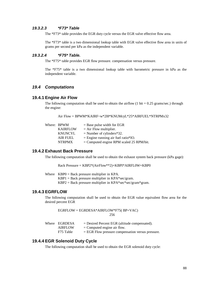#### *19.3.2.3 \*F73\* Table*

The \*F73\* table provides the EGR duty cycle versus the EGR valve effective flow area.

The \*F73\* table is a two dimensional lookup table with EGR valve effective flow area in units of grams per second per kPa as the independent variable.

# *19.3.2.4 \*F75\* Table.*

The \*F75\* table provides EGR flow pressure. compensation versus pressure.

The \*F75\* table is a two dimensional lookup table with barometric pressure in kPa as the independent variable.

#### *19.4 Computations*

#### **19.4.1 Engine Air Flow**

The following computation shall be used to obtain the airflow  $(1 \text{ bit} = 0.25 \text{ grams/sec.})$  through the engine:

```
Air Flow = BPWM*KAIRF~w*2l8*KNUMcyL*25*AIRFUEL*NTRPMx32
```

| Where: BPWM     | $=$ Base pulse width for EGR               |
|-----------------|--------------------------------------------|
| <b>KAIRFLOW</b> | $=$ Air Flow multiplier.                   |
| <b>KNUNCYL</b>  | $=$ Number of cylinders*32.                |
| <b>AIR FUEL</b> | $=$ Engine running air fuel ratio*IO.      |
| <b>NTRPMX</b>   | $=$ Computed engine RPM scaled 25 RPM/bit. |
|                 |                                            |

#### **19.4.2 Exhaust Back Pressure**

The following computation shall be used to obtain the exhaust system back pressure (kPa gage):

Rack Pressure = KBP2\*(AirFlow\*\*2)+KBPI\*AIRFL0W+KBP0

Where KBP0 = Back pressure multiplier in KPA.

 $KBP1 = Back pressure multiplier in KPA*sec/gram.$ 

 $KBP2 = Back pressure multiplier in KPA*sec*sec/gram*gram.$ 

#### **19.4.3 EGRFLOW**

The following computation shall be used to obtain the EGR value equivalent flow area for the desired percent EGR

EGRFLOW = EGRDESA\*AIRFLOW\*F75( BP+VAC) 256

| Where EGRDESA  | $=$ Desired Percent EGR (altitude compensated).     |
|----------------|-----------------------------------------------------|
| <b>AIRFLOW</b> | $=$ Computed engine air flow.                       |
| F75 Table      | $=$ EGR Flow pressure compensation versus pressure. |

#### **19.4.4 EGR Solenoid Duty Cycle**

The following computation shall be used to obtain the EGR solenoid duty cycle: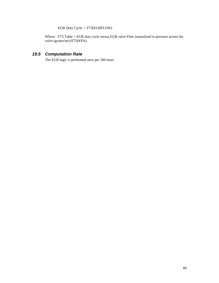EGR Duty Cycle = F73(EGRFLOW)

Where: F73 Table = EGR duty cycle versus EGR valve Flow normalized to pressure across the valve (grams/sec)/F75(KPA).

# *19.5 Computation Rate*

The EGR logic is performed once per 100 msec.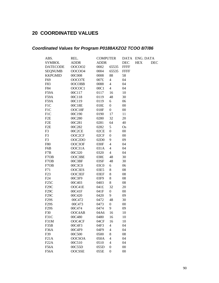# **20 COORDINATED VALUES**

# *Coordinated Values for Program P0188AXZO2 TCOO 8/7/86*

| ABS.              | REL.          | <b>COMPUTER</b>  |                          | <b>DATA</b> | ENG. DATA  |            |
|-------------------|---------------|------------------|--------------------------|-------------|------------|------------|
| <b>SYMBOL</b>     | <b>ADDR</b>   | <b>ADDR</b>      |                          | <b>DEC</b>  | <b>HEX</b> | <b>DEC</b> |
| <b>DATECODE</b>   | <b>OOCOO2</b> | 0002             | 65535                    | <b>FFFF</b> |            |            |
| <b>SEQNUMB</b>    | <b>OOCOO4</b> | 0004             | 65535                    | <b>FFFF</b> |            |            |
| <b>KKPGMID</b>    | 00C008        | 0008             | 88                       | 58          |            |            |
| F69               | OOCO7E        | 007£             | $\overline{\mathcal{L}}$ | 04          |            |            |
| F83               | 0OCOBB        | 0088             | $\overline{\mathcal{L}}$ | 04          |            |            |
| F84               | OOCOC1        | 00C1             | $\overline{\mathcal{L}}$ | 04          |            |            |
| F59A              | 00C117        | 0117             | 16                       | 10          |            |            |
| F59A              | 00C118        | 0119             | 48                       | 30          |            |            |
| F59A              | 00C119        | 0119             | 6                        | 06          |            |            |
| F1C               | 00C18E        | 018£             | $\boldsymbol{0}$         | $00\,$      |            |            |
| F1C               | OOC18F        | 018F             | $\boldsymbol{0}$         | $00\,$      |            |            |
| F1C               | 00C190        | 0190             | 17                       | 11          |            |            |
| F <sub>2</sub> E  | 00C280        | 0280             | 32                       | 20          |            |            |
| F <sub>2</sub> E  | 00C281        | 0281             | 64                       | 40          |            |            |
| F <sub>2</sub> E  | 00C282        | 0282             | 5                        | Os          |            |            |
| F <sub>3</sub>    | 00C2CE        | 02CE             | $\boldsymbol{0}$         | $00\,$      |            |            |
| F <sub>3</sub>    | OOC2CF        | 02CF             | $\boldsymbol{0}$         | $00\,$      |            |            |
| F3                | OOC2DO        | 02D <sub>0</sub> | 9                        | 09          |            |            |
| F80               | OOC3OF        | 030F             | $\overline{\mathcal{L}}$ | 04          |            |            |
| F6B               | OOC31A        | 031A             | $\overline{\mathcal{L}}$ | 04          |            |            |
| F7B               | 00C320        | 0320             | $\overline{\mathcal{L}}$ | 04          |            |            |
| F7OB              | OOC3BE        | 038£             | 48                       | 30          |            |            |
| F7OB              | 00C3BF        | 03SF             | 48                       | 30          |            |            |
| F7OB              | 00C3C0        | 03C0             | 6                        | 06          |            |            |
| F71               | OOC3ES        | 03E5             | $\,8\,$                  | 08          |            |            |
| F <sub>23</sub>   | OOC3EF        | 03EF             | $\,8\,$                  | 08          |            |            |
| F <sub>24</sub>   | 00C3F9        | 03F9             | $8\,$                    | 08          |            |            |
| F <sub>25</sub> C | 00C403        | 0403             | $\,8\,$                  | 08          |            |            |
| F <sub>29</sub> C | OOC41E        | 041£             | 32                       | 20          |            |            |
| F <sub>29</sub> C | 00C41F        | 041F             | $\boldsymbol{0}$         | $00\,$      |            |            |
| F <sub>29</sub> C | 00C420        | 0420             | 9                        | 09          |            |            |
| F29S              | 00C472        | 0472             | 48                       | 30          |            |            |
| F29S              | 00C473        | 0473             | $\boldsymbol{0}$         | $00\,$      |            |            |
| F29S              | 00C474        | 0474             | 9                        | 09          |            |            |
| F30               | OOC4AB        | 04A6             | 16                       | 10          |            |            |
| F31C              | 00C480        | 0480             | 16                       | 10          |            |            |
| F31M              | OOC4CF        | 04CF             | 16                       | 10          |            |            |
| F35B              | 00C4F3        | 04F3             | $\overline{\mathcal{L}}$ | 04          |            |            |
| F <sub>36</sub> A | 00C4F9        | 04F9             | $\overline{\mathcal{L}}$ | 04          |            |            |
| F39               | 00C500        | 0500             | 8                        | 08          |            |            |
| F21A              | <b>OOCSOA</b> | 050A             | $\overline{\mathcal{L}}$ | 04          |            |            |
| F <sub>22</sub> A | 00C510        | 0510             | $\overline{\mathcal{L}}$ | 04          |            |            |
| F <sub>56</sub> A | 00C55D        | 055D             | $\boldsymbol{0}$         | $00\,$      |            |            |
| F56A              | <b>OOCSSE</b> | 055E             | $\boldsymbol{0}$         | $00\,$      |            |            |
|                   |               |                  |                          |             |            |            |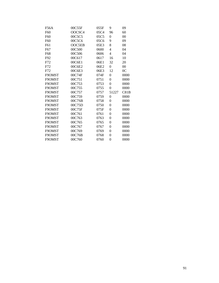| F56A            | 00C55F | 055F | 9              | 09             |
|-----------------|--------|------|----------------|----------------|
| F60             | OOCSC4 | 05C4 | 96             | 60             |
| F60             | 00C5C5 | 05C5 | $\theta$       | 00             |
| F60             | 00C5C6 | 05C6 | 9              | 09             |
| F61             | OOC5EB | 05E3 | 8              | 08             |
| F <sub>67</sub> | 00C500 | 0600 | 4              | 04             |
| F68             | 00C506 | 0606 | 4              | 04             |
| F92             | 00C617 | 0617 | 16             | 10             |
| F72             | 00C6E1 | 06E1 | 32             | 20             |
| F72             | 00C6E2 | 06E2 | $\overline{0}$ | 00             |
| F72             | 00C6E3 | 06E3 | 12             | 0 <sup>C</sup> |
| F9OMST          | 00C74F | 074F | $\overline{0}$ | 0000           |
| F9OMST          | 00C751 | 0751 | $\theta$       | 0000           |
| F9OMST          | 00C753 | 0753 | $\overline{0}$ | 0000           |
| F9OMST          | 00C755 | 0755 | $\theta$       | 0000           |
| F9OMST          | 00C757 | 0757 | 51227          | C81B           |
| F9OMST          | 00C759 | 0759 | $\overline{0}$ | 0000           |
| F9OMST          | 00C7SB | 0758 | $\overline{0}$ | 0000           |
| F9OMST          | 00C75D | 0750 | $\theta$       | 0000           |
| F9OMST          | 00C75F | 075F | 0              | 0000           |
| F9OMST          | 00C761 | 0761 | $\theta$       | 0000           |
| F9OMST          | 00C763 | 0763 | 0              | 0000           |
| F9OMST          | 00C765 | 0765 | $\theta$       | 0000           |
| F9OMST          | 00C767 | 0767 | 0              | 0000           |
| F9OMST          | 00C769 | 0769 | 0              | 0000           |
| F9OMST          | 00C76B | 0768 | $\overline{0}$ | 0000           |
| F9OMST          | 00C760 | 0760 | $\theta$       | 0000           |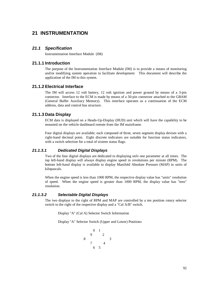# **21 INSTRUMENTATION**

### *21.1 Specification*

Instrumentation Interface Module (IM)

# **21.1.1 Introduction**

The purpose of the Instrumentation Interface Module (IM) is to provide a means of monitoring and/or modifying system operation to facilitate development This document will describe the application of the IM to this system.

# **21.1.2 Electrical Interface**

The IM will access 12 volt battery, 12 volt ignition and power ground by means of a 3-pin connector. Interface to the ECM is made by means of a 50-pin connector attached to the GBAM (General Buffer Auxiliary Memory). This interface operates as a continuation of the ECM address, data and control bus structure.

## **21.1.3 Data Display**

ECM data is displayed on a Heads-Up-Display (HUD) unit which will have the capability to be mounted on the vehicle dashboard remote from the IM mainframe.

Four digital displays are available; each composed of three, seven segment display devises with a right-hand decimal point. Eight discrete indicators are suitable for function status indicators, with a switch selection for a total of sixteen status flags.

#### *21.1.3.1 Dedicated Digital Displays*

Two of the four digital displays are dedicated to displaying onlv one parameter at all times. The top left-hand display will always display engine speed in revolutions per minute (RPM). The bottom left-hand display is available to display Manifold Absolute Pressure (MAP) in units of kilopascals.

When the engine speed is less than 1000 RPM, the respective display value has "units" resolution of speed. When the engine speed is greater than 1000 RPM, the display value has "tens" resolution.

# *21.1.3.2 Selectable Digital Displays*

The two displays to the right of RPM and MAP are controlled by a ten position rotary selector switch to the right of the respective display and a "Cal A/B" switch.

Display "A" (Cal A) Selector Switch Information

Display "A" Selector Switch (Upper and Lower) Positions

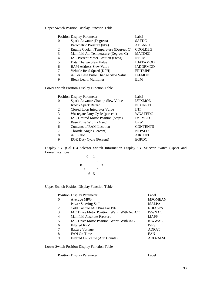Upper Switch Position Display Function Table

|   | <b>Position Display Parameter</b>         | Label           |
|---|-------------------------------------------|-----------------|
|   | Spark Advance (Degrees)                   | <b>SATDC</b>    |
|   | Barometric Pressure (kPa)                 | <b>ADBARO</b>   |
|   | Engine Coolant Temperature (Degrees C)    | <b>COOLDEG</b>  |
|   | Manifold Air Temperature (Degrees C)      | <b>MATDEG</b>   |
|   | <b>IAC Present Motor Position (Steps)</b> | <b>ISSPMP</b>   |
|   | Data Change Slew Value                    | <b>IDATAMOD</b> |
| 6 | <b>RAM Address Slew Value</b>             | <b>IADORMOD</b> |
|   | Vehicle Read Speed (KPH)                  | <b>FILTMPH</b>  |
| 8 | A/F or Base Pulse Change Slew Value       | <b>IAFMOD</b>   |
| Q | <b>Block Learn Multiplier</b>             | BLM             |
|   |                                           |                 |

Lower Switch Position Display Function Table

|          | <b>Position Display Parameter</b>  | Label           |
|----------|------------------------------------|-----------------|
| $\theta$ | Spark Advance Change-Slew Value    | <b>ISPKMOD</b>  |
|          | Knock Spark Retard                 | <b>NOCKRTD</b>  |
| 2        | Closed Loop Integrator Value       | <b>INT</b>      |
|          | Wastegate Duty Cycle (percent)     | <b>WGATEDC</b>  |
|          | IAC Desired Motor Position (Steps) | <b>IMPMOD</b>   |
|          | Base Pulse Width (Msec)            | <b>BPW</b>      |
| 6        | Contents of RAM Location           | <b>CONTENTS</b> |
|          | Throttle Angle (Percent)           | <b>NTPSLD</b>   |
| 8        | $A/F$ Ratio                        | <b>AIRFUEL</b>  |
| 9        | <b>EGR Duty Cycle (Percent)</b>    | <b>EGRDC</b>    |

Display "B" (Cal (B) Selector Switch Information Display "B" Selector Switch (Upper and Lower) Positions

$$
\begin{array}{@{}c@{\hspace{1em}}c@{\hspace{1em}}c}\n & & 0 & 1 \\
& 9 & & 2 \\
& 8 & & 3 \\
& 7 & & 4 \\
& & 6 & 5\n\end{array}
$$

Upper Switch Position Display Function Table

|          | <b>Position Display Parameter</b>          | Label          |
|----------|--------------------------------------------|----------------|
| $\theta$ | Average MPG                                | <b>MPGMEAN</b> |
|          | Power Steering Stall                       | <b>ISALPA</b>  |
| 2        | Cold Control IAC Bias For P/N              | <b>NBIASPN</b> |
| 3        | IAC Drive Motor Position, Warm With No A/C | <b>ISWNAC</b>  |
|          | Manifold Absolute Pressure                 | <b>MAPP</b>    |
|          | IAC Drive Motor Position, Warm With A/C    | <b>ISWWAC</b>  |
| 6        | Filtered RPM                               | <b>ISES</b>    |
|          | <b>Battery Voltage</b>                     | <b>ADRAT</b>   |
| 8        | FAN On Time                                | <b>FAN</b>     |
| 9        | Filtered O2 Value (A/D Counts)             | ADO2AFSC       |
|          |                                            |                |

Lower Switch Position Display Function Table

Position Display Parameter Label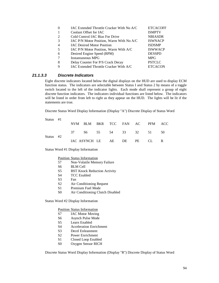|                             | IAC Extended Throttle Cracker With No A/C | <b>ETCACOFF</b> |
|-----------------------------|-------------------------------------------|-----------------|
|                             | Coolant Offset for IAC                    | <b>ISMPTV</b>   |
| $\mathcal{D}_{\mathcal{L}}$ | Cold Control IAC Bias For Drive           | <b>NBIASDR</b>  |
| 3                           | IAC P/N Motor Position, Warm With No A/C  | <b>ISWNACP</b>  |
| 4                           | <b>IAC Desired Motor Position</b>         | <b>ISDSMP</b>   |
| 5                           | IAC P/N Motor Position, Warm With A/C     | <b>ISWWACP</b>  |
| 6                           | Desired Engine Speed (RPM)                | <b>DESSPD</b>   |
|                             | Instantaneous MPG                         | <b>MPG</b>      |
| 8                           | Delay Counter For P/S Crack Decay         | <b>PSTCLC</b>   |
|                             | IAC Extended Throttle Cracker With A/C    | <b>ETCACON</b>  |

# *21.1.3.3 Discrete Indicators*

Eight discrete indicators located below the digital displays on the HUD are used to display ECM function status. The indicators are selectable between Status I and Status 2 by means of a toggle switch located to the left of the indicator lights. Each mode shall represent a group of eight discrete function indicators. The indicators individual functions are listed below. The indicators will be listed in order from left to right as they appear on the HUD. The lights will be lit if the statements are true.

Discrete Status Word Display Information (Display "A") Discrete Display of Status Word

| Status #1 |  |                      |  |  |                                |      |
|-----------|--|----------------------|--|--|--------------------------------|------|
|           |  |                      |  |  | NVM BLM BKR TCC FAN AC PFM ACC |      |
| Status #2 |  | 37 S6 55 54 33 32 51 |  |  |                                | - 50 |
|           |  |                      |  |  | IAC ASYNCH LE AE DE PE CL R    |      |

Status Word #1 Display Information

|  |  | <b>Position Status Information</b> |  |
|--|--|------------------------------------|--|
|--|--|------------------------------------|--|

- 57 Non-Volatile Memory Failure
- S6 BLM Cell
- S5 BST Knock Reduction Activity
- S4 TCC Enabled
- S3 Fan
- S2 Air Conditioning Request
- S1 Premium Fuel Mode
- S0 Air Conditioning Clutch Disabled

Status Word #2 Display Information

#### Position Status Information

- S7 IAC Motor Moving
- S6 Asynch Pulse Mode
- S5 Learn Enabled
- S4 Acceleration Enrichment
- S3 Decel Enleanment
- S2 Power Enrichment
- S1 Closed Loop Enabled
- S0 Oxygen Sensor RICH

Discrete Status Word Display Information (Display "R") Discrete Display of Status Word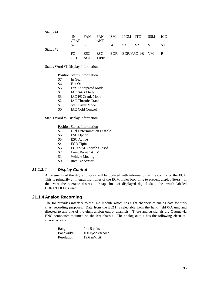| Status #1 |      |            |                              |  |  |     |
|-----------|------|------------|------------------------------|--|--|-----|
|           | IN   |            | FAN FAN ISM IPCM ITC SSM ICC |  |  |     |
|           | GEAR |            | <b>ANT</b>                   |  |  |     |
|           | S7 - |            | S6 S5 S4 S3 S2 S1            |  |  | SO. |
| Status #2 |      |            |                              |  |  |     |
|           | FO.  |            | ESC ESC EGR EGR/VAC bB VM    |  |  | R   |
|           | OPT. | <b>ACT</b> | <b>TIPIN</b>                 |  |  |     |

Status Word #1 Display Information

#### Position Status Information

| In Gear |
|---------|
|         |

- S6 Fan On
- S5 Fan Anticipated Mode
- S4 IAC SAG Mode
- S3 IAC PS Crank Mode
- S2 IAC Throttle Crank
- S1 Stall Saver Mode
- S0 IAC Cold Control

Status Word #2 Display Information

#### Position Status Information

- S7 Fuel Determination Disable
- S6 ESC Option
- S5 ESC Active
- S4 EGR Tipin
- S3 EGR VAC Switch Closed
- S2 Limit Boost 1st TM
- S1 Vehicle Moving
- S0 Rich O2 Sensor

# *21.1.3.4 Display Control*

All elements of the digital display will be updated with information at the control of the ECM This is primarily at integral multiplies of the ECM major loop time to prevent display jitters. In the event the operator desires a "snap shot" of displayed digital data, the switch labeled CONT/HOLD is used.

### **21.1.4 Analog Recording**

The IM provides interface to the D/A module which has eight channels of analog data for strip chart recording purposes. Data from the ECM is selectable from the hand held 0/A unit and directed to any one of the eight analog output channels. These analog signals are Output via BNC connectors mounted on the 0/A chassis. The analog output has the following electrical characteristics:

| Range      | $0$ to 5 volts    |
|------------|-------------------|
| Bandwidth  | 100 cycles/second |
| Resolution | $19.6$ mV/bit     |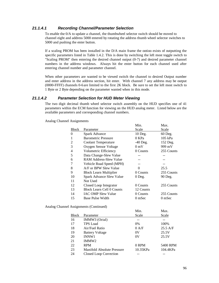#### *21.1.4.1 Recording Channel/Parameter Selection*

To enable the 0/A to update a channel, the thumbwheel selector switch should be moved to channel eight and address 5000 entered by rotating the address thumb wheel selector switches to 5000 and pushing the enter button.

If a scaling PROM has been installed in the D/A main frame the ootioo exists of outputting the specific parameters listed in Table 1.4.2. This is done by switching the left most toggle switch to "Scaling PROM" then entering the desired channel output (0-7) and desired parameter channel numbers in the address windows. Always hit the enter button for each channel used after entering channel number and parameter channel.

When other parameters are wanted to be viewed switch the channel to desired Output number and enter address in the address section, hit enter. With channel 7 any address may be output (0000-FFFF) channels 0-6are limited to the first 2K block. Be sure to set the left most switch to 1 Byte or 2 Byte depending on the parameter wanted when in this mode.

# *21.1.4.2 Parameter Selection for HUD Meter Viewing*

The two digit decimal thumb wheel selector switch assembly on the HUD specifies one of 41 parameters within the ECM function for viewing on the HUD analog meter. Listed below are the available parameters and corresponding channel numbers.

Analog Channel Assignments

|                                  | Min.       | Max.       |
|----------------------------------|------------|------------|
| Parameter                        | Scale      | Scale      |
| Spark Advance                    | 10 Deg.    | 60 Deg.    |
| <b>Barometric Pressure</b>       | 0 KPa      | 105 kPa    |
| <b>Coolant Temperature</b>       | $-40$ Deg. | 152 Deg.   |
| Oxygen Sensor Voltage            | $0m$ V     | 999 mV     |
| Volumetric Efficiency            | 0 Counts   | 255 Counts |
| Data Change-Slew Value           |            |            |
| RAM Address-Slew Value           |            |            |
| Vehicle Road Speed (MPH)         |            |            |
| A/F or BPW Slew Value            | 0          | 25.5       |
| <b>Block Learn Multiplier</b>    | 0 Counts   | 255 Counts |
| Spark Advance Slew Value         | 0 Deg.     | 90 Deg.    |
| Not Used                         |            |            |
| Closed Loop Integrator           | 0 Counts   | 255 Counts |
| <b>Block Learn Cell 0 Counts</b> | 12 Counts  |            |
| <b>IAC OMP Slew Value</b>        | 0 Counts   | 255 Counts |
| Base Pulse Width                 | $0m$ Sec   | $0m$ Sec   |
|                                  |            |            |

Analog Channel Assignments (Continued)

|              |                            | Min.     | Max.              |
|--------------|----------------------------|----------|-------------------|
| <b>Block</b> | Parameter                  | Scale    | Scale             |
| 16           | IMMW3 (Octal)              |          |                   |
| 17           | <b>TPS</b> Load            | 0%       | 100%              |
| 18           | Air/Fuel Ratio             | 0 A/F    | $25.5 \text{ AF}$ |
| 19           | <b>Battery Voltage</b>     | 0V       | 25.5V             |
| 20           | <b>INNW1</b>               | 0V       | 25.5V             |
| 21           | IMMW <sub>2</sub>          |          |                   |
| 22           | <b>RPM</b>                 | 0 RPM    | 5400 RPM          |
| 23           | Manifold Absolute Pressure | 10.35KPa | 104.4KPa          |
| 24           | Closed Loop Correction     |          |                   |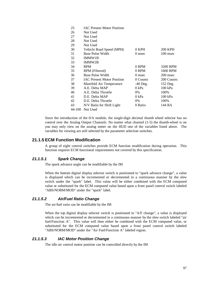| 25     | <b>IAC Present Motor Position</b> |            |                |
|--------|-----------------------------------|------------|----------------|
| 26     | Not Used                          |            |                |
| 27     | Not Used                          |            |                |
| 28     | Not Used                          |            |                |
| 29     | Not Used                          |            |                |
| 30     | Vehicle Road Speed (MPH)          | 0 KPH      | <b>200 KPH</b> |
| 31     | Base Pulse Width                  | 0 msec     | 100 msec       |
| 32     | IMMW1B                            |            |                |
| 33     | <b>IMMW2B</b>                     |            |                |
| 34     | <b>RPM</b>                        | 0 RPM      | 3200 RPM       |
| 35     | RPM (Filtered)                    | 0 RPM      | 1600 RPM       |
| 36     | Base Pulse Width                  | 0 msec     | 200 msec       |
| 37     | <b>IAC Present Motor Position</b> | 0 Counts   | 200 Counts     |
| 38     | Manifold Air Temperature          | $-40$ Deg. | 152 Deg.       |
| 39     | A.E. Delta MAP                    | 0 kPa      | $100$ kPa      |
| 40     | A.E. Delta Throttle               | 0%         | 100%           |
| 41     | D.E. Delta MAP                    | 0 kPa      | 100 kPa        |
| 42     | D.E. Delta Throttle               | 0%         | 100%           |
| 43     | N/V Ratio for Shift Light         | 0 Ratio    | 144 RA         |
| 44-100 | Not Used                          |            |                |

Since the introduction of the 0/A module, the single-digit decimal thumb wheel selector has no control over the Analog Output Channels. No matter what channel (1-5) the thumb-wheel is on you may only view on the analog meter on the HUD one of the variables listed above. The variables for viewing are still selected by the parameter selection switches.

# **21.1.5 ECM Function Modification**

A group of eight control switches provide ECM function modification during operation. This function requires ECM functional requirements not covered by this specification.

## *21.1.5.1 Spark Change*

The spark advance angle can be modifiable by the IM

When the bottom digital display selector switch is positioned to "spark advance change", a value is displayed which can be incremented or decremented in a continuous manner by the slew switch under the "spark" label. This value will be either combined with the ECM computed value or substituted for the ECM computed value based upon a front panel control switch labeled "ABS/NORM/MOD" under the "spark" label.

# *21.1.5.2 Air/Fuel Ratio Change*

The air/fuel ratio can be modifiable by the IM

When the top digital display selector switch is positioned to "A/F change", a value is displayed which can be incremented or decremented in a continuous manner by the slew switch labeled "air fuel/Function A". This value will then either be combined with the ECM computed value, or substituted for the ECM computed value based upon a front panel control switch labeled "ABS/NORM/MOD" under the "Air Fuel/Function A" labeled region.

#### *21.1.5.3 IAC Motor Position Change*

The idle air control motor position can be controlled directly by the IM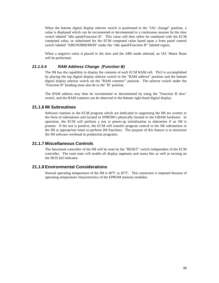When the bottom digital display selector switch is positioned to the "IAC change" position, a value is displayed which can be incremented or decremented in a continuous manner by the slew switch labeled "idle speed/Function B". This value will then either be combined with the ECM computed value, or substituted for the ECM computed value based upon a front panel control switch labeled "ABS/NORM/MOD" under the "idle speed/Function B'" labeled region.

When a negative value is placed in the slew and the ABS mode selected, an IAC Motor Reset will be performed.

## *21.1.5.4 RAM Address Change (Function B)*

The IM has the capability to display the contents of each ECM RAM cell. Thi3 is accomplished by placing the top digital display selector switch in the "RAM address" position and the bottom digital display selector switch im the "RAM contents"' position. The selector switch under the "Function B" heading must also be in the "B" position.

The RAM address may then be incremented or decremented by using the "Function B slew" switch, and the RAM contents can be observed in the bottom right-hand digital display.

# **21.1.6 IM Subroutines**

Software routines in the ECM program which are dedicated to supporting the IM are written in the form of subroutines and located in EPROM's physically located in the GBAM hardware. In operation, the ECM will perform a test at power-up initialization to determine if an IM is present. If the test is positive, the ECM will transfer program control to the IM subroutines in the IM at appropriate times to perform IM functions. The purpose of this feature is to minimize the IM software overhead in production programs.

# **21.1.7 Miscellaneous Controls**

The functional controller of the IM will be reset by the "RESET" switch independent of the ECM controller. The reset state will enable all display segments and status bits as well as turning on the HUD fail indicator.

# **21.1.8 Environmental Considerations**

Normal operating temperature of the IM is 40°C to 85°C. This constraint is imposed because of operating temperature characteristics of the EPROM memory modules.